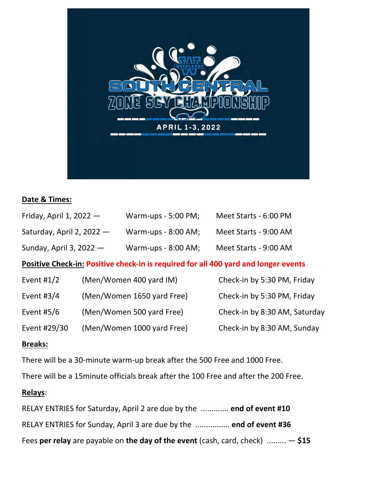

## **Date & Times:**

| Friday, April 1, 2022 $-$   |                                                                                     | Warm-ups - 5:00 PM;        | Meet Starts - 6:00 PM         |  |  |  |
|-----------------------------|-------------------------------------------------------------------------------------|----------------------------|-------------------------------|--|--|--|
| Saturday, April 2, 2022 $-$ |                                                                                     | Warm-ups - 8:00 AM;        | Meet Starts - 9:00 AM         |  |  |  |
| Sunday, April 3, 2022 $-$   |                                                                                     | Warm-ups - 8:00 AM;        | Meet Starts - 9:00 AM         |  |  |  |
|                             | Positive Check-in: Positive check-in is required for all 400 yard and longer events |                            |                               |  |  |  |
| Event $\#1/2$               |                                                                                     | (Men/Women 400 yard IM)    | Check-in by 5:30 PM, Friday   |  |  |  |
| Event $\#3/4$               |                                                                                     | (Men/Women 1650 yard Free) | Check-in by 5:30 PM, Friday   |  |  |  |
| Event #5/6                  |                                                                                     | (Men/Women 500 yard Free)  | Check-in by 8:30 AM, Saturday |  |  |  |
|                             |                                                                                     |                            |                               |  |  |  |

Event #29/30 (Men/Women 1000 yard Free) Check-in by 8:30 AM, Sunday

## **Breaks:**

There will be a 30-minute warm-up break after the 500 Free and 1000 Free.

There will be a 15minute officials break after the 100 Free and after the 200 Free.

## **Relays**:

| RELAY ENTRIES for Saturday, April 2 are due by the  end of event #10                   |  |
|----------------------------------------------------------------------------------------|--|
| RELAY ENTRIES for Sunday, April 3 are due by the  end of event #36                     |  |
| Fees per relay are payable on the day of the event (cash, card, check) $\ldots$ – \$15 |  |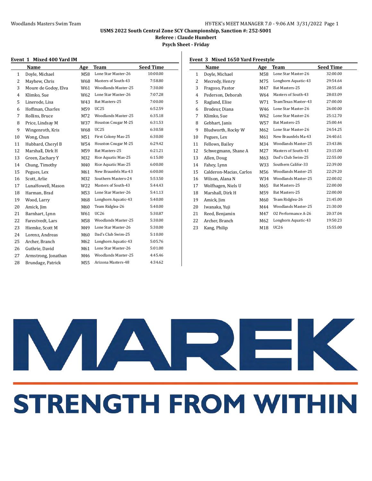**Referee : Claude Humbert**

**Psych Sheet - Friday**

#### **Event 1 Mixed 400 Yard IM**

 $\overline{\phantom{a}}$ 

|                | Name                 | Age | <b>Team</b>                | <b>Seed Time</b> |
|----------------|----------------------|-----|----------------------------|------------------|
| 1              | Doyle, Michael       | M58 | Lone Star Master-26        | 10:00.00         |
| 2              | Mayhew, Chris        | W68 | Masters of South-43        | 7:58.80          |
| 3              | Moure de Godoy, Elva | W61 | Woodlands Master-25        | 7:30.00          |
| $\overline{4}$ | Klimko, Sue          | W62 | Lone Star Master-26        | 7:07.28          |
| 5              | Linerode, Lisa       | W43 | Bat Masters-25             | 7:00.00          |
| 6              | Hoffman, Charles     | M59 | <b>UC25</b>                | 6:52.59          |
| 7              | Rollins, Bruce       | M72 | <b>Woodlands Master-25</b> | 6:35.18          |
| 8              | Price, Lindsay M     | W37 | Houston Cougar M-25        | 6:31.53          |
| 9              | Wingenroth, Kris     | W68 | <b>UC25</b>                | 6:30.58          |
| 10             | Wong, Chun           | M51 | First Colony Mas-25        | 6:30.00          |
| 11             | Hubbard, Cheryl B    | W54 | <b>Houston Cougar M-25</b> | 6:29.42          |
| 12             | Marshall, Dirk H     | M59 | Bat Masters-25             | 6:21.21          |
| 13             | Green, Zachary Y     | M32 | Rice Aquatic Mas-25        | 6:15.00          |
| 14             | Chung, Timothy       | M40 | Rice Aquatic Mas-25        | 6:00.00          |
| 15             | Pegues, Lex          | M61 | New Braunfels Ma-43        | 6:00.00          |
| 16             | Scott, Arlie         | M32 | Southern Masters-24        | 5:53.50          |
| 17             | LunaHowell, Mason    | W22 | Masters of South-43        | 5:44.43          |
| 18             | Harman, Brad         | M53 | Lone Star Master-26        | 5:41.13          |
| 19             | Wood, Larry          | M68 | Longhorn Aquatic-43        | 5:40.00          |
| 20             | Amick, Jim           | M60 | Team Ridglea-26            | 5:40.00          |
| 21             | Barnhart, Lynn       | W61 | <b>UC26</b>                | 5:30.87          |
| 22             | Farestvedt, Lars     | M58 | <b>Woodlands Master-25</b> | 5:30.00          |
| 23             | Hiemke, Scott M      | M49 | Lone Star Master-26        | 5:30.00          |
| 24             | Lorenz, Andreas      | M60 | Dad's Club Swim-25         | 5:10.00          |
| 25             | Archer, Branch       | M62 | Longhorn Aquatic-43        | 5:05.76          |
| 26             | Guthrie, David       | M61 | Lone Star Master-26        | 5:01.00          |
| 27             | Armstrong, Jonathan  | M46 | <b>Woodlands Master-25</b> | 4:45.46          |
| 28             | Brundage, Patrick    | M55 | Arizona Masters-48         | 4:34.62          |

#### **Event 3 Mixed 1650 Yard Freestyle**

|    | Name                    | Age | <b>Team</b>                | <b>Seed Time</b> |
|----|-------------------------|-----|----------------------------|------------------|
| 1  | Doyle, Michael          | M58 | Lone Star Master-26        | 32:00.00         |
| 2  | Mecredy, Henry          | M75 | Longhorn Aquatic-43        | 29:54.64         |
| 3  | Fragoso, Pastor         | M47 | Bat Masters-25             | 28:55.68         |
| 4  | Pederson, Deborah       | W64 | Masters of South-43        | 28:03.09         |
| 5  | Ragland, Elise          | W71 | TeamTexas Master-43        | 27:00.00         |
| 6  | Brodeur, Diana          | W46 | Lone Star Master-26        | 26:00.00         |
| 7  | Klimko, Sue             | W62 | Lone Star Master-26        | 25:12.70         |
| 8  | Gebhart, Janis          | W57 | Bat Masters-25             | 25:00.44         |
| 9  | Bludworth, Rocky W      | M62 | Lone Star Master-26        | 24:54.25         |
| 10 | Pegues, Lex             | M61 | New Braunfels Ma-43        | 24:40.61         |
| 11 | Fellows, Bailey         | M34 | <b>Woodlands Master-25</b> | 23:43.86         |
| 12 | Schwegmann, Shane A     | M27 | Masters of South-43        | 23:15.00         |
| 13 | Allen, Doug             | M63 | Dad's Club Swim-25         | 22:55.00         |
| 14 | Fahey, Lynn             | W33 | Southern Califor-33        | 22:39.00         |
| 15 | Calderon-Macias, Carlos | M56 | <b>Woodlands Master-25</b> | 22:29.20         |
| 16 | Wilson, Alana N         | W34 | <b>Woodlands Master-25</b> | 22:00.02         |
| 17 | Wolfhagen, Niels U      | M65 | Bat Masters-25             | 22:00.00         |
| 18 | Marshall, Dirk H        | M59 | Bat Masters-25             | 22:00.00         |
| 19 | Amick, Jim              | M60 | Team Ridglea-26            | 21:45.00         |
| 20 | Iwanaka, Yuji           | M44 | Woodlands Master-25        | 21:30.00         |
| 21 | Reed, Benjamin          | M47 | 02 Performance A-26        | 20:37.04         |
| 22 | Archer, Branch          | M62 | Longhorn Aquatic-43        | 19:50.23         |
| 23 | Kang, Philip            | M18 | <b>UC26</b>                | 15:55.00         |

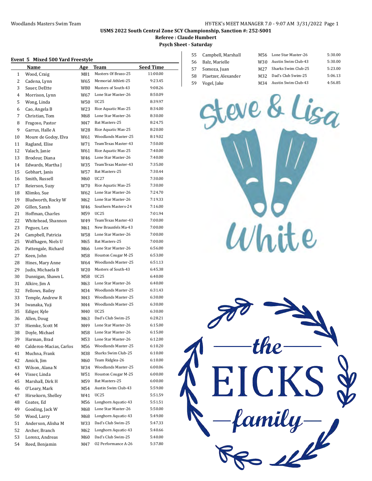**Referee : Claude Humbert**

**Psych Sheet - Saturday**

|  |  |  | Event 5 Mixed 500 Yard Freestyle |
|--|--|--|----------------------------------|
|--|--|--|----------------------------------|

| vent | -5<br>Mixed 500 Yard Freestyle |     |                            |           |
|------|--------------------------------|-----|----------------------------|-----------|
|      | Name                           | Age | <b>Team</b>                | Seed Time |
| 1    | Wood, Craig                    | M81 | Masters Of Brazo-25        | 11:00.00  |
| 2    | Cadena, Lynn                   | W65 | Memorial Athleti-25        | 9:23.45   |
| 3    | Sauer, DeEtte                  | W80 | Masters of South-43        | 9:08.26   |
| 4    | Morrison, Lynn                 | W67 | Lone Star Master-26        | 8:50.09   |
| 5    | Wong, Linda                    | W50 | <b>UC25</b>                | 8:39.97   |
| 6    | Cao, Angela B                  | W23 | Rice Aquatic Mas-25        | 8:34.00   |
| 7    | Christian, Tom                 | M68 | Lone Star Master-26        | 8:30.00   |
| 8    | Fragoso, Pastor                | M47 | Bat Masters-25             | 8:24.75   |
| 9    | Garrus, Halle A                | W28 | Rice Aquatic Mas-25        | 8:20.00   |
| 10   | Moure de Godoy, Elva           | W61 | <b>Woodlands Master-25</b> | 8:19.02   |
| 11   | Ragland, Elise                 | W71 | TeamTexas Master-43        | 7:50.00   |
| 12   | Valach, Janie                  | W61 | Rice Aquatic Mas-25        | 7:40.00   |
| 13   | Brodeur, Diana                 | W46 | Lone Star Master-26        | 7:40.00   |
| 14   | Edwards, Martha J              | W35 | TeamTexas Master-43        | 7:35.00   |
| 15   | Gebhart, Janis                 | W57 | Bat Masters-25             | 7:30.44   |
| 16   | Smith, Russell                 | M60 | <b>UC27</b>                | 7:30.00   |
| 17   | Reierson, Suzy                 | W70 | Rice Aquatic Mas-25        | 7:30.00   |
| 18   | Klimko, Sue                    | W62 | Lone Star Master-26        | 7:24.70   |
| 19   | Bludworth, Rocky W             | M62 | Lone Star Master-26        | 7:19.33   |
| 20   | Gillen, Sarah                  | W46 | Southern Masters-24        | 7:16.00   |
| 21   | Hoffman, Charles               | M59 | <b>UC25</b>                | 7:01.94   |
| 22   | Whitehead, Shannon             | W49 | TeamTexas Master-43        | 7:00.00   |
| 23   | Pegues, Lex                    | M61 | New Braunfels Ma-43        | 7:00.00   |
| 24   | Campbell, Patricia             | W58 | Lone Star Master-26        | 7:00.00   |
| 25   | Wolfhagen, Niels U             | M65 | Bat Masters-25             | 7:00.00   |
| 26   | Pattengale, Richard            | M66 | Lone Star Master-26        | 6:56.00   |
| 27   | Keen, John                     | M58 | Houston Cougar M-25        | 6:53.00   |
| 28   | Hines, Mary Anne               | W64 | Woodlands Master-25        | 6:51.13   |
| 29   | Judis, Michaela B              | W20 | Masters of South-43        | 6:45.38   |
| 30   | Dunnigan, Shawn L              | M58 | <b>UC25</b>                | 6:40.00   |
| 31   | Alkire, Jim A                  | M63 | Lone Star Master-26        | 6:40.00   |
| 32   | Fellows, Bailey                | M34 | <b>Woodlands Master-25</b> | 6:31.43   |
| 33   | Temple, Andrew R               | M43 | Woodlands Master-25        | 6:30.00   |
| 34   | Iwanaka, Yuji                  | M44 | <b>Woodlands Master-25</b> | 6:30.00   |
| 35   | Ediger, Kyle                   | M40 | <b>UC25</b>                | 6:30.00   |
| 36   | Allen, Doug                    | M63 | Dad's Club Swim-25         | 6:28.21   |
| 37   | Hiemke, Scott M                | M49 | Lone Star Master-26        | 6:15.00   |
| 38   | Doyle, Michael                 | M58 | Lone Star Master-26        | 6:15.00   |
| 39   | Harman, Brad                   | M53 | Lone Star Master-26        | 6:12.00   |
| 40   | Calderon-Macias, Carlos        | M56 | Woodlands Master-25        | 6:10.20   |
| 41   | Muchna, Frank                  | M38 | Sharks Swim Club-25        | 6:10.00   |
| 42   | Amick, Jim                     | M60 | Team Ridglea-26            | 6:10.00   |
| 43   | Wilson, Alana N                | W34 | Woodlands Master-25        | 6:00.06   |
| 44   | Visser, Linda                  | W51 | Houston Cougar M-25        | 6:00.00   |
| 45   | Marshall, Dirk H               | M59 | Bat Masters-25             | 6:00.00   |
| 46   | O'Leary, Mark                  | M54 | Austin Swim Club-43        | 5:59.00   |
| 47   | Hirsekorn, Shelley             | W41 | UC <sub>25</sub>           | 5:51.59   |
| 48   | Coates, Ed                     | M56 | Longhorn Aquatic-43        | 5:51.51   |
| 49   | Gooding, Jack W                | M68 | Lone Star Master-26        | 5:50.00   |
| 50   | Wood, Larry                    | M68 | Longhorn Aquatic-43        | 5:49.00   |
| 51   | Anderson, Alisha M             | W33 | Dad's Club Swim-25         | 5:47.33   |
| 52   | Archer, Branch                 | M62 | Longhorn Aquatic-43        | 5:40.66   |
| 53   | Lorenz, Andreas                | M60 | Dad's Club Swim-25         | 5:40.00   |
| 54   | Reed, Benjamin                 | M47 | 02 Performance A-26        | 5:37.80   |
|      |                                |     |                            |           |

|     | 55 Campbell, Marshall |      | M56 Lone Star Master-26 | 5:30.00 |
|-----|-----------------------|------|-------------------------|---------|
|     | 56 Balz, Marielle     | W30  | Austin Swim Club-43     | 5:30.00 |
|     | 57 Somoza, Juan       | M27  | Sharks Swim Club-25     | 5:23.00 |
| 58  | Plaetzer, Alexander   | M32. | Dad's Club Swim-25      | 5:06.13 |
| 59. | Vogel, Jake           | M34  | Austin Swim Club-43     | 4:56.85 |
|     |                       |      |                         |         |

ne & Lisa White

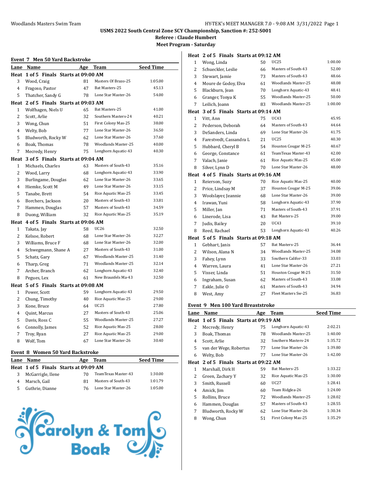## **Referee : Claude Humbert**

**Meet Program - Saturday**

#### **Heat 2 of 5 Finals Starts at 09:12 AM**

|                | Event 7 Men 50 Yard Backstroke        |     |                            |                  |  |  |
|----------------|---------------------------------------|-----|----------------------------|------------------|--|--|
| Lane           | Name                                  | Age | Team                       | <b>Seed Time</b> |  |  |
|                | Heat 1 of 5 Finals Starts at 09:00 AM |     |                            |                  |  |  |
| 3              | Wood, Craig                           | 81  | Masters Of Brazo-25        | 1:05.00          |  |  |
| $\overline{4}$ | Fragoso, Pastor                       | 47  | Bat Masters-25             | 45.13            |  |  |
| 5              | Thatcher, Sandy G                     | 78  | Lone Star Master-26        | 54.00            |  |  |
|                | Heat 2 of 5 Finals Starts at 09:03 AM |     |                            |                  |  |  |
| $\mathbf{1}$   | Wolfhagen, Niels U                    | 65  | Bat Masters-25             | 41.00            |  |  |
| 2              | Scott, Arlie                          | 32  | Southern Masters-24        | 40.21            |  |  |
| 3              | Wong, Chun                            | 51  | First Colony Mas-25        | 38.00            |  |  |
| 4              | Welty, Bob                            | 77  | Lone Star Master-26        | 36.50            |  |  |
| 5              | Bludworth, Rocky W                    | 62  | Lone Star Master-26        | 37.60            |  |  |
| 6              | Boak, Thomas                          | 78  | <b>Woodlands Master-25</b> | 40.00            |  |  |
| 7              | Mecredy, Henry                        | 75  | Longhorn Aquatic-43        | 40.30            |  |  |
|                | Heat 3 of 5 Finals Starts at 09:04 AM |     |                            |                  |  |  |
| 1              | Michaels, Charles                     | 63  | Masters of South-43        | 35.16            |  |  |
| 2              | Wood, Larry                           | 68  | Longhorn Aquatic-43        | 33.90            |  |  |
| 3              | Burlingame, Douglas                   | 62  | Lone Star Master-26        | 33.65            |  |  |
| 4              | Hiemke, Scott M                       | 49  | Lone Star Master-26        | 33.15            |  |  |
| 5              | Tanabe, Brett                         | 54  | Rice Aquatic Mas-25        | 33.45            |  |  |
| 6              | Borchers, Jackson                     | 20  | Masters of South-43        | 33.81            |  |  |
| 7              | Hammen, Douglas                       | 57  | Masters of South-43        | 34.59            |  |  |
| 8              | Duong, William                        | 32  | Rice Aquatic Mas-25        | 35.19            |  |  |
|                | Heat 4 of 5 Finals Starts at 09:06 AM |     |                            |                  |  |  |
| $\mathbf{1}$   | Takata, Jay                           | 58  | <b>UC26</b>                | 32.50            |  |  |
| 2              | Kelsoe, Robert                        | 68  | Lone Star Master-26        | 32.27            |  |  |
| 3              | Williams, Bruce F                     | 68  | Lone Star Master-26        | 32.00            |  |  |
| 4              | Schwegmann, Shane A                   | 27  | Masters of South-43        | 31.00            |  |  |
| 5              | Schatz, Gary                          | 67  | <b>Woodlands Master-25</b> | 31.40            |  |  |
| 6              | Tharp, Greg                           | 71  | Woodlands Master-25        | 32.14            |  |  |
| 7              | Archer, Branch                        | 62  | Longhorn Aquatic-43        | 32.40            |  |  |
| 8              | Pegues, Lex                           | 61  | New Braunfels Ma-43        | 32.50            |  |  |
| Heat           | 5 of 5 Finals Starts at 09:08 AM      |     |                            |                  |  |  |
| $\mathbf{1}$   | Power, Scott                          | 59  | Longhorn Aquatic-43        | 29.50            |  |  |
| 2              | Chung, Timothy                        | 40  | Rice Aquatic Mas-25        | 29.00            |  |  |
| 3              | Kone, Bruce                           | 64  | <b>UC25</b>                | 27.80            |  |  |
| 4              | Quint, Marcus                         | 27  | Masters of South-43        | 25.06            |  |  |
| 5              | Davis, Ross C                         | 55  | Woodlands Master-25        | 27.27            |  |  |
| 6              | Connolly, James                       | 52  | Rice Aquatic Mas-25        | 28.00            |  |  |
| 7              | Troy, Ryan                            | 27  | Rice Aquatic Mas-25        | 29.00            |  |  |
| 8              | Wolf, Tom                             | 67  | Lone Star Master-26        | 30.40            |  |  |

#### **Event 8 Women 50 Yard Backstroke**

|   | Lane Name                             | Age | Team                | <b>Seed Time</b> |
|---|---------------------------------------|-----|---------------------|------------------|
|   | Heat 1 of 5 Finals Starts at 09:09 AM |     |                     |                  |
| 3 | McGarrigle, Ilene                     | 70  | TeamTexas Master-43 | 1:30.00          |
| 4 | Marsch, Gail                          | 81  | Masters of South-43 | 1:01.79          |
|   | Guthrie, Dianne                       | 76  | Lone Star Master-26 | 1:05.00          |
|   |                                       |     |                     |                  |



| 1              | Wong, Linda                      | 50 | <b>UC25</b>                | 1:00.00 |
|----------------|----------------------------------|----|----------------------------|---------|
| $\overline{2}$ | Schueckler, Leslie               | 66 | Masters of South-43        | 52.00   |
| 3              | Stewart, Jamie                   | 73 | Masters of South-43        | 48.66   |
| 4              | Moure de Godoy, Elva             | 61 | Woodlands Master-25        | 48.08   |
| 5              | Blackburn, Jean                  | 70 | Longhorn Aquatic-43        | 48.41   |
| 6              | Granger, Tonya K                 | 55 | <b>Woodlands Master-25</b> | 50.00   |
| 7              | Leilich, Joann                   | 83 | Woodlands Master-25        | 1:00.00 |
| Heat           | 3 of 5 Finals Starts at 09:14 AM |    |                            |         |
| $\mathbf{1}$   | Vitt, Ann                        | 75 | UC43                       | 45.95   |
| $\overline{c}$ | Pederson, Deborah                | 64 | Masters of South-43        | 44.64   |
| 3              | DeSanders, Linda                 | 69 | Lone Star Master-26        | 41.75   |
| 4              | Farestvedt, Cassandra L          | 21 | UC <sub>25</sub>           | 40.30   |
| 5              | Hubbard, Cheryl B                | 54 | Houston Cougar M-25        | 40.67   |
| 6              | George, Constance                | 61 | TeamTexas Master-43        | 42.00   |
| $\overline{7}$ | Valach, Janie                    | 61 | Rice Aquatic Mas-25        | 45.00   |
| 8              | Silver, Lynn D                   | 70 | Lone Star Master-26        | 48.00   |
| Heat           | 4 of 5 Finals Starts at 09:16 AM |    |                            |         |
| 1              | Reierson, Suzy                   | 70 | Rice Aquatic Mas-25        | 40.00   |
| $\overline{2}$ | Price, Lindsay M                 | 37 | Houston Cougar M-25        | 39.06   |
| 3              | Woolslayer, Jeannie              | 68 | Lone Star Master-26        | 39.00   |
| 4              | Irawan, Yuni                     | 58 | Longhorn Aquatic-43        | 37.90   |
| 5              | Miller, Jan                      | 71 | Masters of South-43        | 37.91   |
| 6              | Linerode, Lisa                   | 43 | Bat Masters-25             | 39.00   |
| 7              | Judis, Bailey                    | 20 | UC43                       | 39.10   |
| 8              | Reed, Rachael                    | 53 | Longhorn Aquatic-43        | 40.26   |
| Heat           | 5 of 5 Finals Starts at 09:18 AM |    |                            |         |
| $\mathbf{1}$   | Gebhart, Janis                   | 57 | Bat Masters-25             | 36.44   |
| $\overline{2}$ | Wilson, Alana N                  | 34 | <b>Woodlands Master-25</b> | 34.08   |
| 3              | Fahey, Lynn                      | 33 | Southern Califor-33        | 33.03   |
| 4              | Warren, Laura                    | 41 | Lone Star Master-26        | 27.21   |
| 5              | Visser, Linda                    | 51 | <b>Houston Cougar M-25</b> | 31.50   |
| 6              | Ingraham, Susan                  | 62 | Masters of South-43        | 33.08   |
| 7              | Eakle, Julie O                   | 61 | Masters of South-43        | 34.94   |
| 8              | West, Amy                        | 27 | Fleet Masters Sw-25        | 36.83   |
|                |                                  |    |                            |         |

#### **Event 9 Men 100 Yard Breaststroke**

| Lane | Name                                  | Age | Team                       | <b>Seed Time</b> |
|------|---------------------------------------|-----|----------------------------|------------------|
|      | Heat 1 of 5 Finals Starts at 09:19 AM |     |                            |                  |
| 2    | Mecredy, Henry                        | 75  | Longhorn Aquatic-43        | 2:02.21          |
| 3    | Boak, Thomas                          | 78  | <b>Woodlands Master-25</b> | 1:40.00          |
| 4    | Scott, Arlie                          | 32  | Southern Masters-24        | 1:35.72          |
| 5    | van der Wege, Robertus                | 77  | Lone Star Master-26        | 1:39.80          |
| 6    | Welty, Bob                            | 77  | Lone Star Master-26        | 1:42.00          |
|      | Heat 2 of 5 Finals Starts at 09:22 AM |     |                            |                  |
| 1    | Marshall, Dirk H                      | 59  | <b>Bat Masters-25</b>      | 1:33.22          |
| 2    | Green, Zachary Y                      | 32  | Rice Aquatic Mas-25        | 1:30.00          |
| 3    | Smith, Russell                        | 60  | UC27                       | 1:28.41          |
| 4    | Amick, Jim                            | 60  | Team Ridglea-26            | 1:24.00          |
| 5    | Rollins, Bruce                        | 72  | <b>Woodlands Master-25</b> | 1:28.02          |
| 6    | Hammen, Douglas                       | 57  | Masters of South-43        | 1:28.55          |
| 7    | Bludworth, Rocky W                    | 62  | Lone Star Master-26        | 1:30.34          |
| 8    | Wong, Chun                            | 51  | First Colony Mas-25        | 1:35.29          |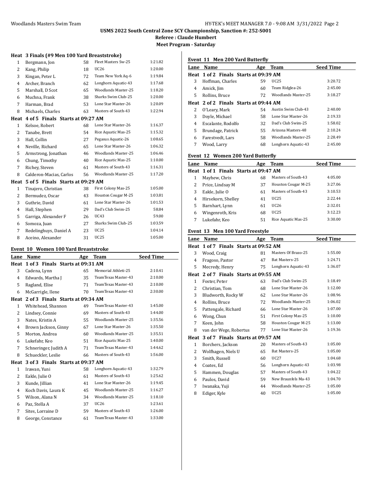**Referee : Claude Humbert**

**Meet Program - Saturday**

#### **Heat 3 Finals (#9 Men 100 Yard Breaststroke)**

| 1            | Bergmann, Jon                    | 58 | Fleet Masters Sw-25        | 1:21.82 |
|--------------|----------------------------------|----|----------------------------|---------|
| 2            | Kang, Philip                     | 18 | <b>UC26</b>                | 1:20.00 |
| 3            | Kingan, Peter L                  | 72 | Team New York Aq-6         | 1:19.84 |
| 4            | Archer, Branch                   | 62 | Longhorn Aquatic-43        | 1:17.68 |
| 5            | Marshall, D Scot                 | 65 | Woodlands Master-25        | 1:18.20 |
| 6            | Muchna, Frank                    | 38 | Sharks Swim Club-25        | 1:20.00 |
| 7            | Harman, Brad                     | 53 | Lone Star Master-26        | 1:20.09 |
| 8            | Michaels, Charles                | 63 | Masters of South-43        | 1:22.94 |
| Heat         | 4 of 5 Finals Starts at 09:27 AM |    |                            |         |
| $\mathbf{1}$ | Kelsoe, Robert                   | 68 | Lone Star Master-26        | 1:16.37 |
| 2            | Tanabe, Brett                    | 54 | Rice Aquatic Mas-25        | 1:15.32 |
| 3            | Hall, Collin                     | 27 | Pegasus Aquatic-26         | 1:08.65 |
| 4            | Neville, Richard                 | 65 | Lone Star Master-26        | 1:06.32 |
| 5            | Armstrong, Jonathan              | 46 | <b>Woodlands Master-25</b> | 1:06.46 |
| 6            | Chung, Timothy                   | 40 | Rice Aquatic Mas-25        | 1:10.00 |
| 7            | Richey, Steven                   | 61 | Masters of South-43        | 1:16.31 |
| 8            | Calderon-Macias, Carlos          | 56 | Woodlands Master-25        | 1:17.20 |
| Heat         | 5 of 5 Finals Starts at 09:29 AM |    |                            |         |
| $\mathbf{1}$ | Tinajero, Christian              | 38 | First Colony Mas-25        | 1:05.00 |
| 2            | Bermudez, Oscar                  | 43 | Houston Cougar M-25        | 1:03.81 |
| 3            | Guthrie, David                   | 61 | Lone Star Master-26        | 1:01.53 |
| 4            | Hall, Stephen                    | 29 | Dad's Club Swim-25         | 58.84   |
| 5            | Garriga, Alexander F             | 26 | UC43                       | 59.00   |
| 6            | Somoza, Juan                     | 27 | Sharks Swim Club-25        | 1:03.59 |
| 7            | Redelinghuys, Daniel A           | 23 | <b>UC25</b>                | 1:04.14 |
| 8            | Aceino, Alexander                | 31 | <b>UC25</b>                | 1:05.00 |

#### **Event 10 Women 100 Yard Breaststroke**

| Lane         | Name                             | Age | Team                       | <b>Seed Time</b> |
|--------------|----------------------------------|-----|----------------------------|------------------|
| Heat         | 1 of 3 Finals Starts at 09:31 AM |     |                            |                  |
| 3            | Cadena, Lynn                     | 65  | Memorial Athleti-25        | 2:10.41          |
| 4            | Edwards, Martha J                | 35  | TeamTexas Master-43        | 2:10.00          |
| 5            | Ragland, Elise                   | 71  | TeamTexas Master-43        | 2:10.00          |
| 6            | McGarrigle, Ilene                | 70  | TeamTexas Master-43        | 2:30.00          |
| Heat         | 2 of 3 Finals Starts at 09:34 AM |     |                            |                  |
| 1            | Whitehead, Shannon               | 49  | TeamTexas Master-43        | 1:45.00          |
| 2            | Lindsey, Connie                  | 69  | Masters of South-43        | 1:44.00          |
| 3            | Nates, Kristin A                 | 55  | <b>Woodlands Master-25</b> | 1:35.56          |
| 4            | Brown Jackson, Ginny             | 67  | Lone Star Master-26        | 1:35.50          |
| 5            | Morton, Andrea                   | 60  | <b>Woodlands Master-25</b> | 1:35.51          |
| 6            | Lukefahr, Keo                    | 51  | Rice Aquatic Mas-25        | 1:40.00          |
| 7            | Schneringer, Judith A            | 71  | TeamTexas Master-43        | 1:44.62          |
| 8            | Schueckler, Leslie               | 66  | Masters of South-43        | 1:56.00          |
| Heat         | 3 of 3 Finals Starts at 09:37 AM |     |                            |                  |
| $\mathbf{1}$ | Irawan, Yuni                     | 58  | Longhorn Aquatic-43        | 1:32.79          |
| 2            | Eakle, Julie O                   | 61  | Masters of South-43        | 1:25.62          |
| 3            | Kunde, Jillian                   | 41  | Lone Star Master-26        | 1:19.45          |
| 4            | Koch Davis, Laura K              | 45  | <b>Woodlands Master-25</b> | 1:16.27          |
| 5            | Wilson, Alana N                  | 34  | <b>Woodlands Master-25</b> | 1:18.10          |
| 6            | Paz, Stella A                    | 37  | <b>UC26</b>                | 1:23.61          |
| 7            | Sites, Lorraine D                | 59  | Masters of South-43        | 1:26.00          |
| 8            | George, Constance                | 61  | TeamTexas Master-43        | 1:33.00          |

|                | <b>Event 11 Men 200 Yard Butterfly</b>                     |     |                            |                  |
|----------------|------------------------------------------------------------|-----|----------------------------|------------------|
|                | Lane Name                                                  | Age | <b>Team</b>                | <b>Seed Time</b> |
|                | Heat 1 of 2 Finals Starts at 09:39 AM                      |     |                            |                  |
| 3              | Hoffman, Charles                                           | 59  | <b>UC25</b>                | 3:20.72          |
| 4              | Amick, Jim                                                 | 60  | Team Ridglea-26            | 2:45.00          |
| 5              | Rollins, Bruce                                             | 72  | <b>Woodlands Master-25</b> | 3:18.27          |
|                | Heat 2 of 2 Finals Starts at 09:44 AM                      |     |                            |                  |
| 2              | O'Leary, Mark                                              | 54  | Austin Swim Club-43        | 2:40.00          |
| 3              | Doyle, Michael                                             | 58  | Lone Star Master-26        | 2:19.33          |
| 4              | Escalante, Rodolfo                                         | 32  | Dad's Club Swim-25         | 1:58.02          |
| 5              | Brundage, Patrick                                          | 55  | Arizona Masters-48         | 2:10.24          |
| 6              | Farestvedt, Lars                                           | 58  | <b>Woodlands Master-25</b> | 2:28.49          |
| 7              | Wood, Larry                                                | 68  | Longhorn Aquatic-43        | 2:45.00          |
|                | <b>Event 12 Women 200 Yard Butterfly</b>                   |     |                            |                  |
|                | Lane Name                                                  |     | Age Team                   | <b>Seed Time</b> |
|                | Heat 1 of 1 Finals Starts at 09:47 AM                      |     |                            |                  |
| 1              | Mayhew, Chris                                              | 68  | Masters of South-43        | 4:05.00          |
| 2              | Price, Lindsay M                                           | 37  | Houston Cougar M-25        | 3:27.06          |
| 3              | Eakle, Julie O                                             | 61  | Masters of South-43        | 3:10.53          |
| 4              | Hirsekorn, Shelley                                         | 41  | <b>UC25</b>                | 2:22.44          |
| 5              | Barnhart, Lynn                                             | 61  | <b>UC26</b>                | 2:32.01          |
| 6              | Wingenroth, Kris                                           | 68  | <b>UC25</b>                | 3:12.23          |
| 7              | Lukefahr, Keo                                              | 51  | Rice Aquatic Mas-25        | 3:30.00          |
|                | Event 13 Men 100 Yard Freestyle                            |     |                            |                  |
|                | Lane Name                                                  |     | Age Team                   | <b>Seed Time</b> |
|                | Heat 1 of 7 Finals Starts at 09:52 AM                      |     |                            |                  |
| 3              |                                                            |     |                            |                  |
|                | Wood, Craig                                                | 81  | Masters Of Brazo-25        | 1:55.00          |
| 4              | Fragoso, Pastor                                            | 47  | Bat Masters-25             | 1:24.71          |
| 5              | Mecredy, Henry                                             | 75  | Longhorn Aquatic-43        | 1:36.07          |
|                | Heat 2 of 7 Finals Starts at 09:55 AM                      |     |                            |                  |
| 1              | Foster, Peter                                              | 63  | Dad's Club Swim-25         | 1:18.49          |
| 2              | Christian, Tom                                             | 68  | Lone Star Master-26        | 1:12.00          |
| 3              | Bludworth, Rocky W                                         | 62  | Lone Star Master-26        | 1:08.96          |
| 4              | Rollins, Bruce                                             | 72  | Woodlands Master-25        | 1:06.02          |
| 5              | Pattengale, Richard                                        | 66  | Lone Star Master-26        | 1:07.00          |
| 6              | Wong, Chun                                                 | 51  | First Colony Mas-25        | 1:10.00          |
| 7              |                                                            | 58  | Houston Cougar M-25        | 1:13.00          |
| 8              | Keen, John                                                 | 77  | Lone Star Master-26        | 1:19.36          |
| Heat           | van der Wege, Robertus<br>3 of 7 Finals Starts at 09:57 AM |     |                            |                  |
| 1              | Borchers, Jackson                                          | 20  | Masters of South-43        | 1:05.00          |
| $\overline{c}$ | Wolfhagen, Niels U                                         | 65  | Bat Masters-25             | 1:05.00          |
| 3              | Smith, Russell                                             | 60  | <b>UC27</b>                | 1:04.68          |
| 4              | Coates, Ed                                                 | 56  | Longhorn Aquatic-43        | 1:03.98          |
| 5              | Hammen, Douglas                                            | 57  | Masters of South-43        | 1:04.22          |
| 6              | Paulos, David                                              | 59  | New Braunfels Ma-43        | 1:04.70          |
| 7              |                                                            | 44  | Woodlands Master-25        | 1:05.00          |
| 8              | Iwanaka, Yuji<br>Ediger, Kyle                              | 40  | <b>UC25</b>                | 1:05.00          |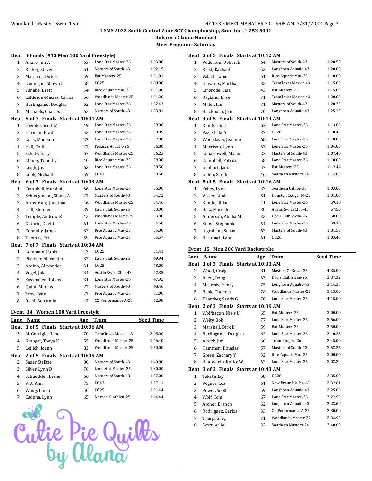**Referee : Claude Humbert**

**Meet Program - Saturday**

#### **Heat 4 Finals (#13 Men 100 Yard Freestyle)**

| $\mathbf{1}$   | Alkire, Jim A                    | 63 | Lone Star Master-26        | 1:03.00 |
|----------------|----------------------------------|----|----------------------------|---------|
| 2              | Richey, Steven                   | 61 | Masters of South-43        | 1:02.15 |
| 3              | Marshall, Dirk H                 | 59 | Bat Masters-25             | 1:01.01 |
| 4              | Dunnigan, Shawn L                | 58 | <b>UC25</b>                | 1:00.00 |
| 5              | Tanabe, Brett                    | 54 | Rice Aquatic Mas-25        | 1:01.00 |
| 6              | Calderon-Macias, Carlos          | 56 | <b>Woodlands Master-25</b> | 1:01.20 |
| 7              | Burlingame, Douglas              | 62 | Lone Star Master-26        | 1:02.43 |
| 8              | Michaels, Charles                | 63 | Masters of South-43        | 1:03.81 |
| Heat           | 5 of 7 Finals Starts at 10:01 AM |    |                            |         |
| $\mathbf{1}$   | Hiemke, Scott M                  | 49 | Lone Star Master-26        | 59.06   |
| 2              | Harman, Brad                     | 53 | Lone Star Master-26        | 58.09   |
| 3              | Luck, Madison                    | 27 | Lone Star Master-26        | 57.00   |
| 4              | Hall, Collin                     | 27 | Pegasus Aquatic-26         | 56.00   |
| 5              | Schatz, Gary                     | 67 | Woodlands Master-25        | 56.23   |
| 6              | Chung, Timothy                   | 40 | Rice Aquatic Mas-25        | 58.00   |
| 7              | Leigh, Jay                       | 63 | Lone Star Master-26        | 58.50   |
| 8              | Cook, Michael                    | 59 | UC43                       | 59.50   |
| Heat           | 6 of 7 Finals Starts at 10:03 AM |    |                            |         |
| $\mathbf{1}$   | Campbell, Marshall               | 56 | Lone Star Master-26        | 55.00   |
| $\overline{2}$ | Schwegmann, Shane A              | 27 | Masters of South-43        | 54.72   |
| 3              | Armstrong, Jonathan              | 46 | Woodlands Master-25        | 54.46   |
| 4              | Hall, Stephen                    | 29 | Dad's Club Swim-25         | 53.00   |
| 5              | Temple, Andrew R                 | 43 | Woodlands Master-25        | 53.00   |
| 6              | Guthrie, David                   | 61 | Lone Star Master-26        | 54.50   |
| 7              | Connolly, James                  | 52 | Rice Aquatic Mas-25        | 55.00   |
| 8              | Thomas, Eric                     | 59 | Rice Aquatic Mas-25        | 55.57   |
| Heat           | 7 of 7 Finals Starts at 10:04 AM |    |                            |         |
| $\mathbf{1}$   | Lohmann, Pablo                   | 43 | UC25                       | 51.41   |
| 2              | Plaetzer, Alexander              | 32 | Dad's Club Swim-25         | 49.94   |
| 3              | Aceino, Alexander                | 31 | UC25                       | 48.00   |
| 4              | Vogel, Jake                      | 34 | Austin Swim Club-43        | 47.35   |
| 5              | Sussmeier, Robert                | 31 | Lone Star Master-26        | 47.92   |
| 6              | Quint, Marcus                    | 27 | Masters of South-43        | 48.46   |
| 7              | Troy, Ryan                       | 27 | Rice Aquatic Mas-25        | 51.00   |
| 8              | Reed, Benjamin                   | 47 | 02 Performance A-26        | 52.98   |
|                |                                  |    |                            |         |

#### **Event 14 Women 100 Yard Freestyle**

| Lane | Name                                  | Age | Team                | <b>Seed Time</b> |
|------|---------------------------------------|-----|---------------------|------------------|
|      | Heat 1 of 5 Finals Starts at 10:06 AM |     |                     |                  |
| 3    | McGarrigle, Ilene                     | 70  | TeamTexas Master-43 | 2:05.00          |
| 4    | Granger, Tonya K                      | 55  | Woodlands Master-25 | 1:46.40          |
| 5.   | Leilich, Joann                        | 83  | Woodlands Master-25 | 1:50.00          |
|      | Heat 2 of 5 Finals Starts at 10:09 AM |     |                     |                  |
| 2    | Sauer, DeEtte                         | 80  | Masters of South-43 | 1:40.88          |
| 3    | Silver, Lynn D                        | 70  | Lone Star Master-26 | 1:30.00          |
| 4    | Schueckler, Leslie                    | 66  | Masters of South-43 | 1:27.00          |
| 5    | Vitt, Ann                             | 75  | UC43                | 1:27.11          |
| 6    | Wong, Linda                           | 50  | UC <sub>25</sub>    | 1:31.44          |
| 7    | Cadena, Lynn                          | 65  | Memorial Athleti-25 | 1:44.44          |
|      |                                       |     |                     |                  |



| пeat         | 5015 FIIIals Starts at IV:IZ AM  |    |                     |         |
|--------------|----------------------------------|----|---------------------|---------|
| $\mathbf{1}$ | Pederson, Deborah                | 64 | Masters of South-43 | 1:20.55 |
| 2            | Reed, Rachael                    | 53 | Longhorn Aquatic-43 | 1:20.00 |
| 3            | Valach, Janie                    | 61 | Rice Aquatic Mas-25 | 1:18.00 |
| 4            | Edwards, Martha J                | 35 | TeamTexas Master-43 | 1:15.00 |
| 5            | Linerode, Lisa                   | 43 | Bat Masters-25      | 1:15.00 |
| 6            | Ragland, Elise                   | 71 | TeamTexas Master-43 | 1:20.00 |
| 7            | Miller, Jan                      | 71 | Masters of South-43 | 1:20.33 |
| 8            | Blackburn, Jean                  | 70 | Longhorn Aquatic-43 | 1:25.25 |
| Heat         | 4 of 5 Finals Starts at 10:14 AM |    |                     |         |
| $\mathbf{1}$ | Klimko, Sue                      | 62 | Lone Star Master-26 | 1:13.00 |
| 2            | Paz, Stella A                    | 37 | <b>UC26</b>         | 1:10.45 |
| 3            | Woolslayer, Jeannie              | 68 | Lone Star Master-26 | 1:10.00 |
| 4            | Morrison, Lynn                   | 67 | Lone Star Master-26 | 1:04.00 |
| 5            | LunaHowell, Mason                | 22 | Masters of South-43 | 1:07.40 |
| 6            | Campbell, Patricia               | 58 | Lone Star Master-26 | 1:10.00 |
| 7            | Gebhart, Janis                   | 57 | Bat Masters-25      | 1:12.44 |
| 8            | Gillen, Sarah                    | 46 | Southern Masters-24 | 1:14.60 |
| Heat         | 5 of 5 Finals Starts at 10:16 AM |    |                     |         |
| 1            | Fahey, Lynn                      | 33 | Southern Califor-33 | 1:03.06 |
| 2            | Visser, Linda                    | 51 | Houston Cougar M-25 | 1:01.00 |
| 3            | Kunde, Jillian                   | 41 | Lone Star Master-26 | 59.10   |
| 4            | Balz, Marielle                   | 30 | Austin Swim Club-43 | 57.50   |
| 5            | Anderson, Alisha M               | 33 | Dad's Club Swim-25  | 58.00   |
| 6            | Stone, Stephanie                 | 54 | Lone Star Master-26 | 59.30   |
| 7            | Ingraham, Susan                  | 62 | Masters of South-43 | 1:01.53 |
| 8            | Barnhart, Lynn                   | 61 | <b>UC26</b>         | 1:03.40 |

#### **Event 15 Men 200 Yard Backstroke**

| Lane         | Name                                  | Age | Team                       | <b>Seed Time</b> |
|--------------|---------------------------------------|-----|----------------------------|------------------|
|              | Heat 1 of 3 Finals Starts at 10:33 AM |     |                            |                  |
| 2            | Wood, Craig                           | 81  | Masters Of Brazo-25        | 4:35.00          |
| 3            | Allen, Doug                           | 63  | Dad's Club Swim-25         | 3:37.32          |
| 4            | Mecredy, Henry                        | 75  | Longhorn Aquatic-43        | 3:14.33          |
| 5            | Boak, Thomas                          | 78  | <b>Woodlands Master-25</b> | 3:15.00          |
| 6            | Thatcher, Sandy G                     | 78  | Lone Star Master-26        | 4:15.00          |
| Heat         | 2 of 3 Finals Starts at 10:39 AM      |     |                            |                  |
| $\mathbf{1}$ | Wolfhagen, Niels U                    | 65  | Bat Masters-25             | 3:00.00          |
| 2            | Welty, Bob                            | 77  | Lone Star Master-26        | 2:56.00          |
| 3            | Marshall, Dirk H                      | 59  | Bat Masters-25             | 2:50.00          |
| 4            | Burlingame, Douglas                   | 62  | Lone Star Master-26        | 2:40.28          |
| 5            | Amick, Jim                            | 60  | Team Ridglea-26            | 2:45.00          |
| 6            | Hammen, Douglas                       | 57  | Masters of South-43        | 2:52.26          |
| 7            | Green, Zachary Y                      | 32  | Rice Aquatic Mas-25        | 3:00.00          |
| 8            | Bludworth, Rocky W                    | 62  | Lone Star Master-26        | 3:02.22          |
| Heat         | 3 of 3 Finals Starts at 10:43 AM      |     |                            |                  |
| 1            | Takata, Jay                           | 58  | <b>UC26</b>                | 2:35.00          |
| 2            | Pegues, Lex                           | 61  | New Braunfels Ma-43        | 2:32.61          |
| 3            | Power, Scott                          | 59  | Longhorn Aquatic-43        | 2:25.00          |
| 4            | Wolf, Tom                             | 67  | Lone Star Master-26        | 2:22.90          |
| 5            | Archer, Branch                        | 62  | Longhorn Aquatic-43        | 2:23.69          |
| 6            | Rodriguez, Carlos                     | 33  | 02 Performance A-26        | 2:30.00          |
| 7            | Tharp, Greg                           | 71  | <b>Woodlands Master-25</b> | 2:33.93          |
| 8            | Scott, Arlie                          | 32  | Southern Masters-24        | 2:40.00          |

### **Heat 3 of 5 Finals Starts at 10:12 AM**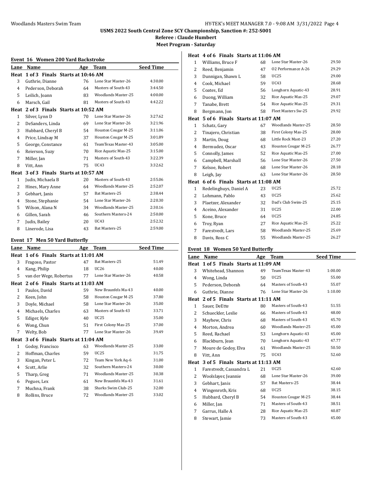## **Referee : Claude Humbert**

**Meet Program - Saturday**

#### **Event 16 Women 200 Yard Backstroke**

| Lane           | Name                             | Age | Team                       | <b>Seed Time</b> |
|----------------|----------------------------------|-----|----------------------------|------------------|
| Heat           | 1 of 3 Finals Starts at 10:46 AM |     |                            |                  |
| 3              | Guthrie, Dianne                  | 76  | Lone Star Master-26        | 4:30.00          |
| 4              | Pederson, Deborah                | 64  | Masters of South-43        | 3:44.50          |
| 5              | Leilich, Joann                   | 83  | <b>Woodlands Master-25</b> | 4:00.00          |
| 6              | Marsch, Gail                     | 81  | Masters of South-43        | 4:42.22          |
| Heat           | 2 of 3 Finals Starts at 10:52 AM |     |                            |                  |
| $\mathbf{1}$   | Silver, Lynn D                   | 70  | Lone Star Master-26        | 3:27.62          |
| 2              | DeSanders, Linda                 | 69  | Lone Star Master-26        | 3:21.96          |
| 3              | Hubbard, Cheryl B                | 54  | <b>Houston Cougar M-25</b> | 3:11.06          |
| 4              | Price, Lindsay M                 | 37  | Houston Cougar M-25        | 3:01.89          |
| 5              | George, Constance                | 61  | TeamTexas Master-43        | 3:05.00          |
| 6              | Reierson, Suzy                   | 70  | Rice Aquatic Mas-25        | 3:15.00          |
| 7              | Miller, Jan                      | 71  | Masters of South-43        | 3:22.39          |
| 8              | Vitt, Ann                        | 75  | <b>UC43</b>                | 3:32.62          |
| Heat           | 3 of 3 Finals Starts at 10:57 AM |     |                            |                  |
| $\mathbf{1}$   | Judis, Michaela B                | 20  | Masters of South-43        | 2:55.06          |
| 2              | Hines, Mary Anne                 | 64  | Woodlands Master-25        | 2:52.07          |
| 3              | Gebhart, Janis                   | 57  | Bat Masters-25             | 2:38.44          |
| $\overline{4}$ | Stone, Stephanie                 | 54  | Lone Star Master-26        | 2:20.30          |
| 5              | Wilson, Alana N                  | 34  | Woodlands Master-25        | 2:30.16          |
| 6              | Gillen, Sarah                    | 46  | Southern Masters-24        | 2:50.00          |
| 7              | Judis, Bailey                    | 20  | <b>UC43</b>                | 2:52.32          |
| 8              | Linerode, Lisa                   | 43  | Bat Masters-25             | 2:59.00          |
|                |                                  |     |                            |                  |

#### **Event 17 Men 50 Yard Butterfly**

| Lane | Name                             | Age | Team                       | <b>Seed Time</b> |
|------|----------------------------------|-----|----------------------------|------------------|
| Heat | 1 of 6 Finals Starts at 11:01 AM |     |                            |                  |
| 3    | Fragoso, Pastor                  | 47  | Bat Masters-25             | 51.49            |
| 4    | Kang, Philip                     | 18  | <b>UC26</b>                | 40.00            |
| 5    | van der Wege, Robertus           | 77  | Lone Star Master-26        | 40.58            |
| Heat | 2 of 6 Finals Starts at 11:03 AM |     |                            |                  |
| 1    | Paulos, David                    | 59  | New Braunfels Ma-43        | 40.00            |
| 2    | Keen, John                       | 58  | <b>Houston Cougar M-25</b> | 37.80            |
| 3    | Doyle, Michael                   | 58  | Lone Star Master-26        | 35.00            |
| 4    | Michaels, Charles                | 63  | Masters of South-43        | 33.71            |
| 5    | Ediger, Kyle                     | 40  | <b>UC25</b>                | 35.00            |
| 6    | Wong, Chun                       | 51  | First Colony Mas-25        | 37.00            |
| 7    | Welty, Bob                       | 77  | Lone Star Master-26        | 39.49            |
| Heat | 3 of 6 Finals Starts at 11:04 AM |     |                            |                  |
| 1    | Godoy, Francisco                 | 63  | <b>Woodlands Master-25</b> | 33.00            |
| 2    | Hoffman, Charles                 | 59  | <b>UC25</b>                | 31.75            |
| 3    | Kingan, Peter L                  | 72  | Team New York Aq-6         | 31.00            |
| 4    | Scott, Arlie                     | 32  | Southern Masters-24        | 30.00            |
| 5    | Tharp, Greg                      | 71  | <b>Woodlands Master-25</b> | 30.38            |
| 6    | Pegues, Lex                      | 61  | New Braunfels Ma-43        | 31.61            |
| 7    | Muchna, Frank                    | 38  | Sharks Swim Club-25        | 32.00            |
| 8    | Rollins, Bruce                   | 72  | Woodlands Master-25        | 33.02            |

#### **Heat 4 of 6 Finals Starts at 11:06 AM**

| 1              | Williams, Bruce F                | 68 | Lone Star Master-26        | 29.50 |
|----------------|----------------------------------|----|----------------------------|-------|
| 2              | Reed, Benjamin                   | 47 | 02 Performance A-26        | 29.29 |
| 3              | Dunnigan, Shawn L                | 58 | <b>UC25</b>                | 29.00 |
| 4              | Cook, Michael                    | 59 | <b>UC43</b>                | 28.68 |
| 5              | Coates, Ed                       | 56 | Longhorn Aquatic-43        | 28.91 |
| 6              | Duong, William                   | 32 | Rice Aquatic Mas-25        | 29.07 |
| 7              | Tanabe, Brett                    | 54 | Rice Aquatic Mas-25        | 29.31 |
| 8              | Bergmann, Jon                    | 58 | Fleet Masters Sw-25        | 29.92 |
| Heat           | 5 of 6 Finals Starts at 11:07 AM |    |                            |       |
| 1              | Schatz, Gary                     | 67 | <b>Woodlands Master-25</b> | 28.50 |
| 2              | Tinajero, Christian              | 38 | First Colony Mas-25        | 28.00 |
| 3              | Martin, Doug                     | 68 | Little Rock Mast-23        | 27.20 |
| 4              | Bermudez, Oscar                  | 43 | Houston Cougar M-25        | 26.77 |
| 5              | Connolly, James                  | 52 | Rice Aquatic Mas-25        | 27.00 |
| 6              | Campbell, Marshall               | 56 | Lone Star Master-26        | 27.50 |
| 7              | Kelsoe, Robert                   | 68 | Lone Star Master-26        | 28.18 |
| 8              | Leigh, Jay                       | 63 | Lone Star Master-26        | 28.50 |
| Heat           | 6 of 6 Finals Starts at 11:08 AM |    |                            |       |
| $\mathbf{1}$   | Redelinghuys, Daniel A           | 23 | <b>UC25</b>                | 25.72 |
| $\overline{2}$ | Lohmann, Pablo                   | 43 | <b>UC25</b>                | 25.62 |
| 3              | Plaetzer, Alexander              | 32 | Dad's Club Swim-25         | 25.15 |
| 4              | Aceino, Alexander                | 31 | <b>UC25</b>                | 22.00 |
| 5              | Kone, Bruce                      | 64 | <b>UC25</b>                | 24.85 |
| 6              | Troy, Ryan                       | 27 | Rice Aquatic Mas-25        | 25.22 |
| 7              | Farestvedt, Lars                 | 58 | Woodlands Master-25        | 25.69 |
| 8              | Davis, Ross C                    | 55 | <b>Woodlands Master-25</b> | 26.27 |

#### **Event 18 Women 50 Yard Butterfly**

| Lane         | Name                             | Age | <b>Team</b>                | <b>Seed Time</b> |
|--------------|----------------------------------|-----|----------------------------|------------------|
| Heat         | 1 of 5 Finals Starts at 11:09 AM |     |                            |                  |
| 3            | Whitehead, Shannon               | 49  | TeamTexas Master-43        | 1:00.00          |
| 4            | Wong, Linda                      | 50  | <b>UC25</b>                | 55.00            |
| 5            | Pederson, Deborah                | 64  | Masters of South-43        | 55.07            |
| 6            | Guthrie, Dianne                  | 76  | Lone Star Master-26        | 1:10.00          |
| Heat         | 2 of 5 Finals Starts at 11:11 AM |     |                            |                  |
| $\mathbf{1}$ | Sauer, DeEtte                    | 80  | Masters of South-43        | 51.55            |
| 2            | Schueckler, Leslie               | 66  | Masters of South-43        | 48.00            |
| 3            | Mayhew, Chris                    | 68  | Masters of South-43        | 45.70            |
| 4            | Morton, Andrea                   | 60  | <b>Woodlands Master-25</b> | 45.00            |
| 5            | Reed, Rachael                    | 53  | Longhorn Aquatic-43        | 45.00            |
| 6            | Blackburn, Jean                  | 70  | Longhorn Aquatic-43        | 47.77            |
| 7            | Moure de Godoy, Elva             | 61  | Woodlands Master-25        | 50.50            |
| 8            | Vitt, Ann                        | 75  | <b>UC43</b>                | 52.60            |
| Heat         | 3 of 5 Finals Starts at 11:13 AM |     |                            |                  |
| $\mathbf{1}$ | Farestvedt, Cassandra L          | 21  | <b>UC25</b>                | 42.60            |
| 2            | Woolslayer, Jeannie              | 68  | Lone Star Master-26        | 39.00            |
| 3            | Gebhart, Janis                   | 57  | Bat Masters-25             | 38.44            |
| 4            | Wingenroth, Kris                 | 68  | <b>UC25</b>                | 38.15            |
| 5            | Hubbard, Cheryl B                | 54  | Houston Cougar M-25        | 38.44            |
| 6            | Miller, Jan                      | 71  | Masters of South-43        | 38.51            |
| 7            | Garrus, Halle A                  | 28  | Rice Aquatic Mas-25        | 40.87            |
| 8            | Stewart, Jamie                   | 73  | Masters of South-43        | 45.00            |
|              |                                  |     |                            |                  |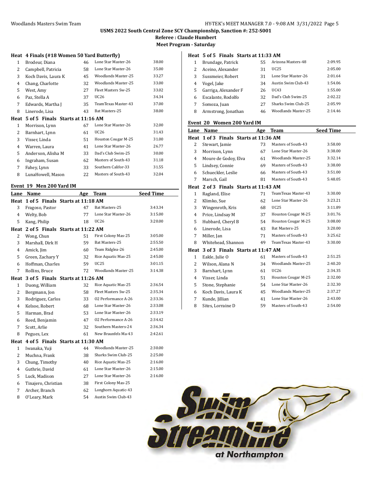**Referee : Claude Humbert**

**Meet Program - Saturday**

#### **Heat 4 Finals (#18 Women 50 Yard Butterfly)**

| 1    | Brodeur, Diana                   | 46 | Lone Star Master-26        | 38.00 |
|------|----------------------------------|----|----------------------------|-------|
| 2    | Campbell, Patricia               | 58 | Lone Star Master-26        | 35.00 |
| 3    | Koch Davis, Laura K              | 45 | Woodlands Master-25        | 33.27 |
| 4    | Chang, Charlotte                 | 32 | <b>Woodlands Master-25</b> | 33.00 |
| 5    | West, Amy                        | 27 | Fleet Masters Sw-25        | 33.02 |
| 6    | Paz, Stella A                    | 37 | UC26                       | 34.34 |
| 7    | Edwards, Martha J                | 35 | TeamTexas Master-43        | 37.00 |
| 8    | Linerode, Lisa                   | 43 | Bat Masters-25             | 38.00 |
| Heat | 5 of 5 Finals Starts at 11:16 AM |    |                            |       |
| 1    | Morrison, Lynn                   | 67 | Lone Star Master-26        | 32.00 |
| 2    | Barnhart, Lynn                   | 61 | UC26                       | 31.43 |
| 3    | Visser, Linda                    | 51 | <b>Houston Cougar M-25</b> | 31.00 |
| 4    | Warren, Laura                    | 41 | Lone Star Master-26        | 26.77 |
| 5    | Anderson, Alisha M               | 33 | Dad's Club Swim-25         | 30.00 |
| 6    | Ingraham, Susan                  | 62 | Masters of South-43        | 31.18 |
| 7    | Fahey, Lynn                      | 33 | Southern Califor-33        | 31.55 |
| 8    |                                  |    |                            | 32.04 |

#### **Event 19 Men 200 Yard IM**

| Lane         | Name                | Age                              | <b>Team</b>                | <b>Seed Time</b> |
|--------------|---------------------|----------------------------------|----------------------------|------------------|
| Heat         |                     | 1 of 5 Finals Starts at 11:18 AM |                            |                  |
| 3            | Fragoso, Pastor     | 47                               | Bat Masters-25             | 3:43.34          |
| 4            | Welty, Bob          | 77                               | Lone Star Master-26        | 3:15.00          |
| 5            | Kang, Philip        | 18                               | <b>UC26</b>                | 3:20.00          |
| Heat         |                     | 2 of 5 Finals Starts at 11:22 AM |                            |                  |
| 2            | Wong, Chun          | 51                               | First Colony Mas-25        | 3:05.00          |
| 3            | Marshall, Dirk H    | 59                               | Bat Masters-25             | 2:55.50          |
| 4            | Amick, Jim          | 60                               | Team Ridglea-26            | 2:45.00          |
| 5            | Green, Zachary Y    | 32                               | Rice Aquatic Mas-25        | 2:45.00          |
| 6            | Hoffman, Charles    | 59                               | <b>UC25</b>                | 3:01.15          |
| 7            | Rollins, Bruce      | 72                               | <b>Woodlands Master-25</b> | 3:14.38          |
| Heat         |                     | 3 of 5 Finals Starts at 11:26 AM |                            |                  |
| 1            | Duong, William      | 32                               | Rice Aquatic Mas-25        | 2:36.54          |
| 2            | Bergmann, Jon       | 58                               | Fleet Masters Sw-25        | 2:35.34          |
| 3            | Rodriguez, Carlos   | 33                               | 02 Performance A-26        | 2:33.36          |
| 4            | Kelsoe, Robert      | 68                               | Lone Star Master-26        | 2:33.08          |
| 5            | Harman, Brad        | 53                               | Lone Star Master-26        | 2:33.19          |
| 6            | Reed, Benjamin      | 47                               | 02 Performance A-26        | 2:34.42          |
| 7            | Scott, Arlie        | 32                               | Southern Masters-24        | 2:36.34          |
| 8            | Pegues, Lex         | 61                               | New Braunfels Ma-43        | 2:42.61          |
| Heat         |                     | 4 of 5 Finals Starts at 11:30 AM |                            |                  |
| $\mathbf{1}$ | Iwanaka, Yuji       | 44                               | Woodlands Master-25        | 2:30.00          |
| 2            | Muchna, Frank       | 38.                              | Sharks Swim Club-25        | 2:25.00          |
| 3            | Chung, Timothy      | 40                               | Rice Aquatic Mas-25        | 2:16.00          |
| 4            | Guthrie, David      | 61                               | Lone Star Master-26        | 2:15.00          |
| 5            | Luck, Madison       | 27                               | Lone Star Master-26        | 2:16.00          |
| 6            | Tinajero, Christian | 38                               | First Colony Mas-25        |                  |
| 7            | Archer, Branch      | 62                               | Longhorn Aquatic-43        |                  |
| 8            | O'Leary, Mark       | 54                               | Austin Swim Club-43        |                  |

#### **Heat 5 of 5 Finals Starts at 11:33 AM**

| Brundage, Patrick    | 55 | Arizona Masters-48         | 2:09.95 |
|----------------------|----|----------------------------|---------|
| Aceino, Alexander    | 31 | UC25                       | 2:05.00 |
| Sussmeier, Robert    | 31 | Lone Star Master-26        | 2:01.64 |
| Vogel, Jake          | 34 | Austin Swim Club-43        | 1:54.06 |
| Garriga, Alexander F | 26 | UC43                       | 1:55.00 |
| Escalante, Rodolfo   | 32 | Dad's Club Swim-25         | 2:02.22 |
| Somoza, Juan         | 27 | Sharks Swim Club-25        | 2:05.99 |
| Armstrong, Jonathan  | 46 | <b>Woodlands Master-25</b> | 2:14.46 |
|                      |    |                            |         |

#### **Event 20 Women 200 Yard IM**

| Lane         | <b>Name</b>                      | Age | <b>Team</b>                | <b>Seed Time</b> |
|--------------|----------------------------------|-----|----------------------------|------------------|
| Heat         | 1 of 3 Finals Starts at 11:36 AM |     |                            |                  |
| 2            | Stewart, Jamie                   | 73  | Masters of South-43        | 3:58.00          |
| 3            | Morrison, Lynn                   | 67  | Lone Star Master-26        | 3:38.00          |
| 4            | Moure de Godoy, Elva             | 61  | <b>Woodlands Master-25</b> | 3:32.14          |
| 5            | Lindsey, Connie                  | 69  | Masters of South-43        | 3:38.00          |
| 6            | Schueckler, Leslie               | 66  | Masters of South-43        | 3:51.00          |
| 7            | Marsch, Gail                     | 81  | Masters of South-43        | 5:48.05          |
| Heat         | 2 of 3 Finals Starts at 11:43 AM |     |                            |                  |
| $\mathbf{1}$ | Ragland, Elise                   | 71  | TeamTexas Master-43        | 3:30.00          |
| 2            | Klimko, Sue                      | 62  | Lone Star Master-26        | 3:23.21          |
| 3            | Wingenroth, Kris                 | 68  | <b>UC25</b>                | 3:11.89          |
| 4            | Price, Lindsay M                 | 37  | Houston Cougar M-25        | 3:01.76          |
| 5            | Hubbard, Cheryl B                | 54  | Houston Cougar M-25        | 3:08.00          |
| 6            | Linerode, Lisa                   | 43  | Bat Masters-25             | 3:20.00          |
| 7            | Miller, Jan                      | 71  | Masters of South-43        | 3:25.62          |
| 8            | Whitehead, Shannon               | 49  | TeamTexas Master-43        | 3:30.00          |
| Heat         | 3 of 3 Finals Starts at 11:47 AM |     |                            |                  |
| $\mathbf{1}$ | Eakle, Julie O                   | 61  | Masters of South-43        | 2:51.25          |
| 2            | Wilson, Alana N                  | 34  | <b>Woodlands Master-25</b> | 2:40.20          |
| 3            | Barnhart, Lynn                   | 61  | <b>UC26</b>                | 2:34.35          |
| 4            | Visser, Linda                    | 51  | <b>Houston Cougar M-25</b> | 2:32.00          |
| 5            | Stone, Stephanie                 | 54  | Lone Star Master-26        | 2:32.30          |
| 6            | Koch Davis, Laura K              | 45  | <b>Woodlands Master-25</b> | 2:37.27          |
| 7            | Kunde, Jillian                   | 41  | Lone Star Master-26        | 2:43.00          |
| 8            | Sites. Lorraine D                | 59  | Masters of South-43        | 2:54.00          |

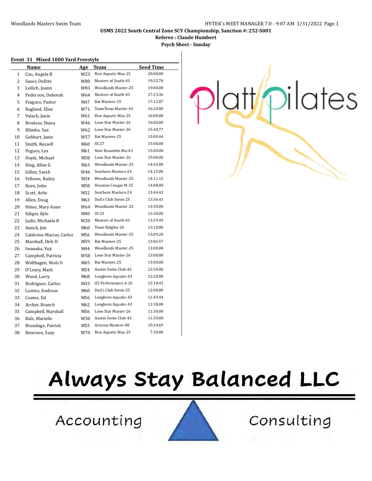**Referee : Claude Humbert**

**Psych Sheet - Sunday**

#### **Event 31 Mixed 1000 Yard Freestyle**

|    | Name                    | Age             | Team                       | <b>Seed Time</b> |
|----|-------------------------|-----------------|----------------------------|------------------|
| 1  | Cao, Angela B           | W <sub>23</sub> | Rice Aquatic Mas-25        | 20:00.00         |
| 2  | Sauer, DeEtte           | W80             | Masters of South-43        | 19:25.78         |
| 3  | Leilich, Joann          | W83             | <b>Woodlands Master-25</b> | 19:00.00         |
| 4  | Pederson, Deborah       | W64             | Masters of South-43        | 17:23.36         |
| 5  | Fragoso, Pastor         | M47             | Bat Masters-25             | 17:12.87         |
| 6  | Ragland, Elise          | W71             | TeamTexas Master-43        | 16:20.00         |
| 7  | Valach, Janie           | W61             | Rice Aquatic Mas-25        | 16:00.00         |
| 8  | Brodeur, Diana          | W46             | Lone Star Master-26        | 16:00.00         |
| 9  | Klimko, Sue             | W62             | Lone Star Master-26        | 15:40.77         |
| 10 | Gebhart, Janis          | W57             | Bat Masters-25             | 15:00.44         |
| 11 | Smith, Russell          | M60             | UC27                       | 15:00.00         |
| 12 | Pegues, Lex             | M61             | New Braunfels Ma-43        | 15:00.00         |
| 13 | Doyle, Michael          | M58             | Lone Star Master-26        | 15:00.00         |
| 14 | King, Allan G           | M63             | <b>Woodlands Master-25</b> | 14:45.00         |
| 15 | Gillen, Sarah           | W46             | Southern Masters-24        | 14:15.00         |
| 16 | Fellows, Bailey         | M34             | <b>Woodlands Master-25</b> | 14:11.15         |
| 17 | Keen, John              | M58             | <b>Houston Cougar M-25</b> | 14:08.00         |
| 18 | Scott, Arlie            | M32             | Southern Masters-24        | 13:44.42         |
| 19 | Allen, Doug             | M63             | Dad's Club Swim-25         | 13:36.41         |
| 20 | Hines, Mary Anne        | W64             | <b>Woodlands Master-25</b> | 13:30.00         |
| 21 | Ediger, Kyle            | M40             | <b>UC25</b>                | 13:30.00         |
| 22 | Judis, Michaela B       | W20             | Masters of South-43        | 13:29.49         |
| 23 | Amick, Jim              | M60             | Team Ridglea-26            | 13:10.00         |
| 24 | Calderon-Macias, Carlos | M56             | <b>Woodlands Master-25</b> | 13:09.20         |
| 25 | Marshall, Dirk H        | M59             | Bat Masters-25             | 13:06.57         |
| 26 | Iwanaka, Yuji           | M44             | <b>Woodlands Master-25</b> | 13:00.00         |
| 27 | Campbell, Patricia      | W58             | Lone Star Master-26        | 13:00.00         |
| 28 | Wolfhagen, Niels U      | M65             | Bat Masters-25             | 13:00.00         |
| 29 | O'Leary, Mark           | M54             | Austin Swim Club-43        | 12:50.00         |
| 30 | Wood, Larry             | M68             | Longhorn Aquatic-43        | 12:20.00         |
| 31 | Rodriguez, Carlos       | M33             | 02 Performance A-26        | 12:18.43         |
| 32 | Lorenz, Andreas         | M60             | Dad's Club Swim-25         | 12:00.00         |
| 33 | Coates, Ed              | M56             | Longhorn Aquatic-43        | 11:49.44         |
| 34 | Archer, Branch          | M62             | Longhorn Aquatic-43        | 11:38.00         |
| 35 | Campbell, Marshall      | M56             | Lone Star Master-26        | 11:30.00         |
| 36 | Balz, Marielle          | W30             | Austin Swim Club-43        | 11:30.00         |
| 37 | Brundage, Patrick       | M55             | Arizona Masters-48         | 10:34.69         |
| 38 | Reierson, Suzy          | W70             | Rice Aquatic Mas-25        | 7:30.00          |
|    |                         |                 |                            |                  |

thpilates

# Always Stay Balanced LLC

Accounting



Consulting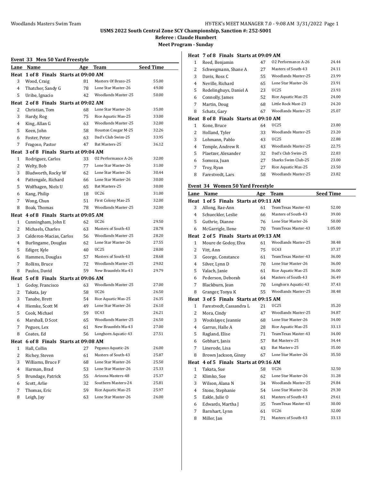## **Referee : Claude Humbert**

**Meet Program - Sunday**

## **Event 33 Men 50 Yard Freestyle Lane Name Age Team Seed Time**

| Heat         | 1 of 8 Finals Starts at 09:00 AM      |    |                            |       |
|--------------|---------------------------------------|----|----------------------------|-------|
| 3            | Wood, Craig                           | 81 | Masters Of Brazo-25        | 55.00 |
| 4            | Thatcher, Sandy G                     | 78 | Lone Star Master-26        | 49.00 |
| 5            | Uribe, Ignacio                        | 42 | <b>Woodlands Master-25</b> | 50.00 |
| Heat         | 2 of 8 Finals Starts at 09:02 AM      |    |                            |       |
| 2            | Christian, Tom                        | 68 | Lone Star Master-26        | 35.00 |
| 3            | Hardy, Rog                            | 75 | Rice Aquatic Mas-25        | 33.00 |
| 4            | King, Allan G                         | 63 | Woodlands Master-25        | 32.00 |
| 5            | Keen, John                            | 58 | Houston Cougar M-25        | 32.26 |
| 6            | Foster, Peter                         | 63 | Dad's Club Swim-25         | 33.95 |
| 7            | Fragoso, Pastor                       | 47 | Bat Masters-25             | 36.12 |
| Heat         | 3 of 8 Finals Starts at 09:04 AM      |    |                            |       |
| $\mathbf{1}$ | Rodriguez, Carlos                     | 33 | 02 Performance A-26        | 32.00 |
| 2            | Welty, Bob                            | 77 | Lone Star Master-26        | 31.00 |
| 3            | Bludworth, Rocky W                    | 62 | Lone Star Master-26        | 30.44 |
| 4            | Pattengale, Richard                   | 66 | Lone Star Master-26        | 30.00 |
| 5            | Wolfhagen, Niels U                    | 65 | Bat Masters-25             | 30.00 |
| 6            | Kang, Philip                          | 18 | UC <sub>26</sub>           | 31.00 |
| 7            | Wong, Chun                            | 51 | First Colony Mas-25        | 32.00 |
| 8            | Boak, Thomas                          | 78 | <b>Woodlands Master-25</b> | 32.00 |
| Heat         | 4 of 8 Finals Starts at 09:05 AM      |    |                            |       |
| 1            | Cunningham, John E                    | 62 | <b>UC26</b>                | 29.50 |
| 2            | Michaels, Charles                     | 63 | Masters of South-43        | 28.78 |
| 3            | Calderon-Macias, Carlos               | 56 | <b>Woodlands Master-25</b> | 28.20 |
| 4            | Burlingame, Douglas                   | 62 | Lone Star Master-26        | 27.55 |
| 5            | Ediger, Kyle                          | 40 | <b>UC25</b>                | 28.00 |
| 6            | Hammen, Douglas                       | 57 | Masters of South-43        | 28.68 |
| 7            | Rollins, Bruce                        | 72 | <b>Woodlands Master-25</b> | 29.02 |
| 8            | Paulos, David                         | 59 | New Braunfels Ma-43        | 29.79 |
| Heat         | 5 of 8 Finals Starts at 09:06 AM      |    |                            |       |
| 1            | Godoy, Francisco                      | 63 | <b>Woodlands Master-25</b> | 27.00 |
| 2            | Takata, Jay                           | 58 | <b>UC26</b>                | 26.50 |
| 3            | Tanabe, Brett                         | 54 | Rice Aquatic Mas-25        | 26.35 |
| 4            | Hiemke, Scott M                       | 49 | Lone Star Master-26        | 26.10 |
| 5            | Cook, Michael                         | 59 | UC43                       | 26.21 |
| 6            | Marshall, D Scot                      | 65 | <b>Woodlands Master-25</b> | 26.50 |
| 7            | Pegues, Lex                           | 61 | New Braunfels Ma-43        | 27.00 |
| 8            | Coates, Ed                            | 56 | Longhorn Aquatic-43        | 27.51 |
|              | Heat 6 of 8 Finals Starts at 09:08 AM |    |                            |       |
| 1            | Hall, Collin                          | 27 | Pegasus Aquatic-26         | 26.00 |
| 2            | Richey, Steven                        | 61 | Masters of South-43        | 25.87 |
| 3            | Williams, Bruce F                     | 68 | Lone Star Master-26        | 25.50 |
| 4            | Harman, Brad                          | 53 | Lone Star Master-26        | 25.33 |
| 5            | Brundage, Patrick                     | 55 | Arizona Masters-48         | 25.37 |
| 6            | Scott, Arlie                          | 32 | Southern Masters-24        | 25.81 |
| 7            | Thomas, Eric                          | 59 | Rice Aquatic Mas-25        | 25.97 |
| 8            | Leigh, Jay                            | 63 | Lone Star Master-26        | 26.00 |

#### **Heat 7 of 8 Finals Starts at 09:09 AM**

| 1    | Reed, Benjamin                   | 47 | 02 Performance A-26        | 24.44 |
|------|----------------------------------|----|----------------------------|-------|
| 2    | Schwegmann, Shane A              | 27 | Masters of South-43        | 24.11 |
| 3    | Davis, Ross C                    | 55 | Woodlands Master-25        | 23.99 |
| 4    | Neville, Richard                 | 65 | Lone Star Master-26        | 23.91 |
| 5    | Redelinghuys, Daniel A           | 23 | <b>UC25</b>                | 23.93 |
| 6    | Connolly, James                  | 52 | Rice Aquatic Mas-25        | 24.00 |
| 7    | Martin, Doug                     | 68 | Little Rock Mast-23        | 24.20 |
| 8    | Schatz, Gary                     | 67 | Woodlands Master-25        | 25.07 |
| Heat | 8 of 8 Finals Starts at 09:10 AM |    |                            |       |
| 1    | Kone, Bruce                      | 64 | <b>UC25</b>                | 23.80 |
| 2    | Holland, Tyler                   | 33 | <b>Woodlands Master-25</b> | 23.20 |
| 3    | Lohmann, Pablo                   | 43 | UC25                       | 22.88 |
| 4    | Temple, Andrew R                 | 43 | <b>Woodlands Master-25</b> | 22.75 |
| 5    | Plaetzer, Alexander              | 32 | Dad's Club Swim-25         | 22.83 |
| 6    | Somoza, Juan                     | 27 | Sharks Swim Club-25        | 23.00 |
| 7    | Troy, Ryan                       | 27 | Rice Aquatic Mas-25        | 23.50 |
| 8    | Farestvedt, Lars                 | 58 | <b>Woodlands Master-25</b> | 23.82 |

#### **Event 34 Women 50 Yard Freestyle**

| Lane           | Name                                  | Age | Team                       | <b>Seed Time</b> |
|----------------|---------------------------------------|-----|----------------------------|------------------|
|                | Heat 1 of 5 Finals Starts at 09:11 AM |     |                            |                  |
| 3              | Allong, Rae-Ann                       | 61  | TeamTexas Master-43        | 52.00            |
| 4              | Schueckler, Leslie                    | 66  | Masters of South-43        | 39.00            |
| 5              | Guthrie, Dianne                       | 76  | Lone Star Master-26        | 50.00            |
| 6              | McGarrigle, Ilene                     | 70  | TeamTexas Master-43        | 1:05.00          |
|                | Heat 2 of 5 Finals Starts at 09:13 AM |     |                            |                  |
| $\mathbf{1}$   | Moure de Godoy, Elva                  | 61  | Woodlands Master-25        | 38.48            |
| 2              | Vitt, Ann                             | 75  | UCA3                       | 37.37            |
| 3              | George, Constance                     | 61  | TeamTexas Master-43        | 36.00            |
| $\overline{4}$ | Silver, Lynn D                        | 70  | Lone Star Master-26        | 36.00            |
| 5              | Valach, Janie                         | 61  | Rice Aquatic Mas-25        | 36.00            |
| 6              | Pederson, Deborah                     | 64  | Masters of South-43        | 36.49            |
| 7              | Blackburn, Jean                       | 70  | Longhorn Aquatic-43        | 37.43            |
| 8              | Granger, Tonya K                      | 55  | Woodlands Master-25        | 38.48            |
| Heat           | 3 of 5 Finals Starts at 09:15 AM      |     |                            |                  |
| 1              | Farestvedt, Cassandra L               | 21  | <b>UC25</b>                | 35.20            |
| 2              | Mora, Cindy                           | 47  | <b>Woodlands Master-25</b> | 34.87            |
| 3              | Woolslayer, Jeannie                   | 68  | Lone Star Master-26        | 34.00            |
| $\overline{4}$ | Garrus, Halle A                       | 28  | Rice Aquatic Mas-25        | 33.13            |
| 5              | Ragland, Elise                        | 71  | TeamTexas Master-43        | 34.00            |
| 6              | Gebhart, Janis                        | 57  | Bat Masters-25             | 34.44            |
| 7              | Linerode, Lisa                        | 43  | <b>Bat Masters-25</b>      | 35.00            |
| 8              | Brown Jackson, Ginny                  | 67  | Lone Star Master-26        | 35.50            |
|                | Heat 4 of 5 Finals Starts at 09:16 AM |     |                            |                  |
| 1              | Takata, Sue                           | 58  | <b>UC26</b>                | 32.50            |
| $\overline{2}$ | Klimko, Sue                           | 62  | Lone Star Master-26        | 31.28            |
| 3              | Wilson, Alana N                       | 34  | <b>Woodlands Master-25</b> | 29.84            |
| 4              | Stone, Stephanie                      | 54  | Lone Star Master-26        | 29.30            |
| 5              | Eakle, Julie O                        | 61  | Masters of South-43        | 29.61            |
| 6              | Edwards, Martha J                     | 35  | TeamTexas Master-43        | 30.00            |
| 7              | Barnhart, Lynn                        | 61  | <b>UC26</b>                | 32.00            |
| 8              | Miller, Jan                           | 71  | Masters of South-43        | 33.13            |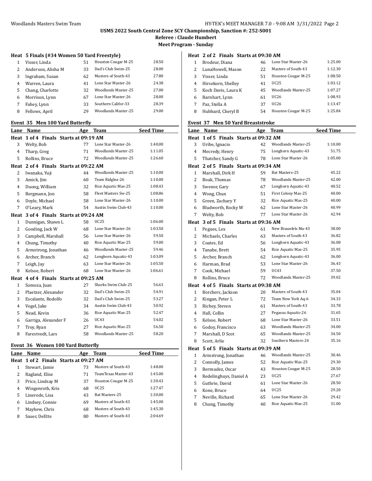**Referee : Claude Humbert**

**Meet Program - Sunday**

#### **Heat 5 Finals (#34 Women 50 Yard Freestyle)**

|   | Visser, Linda      | 51 | <b>Houston Cougar M-25</b> | 28.50 |
|---|--------------------|----|----------------------------|-------|
| 2 | Anderson, Alisha M | 33 | Dad's Club Swim-25         | 28.00 |
| 3 | Ingraham, Susan    | 62 | Masters of South-43        | 27.80 |
| 4 | Warren, Laura      | 41 | Lone Star Master-26        | 24.38 |
| 5 | Chang, Charlotte   | 32 | <b>Woodlands Master-25</b> | 27.00 |
| 6 | Morrison, Lynn     | 67 | Lone Star Master-26        | 28.00 |
|   | Fahey, Lynn        | 33 | Southern Califor-33        | 28.39 |
| 8 | Fellows, April     | 29 | <b>Woodlands Master-25</b> | 29.00 |
|   |                    |    |                            |       |

#### **Event 35 Men 100 Yard Butterfly**

| Lane           | Name                                  | Age | <b>Team</b>                | <b>Seed Time</b> |
|----------------|---------------------------------------|-----|----------------------------|------------------|
| Heat           | 1 of 4 Finals Starts at 09:19 AM      |     |                            |                  |
| 3              | Welty, Bob                            | 77  | Lone Star Master-26        | 1:40.00          |
| $\overline{4}$ | Tharp, Greg                           | 71  | Woodlands Master-25        | 1:11.05          |
| 5              | Rollins, Bruce                        | 72  | Woodlands Master-25        | 1:26.60          |
|                | Heat 2 of 4 Finals Starts at 09:22 AM |     |                            |                  |
| 2              | Iwanaka, Yuji                         | 44  | <b>Woodlands Master-25</b> | 1:10.00          |
| 3              | Amick, Jim                            | 60  | Team Ridglea-26            | 1:10.00          |
| 4              | Duong, William                        | 32  | Rice Aquatic Mas-25        | 1:08.43          |
| 5              | Bergmann, Jon                         | 58  | Fleet Masters Sw-25        | 1:08.86          |
| 6              | Doyle, Michael                        | 58  | Lone Star Master-26        | 1:10.00          |
| 7              | O'Leary, Mark                         | 54  | Austin Swim Club-43        | 1:10.00          |
|                | Heat 3 of 4 Finals Starts at 09:24 AM |     |                            |                  |
| $\mathbf{1}$   | Dunnigan, Shawn L                     | 58  | UC25                       | 1:06.00          |
| $\overline{2}$ | Gooding, Jack W                       | 68  | Lone Star Master-26        | 1:03.50          |
| 3              | Campbell, Marshall                    | 56  | Lone Star Master-26        | 59.50            |
| 4              | Chung, Timothy                        | 40  | Rice Aquatic Mas-25        | 59.00            |
| 5              | Armstrong, Jonathan                   | 46  | <b>Woodlands Master-25</b> | 59.46            |
| 6              | Archer, Branch                        | 62  | Longhorn Aquatic-43        | 1:03.09          |
| 7              | Leigh, Jay                            | 63  | Lone Star Master-26        | 1:05.50          |
| 8              | Kelsoe, Robert                        | 68  | Lone Star Master-26        | 1:06.61          |
|                | Heat 4 of 4 Finals Starts at 09:25 AM |     |                            |                  |
| 1              | Somoza, Juan                          | 27  | Sharks Swim Club-25        | 56.63            |
| $\overline{2}$ | Plaetzer, Alexander                   | 32  | Dad's Club Swim-25         | 54.91            |
| 3              | Escalante, Rodolfo                    | 32  | Dad's Club Swim-25         | 53.27            |
| 4              | Vogel, Jake                           | 34  | Austin Swim Club-43        | 50.92            |
| 5              | Nead, Kevin                           | 36  | Rice Aquatic Mas-25        | 52.47            |
| 6              | Garriga, Alexander F                  | 26  | <b>UC43</b>                | 54.02            |
| 7              | Troy, Ryan                            | 27  | Rice Aquatic Mas-25        | 56.50            |
| 8              | Farestvedt, Lars                      | 58  | <b>Woodlands Master-25</b> | 58.20            |
|                |                                       |     |                            |                  |

#### **Event 36 Women 100 Yard Butterfly**

| Lane | Name                                  | Age | Team                       | <b>Seed Time</b> |
|------|---------------------------------------|-----|----------------------------|------------------|
|      | Heat 1 of 2 Finals Starts at 09:27 AM |     |                            |                  |
| 1    | Stewart, Jamie                        | 73  | Masters of South-43        | 1:48.00          |
| 2    | Ragland, Elise                        | 71  | TeamTexas Master-43        | 1:45.00          |
| 3    | Price, Lindsay M                      | 37  | <b>Houston Cougar M-25</b> | 1:30.43          |
| 4    | Wingenroth, Kris                      | 68  | UC25                       | 1:27.47          |
| 5.   | Linerode, Lisa                        | 43  | <b>Bat Masters-25</b>      | 1:30.00          |
| 6    | Lindsey, Connie                       | 69  | Masters of South-43        | 1:45.00          |
|      | Mayhew, Chris                         | 68  | Masters of South-43        | 1:45.30          |
| 8    | Sauer, DeEtte                         | 80  | Masters of South-43        | 2:04.69          |

#### **Heat 2 of 2 Finals Starts at 09:30 AM**

| Brodeur, Diana      | 46 | Lone Star Master-26        | 1:25.00 |
|---------------------|----|----------------------------|---------|
| LunaHowell, Mason   | 22 | Masters of South-43        | 1:12.30 |
| Visser, Linda       | 51 | <b>Houston Cougar M-25</b> | 1:08.50 |
| Hirsekorn, Shelley  | 41 | UC <sub>25</sub>           | 1:03.12 |
| Koch Davis, Laura K | 45 | <b>Woodlands Master-25</b> | 1:07.27 |
| Barnhart, Lynn      | 61 | UC <sub>26</sub>           | 1:08.93 |
| Paz. Stella A       | 37 | UC <sub>26</sub>           | 1:13.47 |
| Hubbard, Cheryl B   | 54 | Houston Cougar M-25        | 1:25.84 |
|                     |    |                            |         |

#### **Event 37 Men 50 Yard Breaststroke**

|                | Lane Name                             |    | Age Team                   | <b>Seed Time</b> |  |
|----------------|---------------------------------------|----|----------------------------|------------------|--|
|                | Heat 1 of 5 Finals Starts at 09:32 AM |    |                            |                  |  |
| 3              | Uribe, Ignacio                        | 42 | Woodlands Master-25        | 1:10.00          |  |
| 4              | Mecredy, Henry                        | 75 | Longhorn Aquatic-43        | 51.75            |  |
| 5              | Thatcher, Sandy G                     | 78 | Lone Star Master-26        | 1:05.00          |  |
|                | Heat 2 of 5 Finals Starts at 09:34 AM |    |                            |                  |  |
| $\mathbf{1}$   | Marshall, Dirk H                      | 59 | Bat Masters-25             | 45.22            |  |
| $\overline{2}$ | Boak, Thomas                          | 78 | <b>Woodlands Master-25</b> | 42.00            |  |
| 3              | Swenor, Gary                          | 67 | Longhorn Aquatic-43        | 40.52            |  |
| $\overline{4}$ | Wong, Chun                            | 51 | First Colony Mas-25        | 40.00            |  |
| 5              | Green, Zachary Y                      | 32 | Rice Aquatic Mas-25        | 40.00            |  |
| 6              | Bludworth, Rocky W                    | 62 | Lone Star Master-26        | 40.99            |  |
| 7              | Welty, Bob                            | 77 | Lone Star Master-26        | 42.94            |  |
|                | Heat 3 of 5 Finals Starts at 09:36 AM |    |                            |                  |  |
| $\mathbf{1}$   | Pegues, Lex                           | 61 | New Braunfels Ma-43        | 38.00            |  |
| 2              | Michaels, Charles                     | 63 | Masters of South-43        | 36.82            |  |
| 3              | Coates. Ed                            | 56 | Longhorn Aquatic-43        | 36.08            |  |
| $\overline{4}$ | Tanabe, Brett                         | 54 | Rice Aquatic Mas-25        | 35.95            |  |
| 5              | Archer, Branch                        | 62 | Longhorn Aquatic-43        | 36.00            |  |
| 6              | Harman, Brad                          | 53 | Lone Star Master-26        | 36.43            |  |
| 7              | Cook, Michael                         | 59 | UC43                       | 37.50            |  |
| 8              | Rollins, Bruce                        | 72 | <b>Woodlands Master-25</b> | 39.02            |  |
|                | Heat 4 of 5 Finals Starts at 09:38 AM |    |                            |                  |  |
| 1              | Borchers, Jackson                     | 20 | Masters of South-43        | 35.04            |  |
| 2              | Kingan, Peter L                       | 72 | Team New York Aq-6         | 34.33            |  |
| 3              | Richey, Steven                        | 61 | Masters of South-43        | 33.78            |  |
| 4              | Hall, Collin                          | 27 | Pegasus Aquatic-26         | 31.65            |  |
| 5              | Kelsoe, Robert                        | 68 | Lone Star Master-26        | 33.51            |  |
| 6              | Godoy, Francisco                      | 63 | Woodlands Master-25        | 34.00            |  |
| 7              | Marshall, D Scot                      | 65 | Woodlands Master-25        | 34.50            |  |
| 8              | Scott, Arlie                          | 32 | Southern Masters-24        | 35.16            |  |
|                | Heat 5 of 5 Finals Starts at 09:39 AM |    |                            |                  |  |
| 1              | Armstrong, Jonathan                   | 46 | Woodlands Master-25        | 30.46            |  |
| 2              | Connolly, James                       | 52 | Rice Aquatic Mas-25        | 29.30            |  |
| 3              | Bermudez, Oscar                       | 43 | Houston Cougar M-25        | 28.50            |  |
| $\overline{4}$ | Redelinghuys, Daniel A                | 23 | <b>UC25</b>                | 27.67            |  |
| 5              | Guthrie, David                        | 61 | Lone Star Master-26        | 28.50            |  |
| 6              | Kone, Bruce                           | 64 | <b>UC25</b>                | 29.20            |  |
| 7              | Neville, Richard                      | 65 | Lone Star Master-26        | 29.42            |  |
| 8              | Chung, Timothy                        | 40 | Rice Aquatic Mas-25        | 31.00            |  |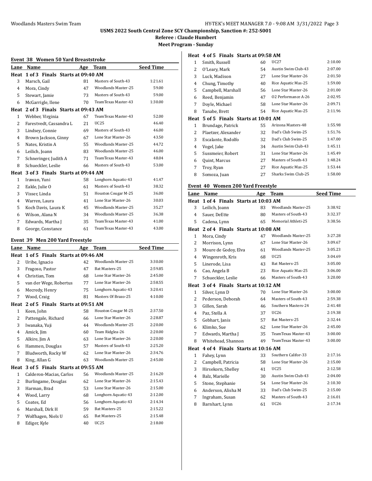## **Referee : Claude Humbert**

**Meet Program - Sunday**

#### **Event 38 Women 50 Yard Breaststroke**

| Lane           | Name                             | Age | <b>Team</b>                | <b>Seed Time</b> |
|----------------|----------------------------------|-----|----------------------------|------------------|
| Heat           | 1 of 3 Finals Starts at 09:40 AM |     |                            |                  |
| 3              | Marsch, Gail                     | 81  | Masters of South-43        | 1:21.61          |
| 4              | Mora, Cindy                      | 47  | <b>Woodlands Master-25</b> | 59.00            |
| 5              | Stewart, Jamie                   | 73  | Masters of South-43        | 59.00            |
| 6              | McGarrigle, Ilene                | 70  | TeamTexas Master-43        | 1:30.00          |
| Heat           | 2 of 3 Finals Starts at 09:43 AM |     |                            |                  |
| $\mathbf{1}$   | Webber, Virginia                 | 67  | TeamTexas Master-43        | 52.00            |
| 2              | Farestvedt, Cassandra L          | 21  | <b>UC25</b>                | 46.40            |
| 3              | Lindsey, Connie                  | 69  | Masters of South-43        | 46.00            |
| 4              | Brown Jackson, Ginny             | 67  | Lone Star Master-26        | 43.50            |
| 5              | Nates, Kristin A                 | 55  | <b>Woodlands Master-25</b> | 44.72            |
| 6              | Leilich, Joann                   | 83  | <b>Woodlands Master-25</b> | 46.00            |
| 7              | Schneringer, Judith A            | 71  | TeamTexas Master-43        | 48.04            |
| 8              | Schueckler, Leslie               | 66  | Masters of South-43        | 53.00            |
| Heat           | 3 of 3 Finals Starts at 09:44 AM |     |                            |                  |
| 1              | Irawan, Yuni                     | 58  | Longhorn Aquatic-43        | 41.47            |
| 2              | Eakle, Julie O                   | 61  | Masters of South-43        | 38.32            |
| 3              | Visser, Linda                    | 51  | Houston Cougar M-25        | 36.00            |
| $\overline{4}$ | Warren, Laura                    | 41  | Lone Star Master-26        | 30.03            |
| 5              | Koch Davis, Laura K              | 45  | <b>Woodlands Master-25</b> | 35.27            |
| 6              | Wilson, Alana N                  | 34  | <b>Woodlands Master-25</b> | 36.38            |
| 7              | Edwards, Martha J                | 35  | TeamTexas Master-43        | 41.00            |
| 8              | George, Constance                | 61  | TeamTexas Master-43        | 43.00            |

#### **Event 39 Men 200 Yard Freestyle**

| Lane         | Name                             | Age | <b>Team</b>                | <b>Seed Time</b> |
|--------------|----------------------------------|-----|----------------------------|------------------|
| Heat         | 1 of 5 Finals Starts at 09:46 AM |     |                            |                  |
| 2            | Uribe, Ignacio                   | 42  | <b>Woodlands Master-25</b> | 3:30.00          |
| 3            | Fragoso, Pastor                  | 47  | Bat Masters-25             | 2:59.85          |
| 4            | Christian, Tom                   | 68  | Lone Star Master-26        | 2:45.00          |
| 5            | van der Wege, Robertus           | 77  | Lone Star Master-26        | 2:58.55          |
| 6            | Mecredy, Henry                   | 75  | Longhorn Aquatic-43        | 3:20.41          |
| 7            | Wood, Craig                      | 81  | Masters Of Brazo-25        | 4:10.00          |
| Heat         | 2 of 5 Finals Starts at 09:51 AM |     |                            |                  |
| $\mathbf{1}$ | Keen, John                       | 58  | Houston Cougar M-25        | 2:37.50          |
| 2            | Pattengale, Richard              | 66  | Lone Star Master-26        | 2:28.87          |
| 3            | Iwanaka, Yuji                    | 44  | <b>Woodlands Master-25</b> | 2:20.00          |
| 4            | Amick, Jim                       | 60  | Team Ridglea-26            | 2:20.00          |
| 5            | Alkire, Jim A                    | 63  | Lone Star Master-26        | 2:20.00          |
| 6            | Hammen, Douglas                  | 57  | Masters of South-43        | 2:25.20          |
| 7            | Bludworth, Rocky W               | 62  | Lone Star Master-26        | 2:34.76          |
| 8            | King, Allan G                    | 63  | Woodlands Master-25        | 2:45.00          |
| Heat         | 3 of 5 Finals Starts at 09:55 AM |     |                            |                  |
| $\mathbf{1}$ | Calderon-Macias, Carlos          | 56  | <b>Woodlands Master-25</b> | 2:16.20          |
| 2            | Burlingame, Douglas              | 62  | Lone Star Master-26        | 2:15.43          |
| 3            | Harman, Brad                     | 53  | Lone Star Master-26        | 2:15.00          |
| 4            | Wood, Larry                      | 68  | Longhorn Aquatic-43        | 2:12.00          |
| 5            | Coates, Ed                       | 56  | Longhorn Aquatic-43        | 2:14.34          |
| 6            | Marshall, Dirk H                 | 59  | Bat Masters-25             | 2:15.22          |
| 7            | Wolfhagen, Niels U               | 65  | Bat Masters-25             | 2:15.48          |
| 8            | Ediger, Kyle                     | 40  | <b>UC25</b>                | 2:18.00          |

#### **Heat 4 of 5 Finals Starts at 09:58 AM**

| 1    | Smith, Russell                   | 60 | <b>UC27</b>         | 2:10.00 |
|------|----------------------------------|----|---------------------|---------|
| 2    | 0'Leary, Mark                    | 54 | Austin Swim Club-43 | 2:07.00 |
| 3    | Luck, Madison                    | 27 | Lone Star Master-26 | 2:01.50 |
| 4    | Chung, Timothy                   | 40 | Rice Aquatic Mas-25 | 1:59.00 |
| 5    | Campbell, Marshall               | 56 | Lone Star Master-26 | 2:01.00 |
| 6    | Reed, Benjamin                   | 47 | 02 Performance A-26 | 2:02.95 |
| 7    | Doyle, Michael                   | 58 | Lone Star Master-26 | 2:09.71 |
| 8    | Tanabe, Brett                    | 54 | Rice Aquatic Mas-25 | 2:11.96 |
| Heat | 5 of 5 Finals Starts at 10:01 AM |    |                     |         |
| 1    | Brundage, Patrick                | 55 | Arizona Masters-48  | 1:55.98 |
| 2    | Plaetzer, Alexander              | 32 | Dad's Club Swim-25  | 1:51.76 |
| 3    | Escalante, Rodolfo               | 32 | Dad's Club Swim-25  | 1:47.00 |
| 4    | Vogel, Jake                      | 34 | Austin Swim Club-43 | 1:45.11 |
| 5    | Sussmeier, Robert                | 31 | Lone Star Master-26 | 1:45.49 |
| 6    | Quint, Marcus                    | 27 | Masters of South-43 | 1:48.24 |
|      |                                  |    |                     |         |
| 7    | Troy, Ryan                       | 27 | Rice Aquatic Mas-25 | 1:53.44 |

#### **Event 40 Women 200 Yard Freestyle**

| Lane           | Name                             | Age | Team                       | <b>Seed Time</b> |
|----------------|----------------------------------|-----|----------------------------|------------------|
| Heat           | 1 of 4 Finals Starts at 10:03 AM |     |                            |                  |
| 3              | Leilich, Joann                   | 83  | <b>Woodlands Master-25</b> | 3:38.92          |
| 4              | Sauer, DeEtte                    | 80  | Masters of South-43        | 3:32.37          |
| 5              | Cadena, Lynn                     | 65  | Memorial Athleti-25        | 3:38.56          |
| Heat           | 2 of 4 Finals Starts at 10:08 AM |     |                            |                  |
| $\mathbf{1}$   | Mora, Cindy                      | 47  | <b>Woodlands Master-25</b> | 3:27.28          |
| 2              | Morrison, Lynn                   | 67  | Lone Star Master-26        | 3:09.67          |
| 3              | Moure de Godoy, Elva             | 61  | <b>Woodlands Master-25</b> | 3:05.23          |
| $\overline{4}$ | Wingenroth, Kris                 | 68  | <b>UC25</b>                | 3:04.69          |
| 5              | Linerode, Lisa                   | 43  | Bat Masters-25             | 3:05.00          |
| 6              | Cao, Angela B                    | 23  | Rice Aquatic Mas-25        | 3:06.00          |
| 7              | Schueckler, Leslie               | 66  | Masters of South-43        | 3:20.00          |
| Heat           | 3 of 4 Finals Starts at 10:12 AM |     |                            |                  |
| $\mathbf{1}$   | Silver, Lynn D                   | 70  | Lone Star Master-26        | 3:00.00          |
| 2              | Pederson, Deborah                | 64  | Masters of South-43        | 2:59.38          |
| 3              | Gillen, Sarah                    | 46  | Southern Masters-24        | 2:41.48          |
| $\overline{4}$ | Paz, Stella A                    | 37  | UC <sub>26</sub>           | 2:19.38          |
| 5              | Gebhart, Janis                   | 57  | Bat Masters-25             | 2:32.44          |
| 6              | Klimko, Sue                      | 62  | Lone Star Master-26        | 2:45.00          |
| 7              | Edwards, Martha J                | 35  | TeamTexas Master-43        | 3:00.00          |
| 8              | Whitehead. Shannon               | 49  | TeamTexas Master-43        | 3:00.00          |
| Heat           | 4 of 4 Finals Starts at 10:16 AM |     |                            |                  |
| $\mathbf{1}$   | Fahey, Lynn                      | 33  | Southern Califor-33        | 2:17.16          |
| 2              | Campbell, Patricia               | 58  | Lone Star Master-26        | 2:15.00          |
| 3              | Hirsekorn, Shelley               | 41  | <b>UC25</b>                | 2:12.58          |
| 4              | Balz, Marielle                   | 30  | Austin Swim Club-43        | 2:04.00          |
| 5              | Stone, Stephanie                 | 54  | Lone Star Master-26        | 2:10.30          |
| 6              | Anderson, Alisha M               | 33  | Dad's Club Swim-25         | 2:15.00          |
| 7              | Ingraham, Susan                  | 62  | Masters of South-43        | 2:16.01          |
| 8              | Barnhart, Lynn                   | 61  | <b>UC26</b>                | 2:17.34          |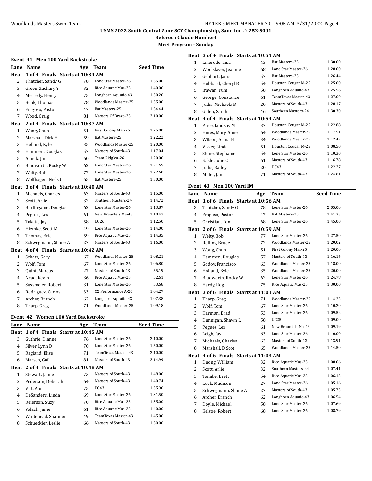## **Referee : Claude Humbert**

**Meet Program - Sunday**

#### **Event 41 Men 100 Yard Backstroke**

| Lane           | Name                             | Age | <b>Team</b>                | <b>Seed Time</b> |
|----------------|----------------------------------|-----|----------------------------|------------------|
| Heat           | 1 of 4 Finals Starts at 10:34 AM |     |                            |                  |
| 2              | Thatcher, Sandy G                | 78  | Lone Star Master-26        | 1:55.00          |
| 3              | Green, Zachary Y                 | 32  | Rice Aquatic Mas-25        | 1:40.00          |
| 4              | Mecredy, Henry                   | 75  | Longhorn Aquatic-43        | 1:30.20          |
| 5              | Boak, Thomas                     | 78  | <b>Woodlands Master-25</b> | 1:35.00          |
| 6              | Fragoso, Pastor                  | 47  | <b>Bat Masters-25</b>      | 1:54.44          |
| 7              | Wood, Craig                      | 81  | Masters Of Brazo-25        | 2:10.00          |
| Heat           | 2 of 4 Finals Starts at 10:37 AM |     |                            |                  |
| $\mathbf{1}$   | Wong, Chun                       | 51  | First Colony Mas-25        | 1:25.00          |
| 2              | Marshall, Dirk H                 | 59  | Bat Masters-25             | 1:22.22          |
| 3              | Holland, Kyle                    | 35  | <b>Woodlands Master-25</b> | 1:20.00          |
| 4              | Hammen, Douglas                  | 57  | Masters of South-43        | 1:17.04          |
| 5              | Amick, Jim                       | 60  | Team Ridglea-26            | 1:20.00          |
| 6              | Bludworth, Rocky W               | 62  | Lone Star Master-26        | 1:21.69          |
| 7              | Welty, Bob                       | 77  | Lone Star Master-26        | 1:22.60          |
| 8              | Wolfhagen, Niels U               | 65  | Bat Masters-25             | 1:30.00          |
| Heat           | 3 of 4 Finals Starts at 10:40 AM |     |                            |                  |
| $\mathbf{1}$   | Michaels, Charles                | 63  | Masters of South-43        | 1:15.00          |
| $\overline{2}$ | Scott, Arlie                     | 32  | Southern Masters-24        | 1:14.72          |
| 3              | Burlingame, Douglas              | 62  | Lone Star Master-26        | 1:13.87          |
| 4              | Pegues, Lex                      | 61  | New Braunfels Ma-43        | 1:10.47          |
| 5              | Takata, Jay                      | 58  | <b>UC26</b>                | 1:12.50          |
| 6              | Hiemke, Scott M                  | 49  | Lone Star Master-26        | 1:14.00          |
| 7              | Thomas, Eric                     | 59  | Rice Aquatic Mas-25        | 1:14.85          |
| 8              | Schwegmann, Shane A              | 27  | Masters of South-43        | 1:16.00          |
| Heat           | 4 of 4 Finals Starts at 10:42 AM |     |                            |                  |
| $\mathbf{1}$   | Schatz, Gary                     | 67  | <b>Woodlands Master-25</b> | 1:08.21          |
| $\overline{2}$ | Wolf, Tom                        | 67  | Lone Star Master-26        | 1:06.80          |
| 3              | Quint, Marcus                    | 27  | Masters of South-43        | 55.19            |
| 4              | Nead, Kevin                      | 36  | Rice Aquatic Mas-25        | 52.61            |
| 5              | Sussmeier, Robert                | 31  | Lone Star Master-26        | 53.68            |
| 6              | Rodriguez, Carlos                | 33  | 02 Performance A-26        | 1:04.27          |
| 7              | Archer, Branch                   | 62  | Longhorn Aquatic-43        | 1:07.38          |
| 8              | Tharp, Greg                      | 71  | <b>Woodlands Master-25</b> | 1:09.18          |

#### **Event 42 Women 100 Yard Backstroke**

| Lane | Name                                  | Age | Team                | <b>Seed Time</b> |
|------|---------------------------------------|-----|---------------------|------------------|
|      | Heat 1 of 4 Finals Starts at 10:45 AM |     |                     |                  |
| 3    | Guthrie, Dianne                       | 76  | Lone Star Master-26 | 2:10.00          |
| 4    | Silver, Lynn D                        | 70  | Lone Star Master-26 | 1:50.00          |
| 5    | Ragland, Elise                        | 71  | TeamTexas Master-43 | 2:10.00          |
| 6    | Marsch, Gail                          | 81  | Masters of South-43 | 2:14.99          |
| Heat | 2 of 4 Finals Starts at 10:48 AM      |     |                     |                  |
| 1    | Stewart, Jamie                        | 73  | Masters of South-43 | 1:48.00          |
| 2    | Pederson, Deborah                     | 64  | Masters of South-43 | 1:40.74          |
| 3    | Vitt, Ann                             | 75  | UC43                | 1:35.90          |
| 4    | DeSanders, Linda                      | 69  | Lone Star Master-26 | 1:31.50          |
| 5    | Reierson, Suzy                        | 70  | Rice Aquatic Mas-25 | 1:35.00          |
| 6    | Valach, Janie                         | 61  | Rice Aquatic Mas-25 | 1:40.00          |
| 7    | Whitehead, Shannon                    | 49  | TeamTexas Master-43 | 1:45.00          |
| 8    | Schueckler, Leslie                    | 66  | Masters of South-43 | 1:50.00          |
|      |                                       |     |                     |                  |

#### **Heat 3 of 4 Finals Starts at 10:51 AM**

| 1    | Linerode, Lisa                   | 43 | Bat Masters-25             | 1:30.00 |
|------|----------------------------------|----|----------------------------|---------|
| 2    | Woolslayer, Jeannie              | 68 | Lone Star Master-26        | 1:28.00 |
| 3    | Gebhart, Janis                   | 57 | Bat Masters-25             | 1:26.44 |
| 4    | Hubbard, Cheryl B                | 54 | Houston Cougar M-25        | 1:25.00 |
| 5    | Irawan, Yuni                     | 58 | Longhorn Aquatic-43        | 1:25.56 |
| 6    | George, Constance                | 61 | TeamTexas Master-43        | 1:27.00 |
| 7    | Judis, Michaela B                | 20 | Masters of South-43        | 1:28.17 |
| 8    | Gillen, Sarah                    | 46 | Southern Masters-24        | 1:30.30 |
| Heat | 4 of 4 Finals Starts at 10:54 AM |    |                            |         |
| 1    | Price, Lindsay M                 | 37 | Houston Cougar M-25        | 1:22.88 |
|      |                                  |    |                            |         |
| 2    | Hines, Mary Anne                 | 64 | <b>Woodlands Master-25</b> | 1:17.51 |
| 3    | Wilson, Alana N                  | 34 | <b>Woodlands Master-25</b> | 1:12.42 |
| 4    | Visser, Linda                    | 51 | Houston Cougar M-25        | 1:08.50 |
| 5    | Stone, Stephanie                 | 54 | Lone Star Master-26        | 1:10.30 |
| 6    | Eakle, Julie O                   | 61 | Masters of South-43        | 1:16.78 |
| 7    | Judis, Bailey                    | 20 | UC43                       | 1:22.27 |

#### **Event 43 Men 100 Yard IM**

| Lane         | Name                                  | Age | Team                       | <b>Seed Time</b> |
|--------------|---------------------------------------|-----|----------------------------|------------------|
| Heat         | 1 of 6 Finals Starts at 10:56 AM      |     |                            |                  |
| 3            | Thatcher, Sandy G                     | 78  | Lone Star Master-26        | 2:05.00          |
| 4            | Fragoso, Pastor                       | 47  | Bat Masters-25             | 1:41.33          |
| 5            | Christian, Tom                        | 68  | Lone Star Master-26        | 1:45.00          |
| Heat         | 2 of 6 Finals Starts at 10:59 AM      |     |                            |                  |
| $\mathbf{1}$ | Welty, Bob                            | 77  | Lone Star Master-26        | 1:27.50          |
| 2            | Rollins, Bruce                        | 72  | <b>Woodlands Master-25</b> | 1:20.02          |
| 3            | Wong, Chun                            | 51  | First Colony Mas-25        | 1:20.00          |
| 4            | Hammen, Douglas                       | 57  | Masters of South-43        | 1:16.16          |
| 5            | Godoy, Francisco                      | 63  | <b>Woodlands Master-25</b> | 1:18.00          |
| 6            | Holland, Kyle                         | 35  | Woodlands Master-25        | 1:20.00          |
| 7            | Bludworth, Rocky W                    | 62  | Lone Star Master-26        | 1:24.78          |
| 8            | Hardy, Rog                            | 75  | Rice Aquatic Mas-25        | 1:30.00          |
|              | Heat 3 of 6 Finals Starts at 11:01 AM |     |                            |                  |
| $\mathbf{1}$ | Tharp, Greg                           | 71  | <b>Woodlands Master-25</b> | 1:14.23          |
| 2            | Wolf, Tom                             | 67  | Lone Star Master-26        | 1:10.20          |
| 3            | Harman, Brad                          | 53  | Lone Star Master-26        | 1:09.52          |
| 4            | Dunnigan, Shawn L                     | 58  | <b>UC25</b>                | 1:09.00          |
| 5            | Pegues, Lex                           | 61  | New Braunfels Ma-43        | 1:09.19          |
| 6            | Leigh, Jay                            | 63  | Lone Star Master-26        | 1:10.00          |
| 7            | Michaels, Charles                     | 63  | Masters of South-43        | 1:13.91          |
| 8            | Marshall, D Scot                      | 65  | <b>Woodlands Master-25</b> | 1:14.50          |
| Heat         | 4 of 6 Finals Starts at 11:03 AM      |     |                            |                  |
| $\mathbf{1}$ | Duong, William                        | 32  | Rice Aquatic Mas-25        | 1:08.06          |
| 2            | Scott, Arlie                          | 32  | Southern Masters-24        | 1:07.41          |
| 3            | Tanabe, Brett                         | 54  | Rice Aquatic Mas-25        | 1:06.15          |
| 4            | Luck, Madison                         | 27  | Lone Star Master-26        | 1:05.16          |
| 5            | Schwegmann, Shane A                   | 27  | Masters of South-43        | 1:05.73          |
| 6            | Archer, Branch                        | 62  | Longhorn Aquatic-43        | 1:06.54          |
| 7            | Doyle, Michael                        | 58  | Lone Star Master-26        | 1:07.69          |
| 8            | Kelsoe, Robert                        | 68  | Lone Star Master-26        | 1:08.79          |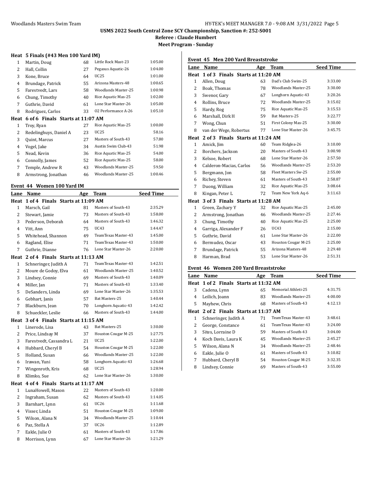**Referee : Claude Humbert**

**Meet Program - Sunday**

#### **Heat 5 Finals (#43 Men 100 Yard IM)**

| 1 | Martin, Doug                             | 68 | Little Rock Mast-23        | 1:05.00 |  |  |
|---|------------------------------------------|----|----------------------------|---------|--|--|
| 2 | Hall, Collin                             | 27 | Pegasus Aquatic-26         | 1:04.00 |  |  |
| 3 | Kone, Bruce                              | 64 | <b>UC25</b>                | 1:01.00 |  |  |
| 4 | Brundage, Patrick                        | 55 | Arizona Masters-48         | 1:00.65 |  |  |
| 5 | Farestvedt, Lars                         | 58 | Woodlands Master-25        | 1:00.98 |  |  |
| 6 | Chung, Timothy                           | 40 | Rice Aquatic Mas-25        | 1:02.00 |  |  |
| 7 | Guthrie, David                           | 61 | Lone Star Master-26        | 1:05.00 |  |  |
| 8 | Rodriguez, Carlos                        | 33 | 02 Performance A-26        | 1:05.10 |  |  |
|   | 6 of 6 Finals Starts at 11:07 AM<br>Heat |    |                            |         |  |  |
|   |                                          |    |                            |         |  |  |
| 1 | Troy, Ryan                               | 27 | Rice Aquatic Mas-25        | 1:00.00 |  |  |
| 2 | Redelinghuys, Daniel A                   | 23 | <b>UC25</b>                | 58.16   |  |  |
| 3 | Quint, Marcus                            | 27 | Masters of South-43        | 57.80   |  |  |
| 4 | Vogel, Jake                              | 34 | Austin Swim Club-43        | 51.98   |  |  |
| 5 | Nead, Kevin                              | 36 | Rice Aquatic Mas-25        | 54.00   |  |  |
| 6 | Connolly, James                          | 52 | Rice Aquatic Mas-25        | 58.00   |  |  |
| 7 | Temple, Andrew R                         | 43 | <b>Woodlands Master-25</b> | 59.50   |  |  |

#### **Event 44 Women 100 Yard IM**

| Lane           | Name                                  | Age | <b>Team</b>                | <b>Seed Time</b> |
|----------------|---------------------------------------|-----|----------------------------|------------------|
|                | Heat 1 of 4 Finals Starts at 11:09 AM |     |                            |                  |
| $\mathbf{1}$   | Marsch, Gail                          | 81  | Masters of South-43        | 2:35.29          |
| 2              | Stewart, Jamie                        | 73  | Masters of South-43        | 1:58.00          |
| 3              | Pederson, Deborah                     | 64  | Masters of South-43        | 1:46.32          |
| 4              | Vitt, Ann                             | 75  | UC43                       | 1:44.47          |
| 5              | Whitehead, Shannon                    | 49  | TeamTexas Master-43        | 1:45.00          |
| 6              | Ragland, Elise                        | 71  | TeamTexas Master-43        | 1:50.00          |
| 7              | Guthrie, Dianne                       | 76  | Lone Star Master-26        | 2:20.00          |
| Heat           | 2 of 4 Finals Starts at 11:13 AM      |     |                            |                  |
| 1              | Schneringer, Judith A                 | 71  | TeamTexas Master-43        | 1:42.51          |
| $\overline{c}$ | Moure de Godoy, Elva                  | 61  | <b>Woodlands Master-25</b> | 1:40.52          |
| 3              | Lindsey, Connie                       | 69  | Masters of South-43        | 1:40.09          |
| $\overline{4}$ | Miller, Jan                           | 71  | Masters of South-43        | 1:33.40          |
| 5              | DeSanders, Linda                      | 69  | Lone Star Master-26        | 1:35.53          |
| 6              | Gebhart, Janis                        | 57  | Bat Masters-25             | 1:40.44          |
| 7              | Blackburn, Jean                       | 70  | Longhorn Aquatic-43        | 1:42.42          |
| 8              | Schueckler, Leslie                    | 66  | Masters of South-43        | 1:44.00          |
| Heat           | 3 of 4 Finals Starts at 11:15 AM      |     |                            |                  |
| 1              | Linerode, Lisa                        | 43  | Bat Masters-25             | 1:30.00          |
| 2              | Price, Lindsay M                      | 37  | <b>Houston Cougar M-25</b> | 1:27.75          |
| 3              | Farestvedt, Cassandra L               | 21  | <b>UC25</b>                | 1:22.00          |
| 4              | Hubbard, Cheryl B                     | 54  | Houston Cougar M-25        | 1:22.00          |
| 5              | Holland, Susan                        | 66  | Woodlands Master-25        | 1:22.00          |
| 6              | Irawan, Yuni                          | 58  | Longhorn Aquatic-43        | 1:26.68          |
| 7              | Wingenroth, Kris                      | 68  | <b>UC25</b>                | 1:28.94          |
| 8              | Klimko, Sue                           | 62  | Lone Star Master-26        | 1:30.00          |
| Heat           | 4 of 4 Finals Starts at 11:17 AM      |     |                            |                  |
| 1              | LunaHowell, Mason                     | 22  | Masters of South-43        | 1:20.00          |
| 2              | Ingraham, Susan                       | 62  | Masters of South-43        | 1:14.05          |
| 3              | Barnhart, Lynn                        | 61  | <b>UC26</b>                | 1:11.68          |
| 4              | Visser, Linda                         | 51  | Houston Cougar M-25        | 1:09.00          |
| 5              | Wilson, Alana N                       | 34  | Woodlands Master-25        | 1:10.44          |
| 6              | Paz, Stella A                         | 37  | <b>UC26</b>                | 1:12.89          |
| 7              | Eakle, Julie O                        | 61  | Masters of South-43        | 1:17.86          |
| 8              | Morrison, Lynn                        | 67  | Lone Star Master-26        | 1:21.29          |

#### **Event 45 Men 200 Yard Breaststroke**

| Lane         | Name                                  | Age | Team                       | <b>Seed Time</b> |
|--------------|---------------------------------------|-----|----------------------------|------------------|
|              | Heat 1 of 3 Finals Starts at 11:20 AM |     |                            |                  |
| $\mathbf{1}$ | Allen, Doug                           | 63  | Dad's Club Swim-25         | 3:33.00          |
| 2            | Boak, Thomas                          | 78  | <b>Woodlands Master-25</b> | 3:30.00          |
| 3            | Swenor, Gary                          | 67  | Longhorn Aquatic-43        | 3:20.26          |
| 4            | Rollins, Bruce                        | 72  | Woodlands Master-25        | 3:15.02          |
| 5            | Hardy, Rog                            | 75  | Rice Aquatic Mas-25        | 3:15.53          |
| 6            | Marshall, Dirk H                      | 59  | Bat Masters-25             | 3:22.77          |
| 7            | Wong, Chun                            | 51  | First Colony Mas-25        | 3:30.00          |
| 8            | van der Wege, Robertus                | 77  | Lone Star Master-26        | 3:45.75          |
| Heat         | 2 of 3 Finals Starts at 11:24 AM      |     |                            |                  |
| $\mathbf{1}$ | Amick, Jim                            | 60  | Team Ridglea-26            | 3:10.00          |
| 2            | Borchers, Jackson                     | 20  | Masters of South-43        | 3:00.98          |
| 3            | Kelsoe, Robert                        | 68  | Lone Star Master-26        | 2:57.50          |
| 4            | Calderon-Macias, Carlos               | 56  | <b>Woodlands Master-25</b> | 2:53.20          |
| 5            | Bergmann, Jon                         | 58  | Fleet Masters Sw-25        | 2:55.00          |
| 6            | Richey, Steven                        | 61  | Masters of South-43        | 2:58.87          |
| 7            | Duong, William                        | 32  | Rice Aquatic Mas-25        | 3:08.64          |
| 8            | Kingan, Peter L                       | 72  | Team New York Aq-6         | 3:11.63          |
| Heat         | 3 of 3 Finals Starts at 11:28 AM      |     |                            |                  |
| $\mathbf{1}$ | Green, Zachary Y                      | 32  | Rice Aquatic Mas-25        | 2:45.00          |
| 2            | Armstrong, Jonathan                   | 46  | Woodlands Master-25        | 2:27.46          |
| 3            | Chung, Timothy                        | 40  | Rice Aquatic Mas-25        | 2:25.00          |
| 4            | Garriga, Alexander F                  | 26  | <b>UC43</b>                | 2:15.00          |
| 5            | Guthrie, David                        | 61  | Lone Star Master-26        | 2:22.00          |
| 6            | Bermudez, Oscar                       | 43  | Houston Cougar M-25        | 2:25.00          |
| 7            | Brundage, Patrick                     | 55  | Arizona Masters-48         | 2:29.48          |
| 8            | Harman, Brad                          | 53  | Lone Star Master-26        | 2:51.31          |
|              |                                       |     |                            |                  |

#### **Event 46 Women 200 Yard Breaststroke**

| Lane | Name                                  | Age | Team                       | <b>Seed Time</b> |
|------|---------------------------------------|-----|----------------------------|------------------|
|      | Heat 1 of 2 Finals Starts at 11:32 AM |     |                            |                  |
| 3    | Cadena, Lynn                          | 65  | Memorial Athleti-25        | 4:31.75          |
| 4    | Leilich, Joann                        | 83  | Woodlands Master-25        | 4:00.00          |
| 5    | Mayhew, Chris                         | 68  | Masters of South-43        | 4:12.13          |
|      | Heat 2 of 2 Finals Starts at 11:37 AM |     |                            |                  |
| 1    | Schneringer, Judith A                 | 71  | TeamTexas Master-43        | 3:48.61          |
| 2    | George, Constance                     | 61  | TeamTexas Master-43        | 3:24.00          |
| 3    | Sites, Lorraine D                     | 59  | Masters of South-43        | 3:04.00          |
| 4    | Koch Davis, Laura K                   | 45  | Woodlands Master-25        | 2:45.27          |
| 5    | Wilson, Alana N                       | 34  | Woodlands Master-25        | 2:48.46          |
| 6    | Eakle, Julie O                        | 61  | Masters of South-43        | 3:10.82          |
| 7    | Hubbard, Cheryl B                     | 54  | <b>Houston Cougar M-25</b> | 3:32.35          |
| 8    | Lindsey, Connie                       | 69  | Masters of South-43        | 3:55.00          |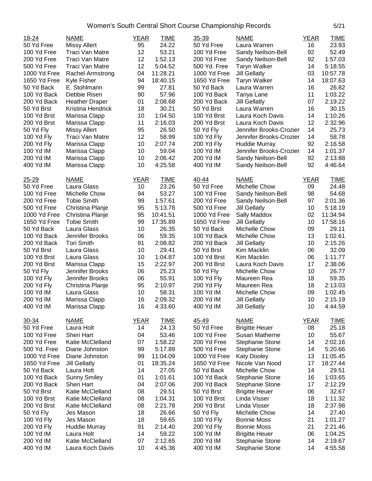## Women's South Central Short Course Championship Records 5/21

| 18-24<br>50 Yd Free<br>100 Yd Free<br>200 Yd Free | <b>NAME</b><br><b>Missy Allert</b><br>Traci Van Matre<br>Traci Van Matre | <b>YEAR</b><br>95<br>12<br>12 | <b>TIME</b><br>24.22<br>53.21<br>1:52.13 | 35-39<br>50 Yd Free<br>100 Yd Free<br>200 Yd Free | <b>NAME</b><br>Laura Warren<br>Sandy Neilson-Bell<br>Sandy Neilson-Bell | <b>YEAR</b><br>16<br>92<br>92 | <b>TIME</b><br>23.93<br>52.49<br>1:57.03 |
|---------------------------------------------------|--------------------------------------------------------------------------|-------------------------------|------------------------------------------|---------------------------------------------------|-------------------------------------------------------------------------|-------------------------------|------------------------------------------|
| 500 Yd Free                                       | Traci Van Matre                                                          | 12                            | 5:04.52                                  | 500 Yd. Free                                      | <b>Taryn Walker</b>                                                     | 14                            | 5:18.55                                  |
| 1000 Yd Free                                      | Rachel Armstrong                                                         | 04                            | 11:28.21                                 | 1000 Yd Free                                      | <b>Jill Gellatly</b>                                                    | 03                            | 10:57.78                                 |
| 1650 Yd Free                                      | Kyle Fisher                                                              | 94                            | 18:40.15                                 | 1650 Yd Free                                      | <b>Taryn Walker</b>                                                     | 14                            | 18:07.63                                 |
| 50 Yd Back                                        | E. Stohlmann                                                             | 99                            | 27.81                                    | 50 Yd Back                                        | Laura Warren                                                            | 16                            | 26.82                                    |
| 100 Yd Back                                       | Debbie Risen                                                             | 90                            | 57.96                                    | 100 Yd Back                                       | Tanya Lane                                                              | 11                            | 1:03.22                                  |
| 200 Yd Back                                       | <b>Heather Draper</b>                                                    | 01                            | 2:08.68                                  | 200 Yd Back                                       | <b>Jill Gellatly</b>                                                    | 07                            | 2:19.22                                  |
| 50 Yd Brst                                        | Kristina Hendrick                                                        | 18                            | 30.21                                    | 50 Yd Brst                                        | Laura Warren                                                            | 16                            | 30.15                                    |
| 100 Yd Brst                                       | Marissa Clapp                                                            | 10                            | 1:04.50                                  | 100 Yd Brst                                       | Laura Koch Davis                                                        | 14                            | 1:10.26                                  |
| 200 Yd Brst                                       | Marissa Clapp                                                            | 11                            | 2:16.03                                  | 200 Yd Brst                                       | Laura Koch Davis                                                        | 12                            | 2:32.96                                  |
| 50 Yd Fly                                         | <b>Missy Allert</b>                                                      | 95                            | 26.50                                    | 50 Yd Fly                                         | Jennifer Brooks-Crozier                                                 | 14                            | 25.73                                    |
| 100 Yd Fly                                        | Traci Van Matre                                                          | 12                            | 58.99                                    | 100 Yd Fly                                        | Jennifer Brooks-Crozier                                                 | 14                            | 58.78                                    |
| 200 Yd Fly                                        | Marissa Clapp                                                            | 10                            | 2:07.74                                  | 200 Yd Fly                                        | Huddie Murray                                                           | 92                            | 2:16.58                                  |
| 100 Yd IM                                         | Marissa Clapp                                                            | 10                            | 59.04                                    | 100 Yd IM                                         | Jennifer Brooks-Crozier                                                 | 14                            | 1:01.37                                  |
| 200 Yd IM                                         | Marissa Clapp                                                            | 10                            | 2:06.42                                  | 200 Yd IM                                         | Sandy Neilson-Bell                                                      | 92                            | 2:13.88                                  |
| 400 Yd IM                                         | Marissa Clapp                                                            | 10                            | 4:25.58                                  | 400 Yd IM                                         | Sandy Neilson-Bell                                                      | 92                            | 4:46.64                                  |
| 25-29                                             | <b>NAME</b>                                                              | <b>YEAR</b>                   | <b>TIME</b>                              | 40-44                                             | <b>NAME</b>                                                             | <b>YEAR</b>                   | <b>TIME</b>                              |
| 50 Yd Free                                        | Laura Glass                                                              | 10                            | 23.26                                    | 50 Yd Free                                        | Michelle Chow                                                           | 09                            | 24.48                                    |
| 100 Yd Free                                       | <b>Michelle Chow</b>                                                     | 94                            | 53.27                                    | 100 Yd Free                                       | Sandy Neilson-Bell                                                      | 98                            | 54.68                                    |
| 200 Yd Free                                       | <b>Tobie Smith</b>                                                       | 99                            | 1:57.61                                  | 200 Yd Free                                       | Sandy Neilson-Bell                                                      | 97                            | 2:01.36                                  |
| 500 Yd Free                                       | Christina Planje                                                         | 95                            | 5:13.78                                  | 500 Yd Free                                       | <b>Jill Gellatly</b>                                                    | 10                            | 5:18.19                                  |
| 1000 Yd Free                                      | Christina Planje                                                         | 95                            | 10:41.51                                 | 1000 Yd Free                                      | Sally Maddox                                                            | 02                            | 11:34.94                                 |
| 1650 Yd Free                                      | <b>Tobie Smith</b>                                                       | 99                            | 17:35.89                                 | 1650 Yd Free                                      | <b>Jill Gellatly</b>                                                    | 10                            | 17:58.16                                 |
| 50 Yd Back                                        | Laura Glass                                                              | 10                            | 26.35                                    | 50 Yd Back                                        | <b>Michelle Chow</b>                                                    | 09                            | 29.11                                    |
| 100 Yd Back                                       | Jennifer Brooks                                                          | 06                            | 59.35                                    | 100 Yd Back                                       | <b>Michelle Chow</b>                                                    | 13                            | 1:02.61                                  |
| 200 Yd Back                                       | <b>Tori Smith</b>                                                        | 91                            | 2:08.82                                  | 200 Yd Back                                       | <b>Jill Gellatly</b>                                                    | 10                            | 2:15.26                                  |
| 50 Yd Brst                                        | Laura Glass                                                              | 10                            | 29.41                                    | 50 Yd Brst                                        | Kim Macklin                                                             | 06                            | 32.09                                    |
| 100 Yd Brst                                       | Laura Glass                                                              | 10                            | 1:04.87                                  | 100 Yd Brst                                       | Kim Macklin                                                             | 06                            | 1:11.77                                  |
| 200 Yd Brst                                       | Marissa Clapp                                                            | 15                            | 2:22.97                                  | 200 Yd Brst                                       | Laura Koch Davis                                                        | 17                            | 2:38.06                                  |
| 50 Yd Fly                                         | Jennifer Brooks                                                          | 06                            | 25.23                                    | 50 Yd Fly                                         | <b>Michelle Chow</b>                                                    | 10                            | 26.77                                    |
| 100 Yd Fly                                        | Jennifer Brooks                                                          | 06                            | 55.91                                    | 100 Yd Fly                                        | Maureen Rea                                                             | 18                            | 59.35                                    |
| 200 Yd Fly                                        | Christina Planje                                                         | 95                            | 2:10.97                                  | 200 Yd Fly                                        | Maureen Rea                                                             | 18                            | 2:13.03                                  |
| 100 Yd IM                                         | Laura Glass                                                              | 10                            | 58.31                                    | 100 Yd IM                                         | <b>Michelle Chow</b>                                                    | 09                            | 1:02.45                                  |
| 200 Yd IM                                         | Marissa Clapp                                                            | 16                            | 2:09.32                                  | 200 Yd IM                                         | <b>Jill Gellatly</b>                                                    | 10                            | 2:15.19                                  |
| 400 Yd IM                                         | Marissa Clapp                                                            | 16                            | 4:33.60                                  | 400 Yd IM                                         | <b>Jill Gellatly</b>                                                    | 10                            | 4:44.59                                  |
| $30 - 34$                                         | <b>NAME</b>                                                              | <b>YEAR</b>                   | <b>TIME</b>                              | $45 - 49$                                         | <b>NAME</b>                                                             | <b>YEAR</b>                   | <b>TIME</b>                              |
| 50 Yd Free                                        | Laura Holt                                                               | 14                            | 24.13                                    | 50 Yd Free                                        | <b>Brigitte Heuer</b>                                                   | 08                            | 25.18                                    |
| 100 Yd Free                                       | Sheri Hart                                                               | 04                            | 53.46                                    | 100 Yd Free                                       | Susan Matherne                                                          | 10                            | 55.67                                    |
| 200 Yd Free                                       | Katie McClelland                                                         | 07                            | 1:58.22                                  | 200 Yd Free                                       | <b>Stephanie Stone</b>                                                  | 14                            | 2:02.16                                  |
| 500 Yd. Free                                      | Diane Johnston                                                           | 99                            | 5:17.89                                  | 500 Yd Free                                       | <b>Stephanie Stone</b>                                                  | 14                            | 5:20.66                                  |
| 1000 Yd Free                                      | Diane Johnston                                                           | 99                            | 11:04.09                                 | 1000 Yd Free                                      | <b>Katy Dooley</b>                                                      | 13                            | 11:05.45                                 |
| 1650 Yd Free                                      | <b>Jill Gellatly</b>                                                     | 01                            | 18:35.24                                 | 1650 Yd Free                                      | Nicole Van Nood                                                         | 17                            | 18:27.44                                 |
| 50 Yd Back                                        | Laura Holt                                                               | 14                            | 27.05                                    | 50 Yd Back                                        | Michelle Chow                                                           | 14                            | 29.51                                    |
| 100 Yd Back                                       | <b>Sunny Smiley</b>                                                      | 01                            | 1:01.61                                  | 100 Yd Back                                       | Stephanie Stone                                                         | 16                            | 1:03.65                                  |
| 200 Yd Back                                       | Sheri Hart                                                               | 04                            | 2:07.06                                  | 200 Yd Back                                       | <b>Stephanie Stone</b>                                                  | 17                            | 2:12.29                                  |
| 50 Yd Brst                                        | Katie McClelland                                                         | 08                            | 29.51                                    | 50 Yd Brst                                        | <b>Brigitte Heuer</b>                                                   | 06                            | 32.67                                    |
| 100 Yd Brst                                       | Katie McClelland                                                         | 08                            | 1:04.31                                  | 100 Yd Brst                                       | Linda Visser                                                            | 18                            | 1:11.32                                  |
| 200 Yd Brst                                       | Katie McClelland                                                         | 08                            | 2:21.78                                  | 200 Yd Brst                                       | Linda Visser                                                            | 18                            | 2:37.98                                  |
| 50 Yd Fly                                         | Jes Mason                                                                | 18                            | 26.66                                    | 50 Yd Fly                                         | Michelle Chow                                                           | 14                            | 27.40                                    |
| 100 Yd Fly                                        | Jes Mason                                                                | 18                            | 59.65                                    | 100 Yd Fly                                        | <b>Bonnie Moss</b>                                                      | 21                            | 1:01.27                                  |
| 200 Yd Fly                                        | <b>Huddie Murray</b>                                                     | 91                            | 2:14.40                                  | 200 Yd Fly                                        | <b>Bonnie Moss</b>                                                      | 21                            | 2:21.46                                  |
| 100 Yd IM                                         | Laura Holt                                                               | 14                            | 59.22                                    | 100 Yd IM                                         | <b>Brigitte Heuer</b>                                                   | 06                            | 1:04.25                                  |
| 200 Yd IM                                         | Katie McClelland                                                         | 07                            | 2:12.65                                  | 200 Yd IM                                         | Stephanie Stone                                                         | 14                            | 2:19.67                                  |
| 400 Yd IM                                         | Laura Koch Davis                                                         | 10                            | 4:45.36                                  | 400 Yd IM                                         | <b>Stephanie Stone</b>                                                  | 14                            | 4:55.58                                  |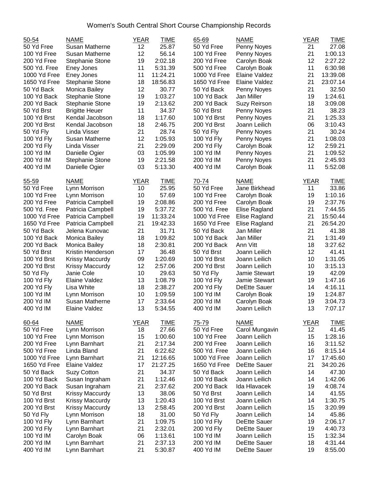## Women's South Central Short Course Championship Records

| 50-54        | <b>NAME</b>            | <b>YEAR</b> | <b>TIME</b> | 65-69        | <b>NAME</b>          | <b>YEAR</b> | <b>TIME</b> |
|--------------|------------------------|-------------|-------------|--------------|----------------------|-------------|-------------|
| 50 Yd Free   | Susan Matherne         | 12          | 25.87       | 50 Yd Free   | Penny Noyes          | 21          | 27.08       |
| 100 Yd Free  | Susan Matherne         | 12          | 56.14       | 100 Yd Free  | Penny Noyes          | 21          | 1:00.13     |
| 200 Yd Free  | <b>Stephanie Stone</b> | 19          | 2:02.18     | 200 Yd Free  | Carolyn Boak         | 12          | 2:27.22     |
| 500 Yd. Free | Eney Jones             | 11          | 5:31.39     | 500 Yd Free  | Carolyn Boak         | 11          | 6:30.98     |
| 1000 Yd Free | Eney Jones             | 11          | 11:24.21    | 1000 Yd Free | Elaine Valdez        | 21          | 13:39.08    |
| 1650 Yd Free | <b>Stephanie Stone</b> | 18          | 18:56.83    | 1650 Yd Free | Elaine Valdez        | 21          | 23:07.14    |
| 50 Yd Back   | Monica Bailey          | 12          | 30.77       | 50 Yd Back   | Penny Noyes          | 21          | 32.50       |
| 100 Yd Back  | <b>Stephanie Stone</b> | 19          | 1:03.27     | 100 Yd Back  | Jan Miller           | 19          | 1:24.61     |
| 200 Yd Back  | <b>Stephanie Stone</b> | 19          | 2:13.62     | 200 Yd Back  | Suzy Reirson         | 18          | 3:09.08     |
| 50 Yd Brst   | <b>Brigitte Heuer</b>  | 11          | 34.37       | 50 Yd Brst   | Penny Noyes          | 21          | 38.23       |
| 100 Yd Brst  | Kendal Jacobson        | 18          | 1:17.60     | 100 Yd Brst  | Penny Noyes          | 21          | 1:25.33     |
| 200 Yd Brst  | Kendal Jacobson        | 18          | 2:46.75     | 200 Yd Brst  | Joann Leilich        | 06          | 3:10.43     |
| 50 Yd Fly    | Linda Visser           | 21          | 28.74       | 50 Yd Fly    | Penny Noyes          | 21          | 30.24       |
| 100 Yd Fly   | Susan Matherne         | 12          | 1:05.93     | 100 Yd Fly   | Penny Noyes          | 21          | 1:08.03     |
| 200 Yd Fly   | Linda Visser           | 21          | 2:29.09     | 200 Yd Fly   | Carolyn Boak         | 12          | 2:59.21     |
| 100 Yd IM    | Danielle Ogier         | 03          | 1:05.99     | 100 Yd IM    | Penny Noyes          | 21          | 1:09.52     |
| 200 Yd IM    | <b>Stephanie Stone</b> | 19          | 2:21.58     | 200 Yd IM    | Penny Noyes          | 21          | 2:45.93     |
| 400 Yd IM    | Danielle Ogier         | 03          | 5:13.30     | 400 Yd IM    | Carolyn Boak         | 11          | 5:52.08     |
| $55 - 59$    | <b>NAME</b>            | <b>YEAR</b> | <b>TIME</b> | 70-74        | <b>NAME</b>          | <b>YEAR</b> | <b>TIME</b> |
| 50 Yd Free   | Lynn Morrison          | 10          | 25.95       | 50 Yd Free   | Jane Birkhead        | 11          | 33.86       |
| 100 Yd Free  | Lynn Morrison          | 10          | 57.69       | 100 Yd Free  | Carolyn Boak         | 19          | 1:10.16     |
| 200 Yd Free  | Patricia Campbell      | 19          | 2:08.86     | 200 Yd Free  | Carolyn Boak         | 19          | 2:37.76     |
| 500 Yd. Free | Patricia Campbell      | 19          | 5:37.72     | 500 Yd. Free | <b>Elise Ragland</b> | 21          | 7:44.55     |
| 1000 Yd Free | Patricia Campbell      | 19          | 11:33.24    | 1000 Yd Free | <b>Elise Ragland</b> | 21          | 15:50.44    |
| 1650 Yd Free | Patricia Campbell      | 21          | 19:42.33    | 1650 Yd Free | <b>Elise Ragland</b> | 21          | 26:54.20    |
| 50 Yd Back   | Jelena Kunovac         | 21          | 31.71       | 50 Yd Back   | Jan Miller           | 21          | 41.38       |
| 100 Yd Back  | Monica Bailey          | 18          | 1:09.82     | 100 Yd Back  | Jan Miller           | 21          | 1:31.49     |
| 200 Yd Back  | Monica Bailey          | 18          | 2:30.81     | 200 Yd Back  | Ann Vitt             | 18          | 3:27.62     |
| 50 Yd Brst   | Kristin Henderson      | 17          | 36.48       | 50 Yd Brst   | Joann Leilich        | 12          | 41.41       |
| 100 Yd Brst  | <b>Krissy Maccurdy</b> | 09          | 1:20.69     | 100 Yd Brst  | Joann Leilich        | 10          | 1:31.05     |
| 200 Yd Brst  | <b>Krissy Maccurdy</b> | 12          | 2:57.06     | 200 Yd Brst  | Joann Leilich        | 10          | 3:15.13     |
| 50 Yd Fly    | Janie Cole             | 10          | 29.63       | 50 Yd Fly    | Jamie Stewart        | 19          | 42.09       |
| 100 Yd Fly   | Elaine Valdez          | 13          | 1:08.79     | 100 Yd Fly   | Jamie Stewart        | 19          | 1:47.16     |
| 200 Yd Fly   | Lisa White             | 18          | 2:38.27     | 200 Yd Fly   | <b>DeEtte Sauer</b>  | 14          | 4:16.11     |
| 100 Yd IM    | Lynn Morrison          | 10          | 1:09.59     | 100 Yd IM    | Carolyn Boak         | 19          | 1:24.87     |
| 200 Yd IM    | <b>Susan Matherne</b>  | 17          | 2:33.64     | 200 Yd IM    | Carolyn Boak         | 19          | 3:04.73     |
| 400 Yd IM    | Elaine Valdez          | 13          | 5:34.55     | 400 Yd IM    | Joann Leilich        | 13          | 7:07.17     |
| 60-64        | <b>NAME</b>            | <b>YEAR</b> | <b>TIME</b> | $75 - 79$    | <b>NAME</b>          | <b>YEAR</b> | <b>TIME</b> |
| 50 Yd Free   | Lynn Morrison          | 18          | 27.66       | 50 Yd Free   | Carol Mungavin       | 12          | 41.45       |
| 100 Yd Free  | Lynn Morrison          | 15          | 1:00.60     | 100 Yd Free  | Joann Leilich        | 15          | 1:28.16     |
| 200 Yd Free  | Lynn Barnhart          | 21          | 2:17.34     | 200 Yd Free  | Joann Leilich        | 16          | 3:11.52     |
| 500 Yd Free  | Linda Bland            | 21          | 6:22.62     | 500 Yd. Free | Joann Leilich        | 16          | 8:15.14     |
| 1000 Yd Free | Lynn Barnhart          | 21          | 12:16.65    | 1000 Yd Free | Joann Leilich        | 17          | 17:45.60    |
| 1650 Yd Free | Elaine Valdez          | 17          | 21:27.25    | 1650 Yd Free | DeEtte Sauer         | 21          | 34:20.26    |
| 50 Yd Back   | <b>Suzy Cotton</b>     | 21          | 34.37       | 50 Yd Back   | Joann Leilich        | 14          | 47.30       |
| 100 Yd Back  | Susan Ingraham         | 21          | 1:12.46     | 100 Yd Back  | Joann Leilich        | 14          | 1:42.06     |
| 200 Yd Back  | Susan Ingraham         | 21          | 2:37.62     | 200 Yd Back  | Ida Hlavacek         | 19          | 4:08.74     |
| 50 Yd Brst   | <b>Krissy Maccurdy</b> | 13          | 38.06       | 50 Yd Brst   | Joann Leilich        | 14          | 41.55       |
| 100 Yd Brst  | <b>Krissy Maccurdy</b> | 13          | 1:20.43     | 100 Yd Brst  | Joann Leilich        | 14          | 1:30.75     |
| 200 Yd Brst  | <b>Krissy Maccurdy</b> | 13          | 2:58.45     | 200 Yd Brst  | Joann Leilich        | 15          | 3:20.99     |
| 50 Yd Fly    | Lynn Morrison          | 18          | 31.00       | 50 Yd Fly    | Joann Leilich        | 14          | 45.86       |
| 100 Yd Fly   | Lynn Barnhart          | 21          | 1:09.75     | 100 Yd Fly   | <b>DeEtte Sauer</b>  | 19          | 2:06.17     |
| 200 Yd Fly   | Lynn Barnhart          | 21          | 2:32.01     | 200 Yd Fly   | <b>DeEtte Sauer</b>  | 19          | 4:40.73     |
| 100 Yd IM    | Carolyn Boak           | 06          | 1:13.61     | 100 Yd IM    | Joann Leilich        | 15          | 1:32.34     |
| 200 Yd IM    | Lynn Barnhart          | 21          | 2:37.13     | 200 Yd IM    | <b>DeEtte Sauer</b>  | 18          | 4:31.44     |
| 400 Yd IM    | Lynn Barnhart          | 21          | 5:30.87     | 400 Yd IM    | <b>DeEtte Sauer</b>  | 19          | 8:55.00     |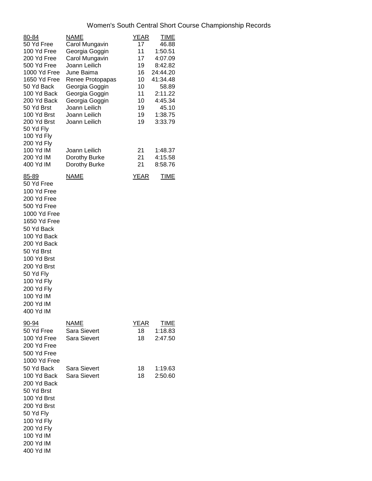## Women's South Central Short Course Championship Records

| 80-84<br>50 Yd Free<br>100 Yd Free<br>200 Yd Free<br>500 Yd Free<br>1000 Yd Free<br>1650 Yd Free<br>50 Yd Back<br>100 Yd Back<br>200 Yd Back<br>50 Yd Brst<br>100 Yd Brst<br>200 Yd Brst<br>50 Yd Fly<br>100 Yd Fly<br>200 Yd Fly<br>100 Yd IM                               | <b>NAME</b><br>Carol Mungavin<br>Georgia Goggin<br>Carol Mungavin<br>Joann Leilich<br>June Baima<br>Renee Protopapas<br>Georgia Goggin<br>Georgia Goggin<br>Georgia Goggin<br>Joann Leilich<br>Joann Leilich<br>Joann Leilich<br>Joann Leilich | YEAR<br>17<br>11<br>17<br>19<br>16<br>10<br>10<br>11<br>10<br>19<br>19<br>19<br>21 | <u>TIME</u><br>46.88<br>1:50.51<br>4:07.09<br>8:42.82<br>24:44.20<br>41:34.48<br>58.89<br>2:11.22<br>4:45.34<br>45.10<br>1:38.75<br>3:33.79<br>1:48.37 |
|------------------------------------------------------------------------------------------------------------------------------------------------------------------------------------------------------------------------------------------------------------------------------|------------------------------------------------------------------------------------------------------------------------------------------------------------------------------------------------------------------------------------------------|------------------------------------------------------------------------------------|--------------------------------------------------------------------------------------------------------------------------------------------------------|
| 200 Yd IM<br>400 Yd IM                                                                                                                                                                                                                                                       | Dorothy Burke<br>Dorothy Burke                                                                                                                                                                                                                 | 21<br>21                                                                           | 4:15.58<br>8:58.76                                                                                                                                     |
| $85 - 89$<br>50 Yd Free<br>100 Yd Free<br>200 Yd Free<br>500 Yd Free<br>1000 Yd Free<br>1650 Yd Free<br>50 Yd Back<br>100 Yd Back<br>200 Yd Back<br>50 Yd Brst<br>100 Yd Brst<br>200 Yd Brst<br>50 Yd Fly<br>100 Yd Fly<br>200 Yd Fly<br>100 Yd IM<br>200 Yd IM<br>400 Yd IM | NAME                                                                                                                                                                                                                                           | <b>YEAR</b>                                                                        | <b>TIME</b>                                                                                                                                            |
| 90-94<br>50 Yd Free<br>100 Yd Free<br>200 Yd Free<br>500 Yd Free<br>1000 Yd Free                                                                                                                                                                                             | <u>NAME</u><br>Sara Sievert<br>Sara Sievert                                                                                                                                                                                                    | <u>YEAR</u><br>18<br>18                                                            | <b>TIME</b><br>1:18.83<br>2:47.50                                                                                                                      |
| 50 Yd Back<br>100 Yd Back<br>200 Yd Back<br>50 Yd Brst<br>100 Yd Brst<br>200 Yd Brst<br>50 Yd Fly<br>100 Yd Fly<br>200 Yd Fly<br>100 Yd IM<br>200 Yd IM<br>400 Yd IM                                                                                                         | <b>Sara Sievert</b><br>Sara Sievert                                                                                                                                                                                                            | 18<br>18                                                                           | 1:19.63<br>2:50.60                                                                                                                                     |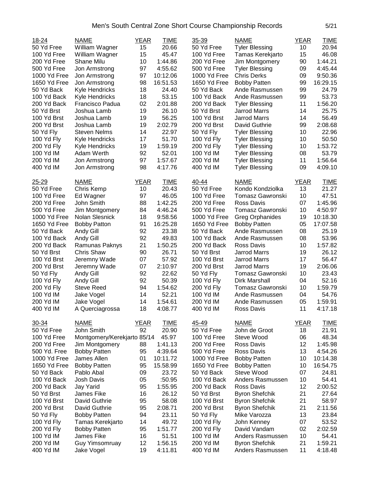## Men's South Central Zone Short Course Championship Records 5/21

| 18-24        | <b>NAME</b>                 | <b>YEAR</b> | <b>TIME</b> | 35-39        | <b>NAME</b>             | <b>YEAR</b> | <b>TIME</b> |
|--------------|-----------------------------|-------------|-------------|--------------|-------------------------|-------------|-------------|
| 50 Yd Free   | William Wagner              | 15          | 20.66       | 50 Yd Free   | <b>Tyler Blessing</b>   | 10          | 20.94       |
| 100 Yd Free  | William Wagner              | 15          | 45.47       | 100 Yd Free  | Tamas Kerekjarto        | 15          | 46.08       |
| 200 Yd Free  | Shane Milu                  | 10          | 1:44.86     | 200 Yd Free  | Jim Montgomery          | 90          | 1:44.21     |
| 500 Yd Free  | Jon Armstrong               | 97          | 4:55.62     | 500 Yd Free  | <b>Tyler Blessing</b>   | 09          | 4:45.44     |
| 1000 Yd Free | Jon Armstrong               | 97          | 10:12.06    | 1000 Yd Free | <b>Chris Derks</b>      | 09          | 9:50.36     |
| 1650 Yd Free | Jon Armstrong               | 98          | 16:51.53    | 1650 Yd Free | <b>Bobby Patten</b>     | 99          | 16:29.15    |
| 50 Yd Back   | Kyle Hendricks              | 18          | 24.40       | 50 Yd Back   | Ande Rasmussen          | 99          | 24.79       |
| 100 Yd Back  | Kyle Hendricks              | 18          | 53.15       | 100 Yd Back  | Ande Rasmussen          | 99          | 53.73       |
| 200 Yd Back  | Francisco Padua             | 02          | 2:01.88     | 200 Yd Back  | <b>Tyler Blessing</b>   | 11          | 1:56.20     |
| 50 Yd Brst   | Joshua Lamb                 | 19          | 26.10       | 50 Yd Brst   | <b>Jarrod Marrs</b>     | 14          | 25.75       |
| 100 Yd Brst  | Joshua Lamb                 | 19          | 56.25       | 100 Yd Brst  | <b>Jarrod Marrs</b>     | 14          | 56.49       |
| 200 Yd Brst  | Joshua Lamb                 | 19          | 2:02.79     | 200 Yd Brst  | David Guthrie           | 99          | 2:08.68     |
| 50 Yd Fly    | <b>Steven Nelms</b>         | 14          | 22.97       | 50 Yd Fly    | <b>Tyler Blessing</b>   | 10          | 22.96       |
| 100 Yd Fly   | Kyle Hendricks              | 17          | 51.70       | 100 Yd Fly   | <b>Tyler Blessing</b>   | 10          | 50.50       |
| 200 Yd Fly   | Kyle Hendricks              | 19          | 1:59.19     | 200 Yd Fly   | <b>Tyler Blessing</b>   | 10          | 1:53.72     |
| 100 Yd IM    | Adam Werth                  | 92          | 52.01       | 100 Yd IM    | <b>Tyler Blessing</b>   | 08          | 53.79       |
| 200 Yd IM    | Jon Armstrong               | 97          | 1:57.67     | 200 Yd IM    | <b>Tyler Blessing</b>   | 11          | 1:56.64     |
| 400 Yd IM    | Jon Armstrong               | 98          | 4:17.76     | 400 Yd IM    | <b>Tyler Blessing</b>   | 09          | 4:09.10     |
| 25-29        | <b>NAME</b>                 | <b>YEAR</b> | <b>TIME</b> | 40-44        | <b>NAME</b>             | <b>YEAR</b> | <b>TIME</b> |
| 50 Yd Free   | Chris Kemp                  | 10          | 20.43       | 50 Yd Free   | Kondo Kondziolka        | 13          | 21.27       |
| 100 Yd Free  | Ed Wagner                   | 97          | 46.05       | 100 Yd Free  | <b>Tomasz Gawronski</b> | 10          | 47.51       |
| 200 Yd Free  | John Smith                  | 88          | 1:42.25     | 200 Yd Free  | <b>Ross Davis</b>       | 07          | 1:45.96     |
| 500 Yd Free  | Jim Montgomery              | 84          | 4:46.24     | 500 Yd Free  | Tomasz Gawronski        | 10          | 4:50.97     |
| 1000 Yd Free | Nolan Slesnick              | 18          | 9:58.56     | 1000 Yd Free | <b>Greg Orphanides</b>  | 19          | 10:18.30    |
| 1650 Yd Free | <b>Bobby Patton</b>         | 91          | 16:25.28    | 1650 Yd Free | <b>Bobby Patten</b>     | 05          | 17:07.58    |
| 50 Yd Back   | Andy Gill                   | 92          | 23.38       | 50 Yd Back   | Ande Rasmussen          | 08          | 25.19       |
| 100 Yd Back  | Andy Gill                   | 92          | 49.83       | 100 Yd Back  | Ande Rasmussen          | 08          | 53.96       |
| 200 Yd Back  | Ramunas Paknys              | 21          | 1:50.25     | 200 Yd Back  | Ross Davis              | 10          | 1:57.82     |
| 50 Yd Brst   | <b>Chris Shaw</b>           | 90          | 26.71       | 50 Yd Brst   | <b>Jarrod Marrs</b>     | 19          | 26.12       |
| 100 Yd Brst  | Jeremny Wade                | 07          | 57.92       | 100 Yd Brst  | <b>Jarrod Marrs</b>     | 17          | 56.47       |
| 200 Yd Brst  | Jeremny Wade                | 07          | 2:10.97     | 200 Yd Brst  | <b>Jarrod Marrs</b>     | 19          | 2:06.06     |
| 50 Yd Fly    | Andy Gill                   | 92          | 22.62       | 50 Yd Fly    | Tomasz Gawronski        | 10          | 23.43       |
| 100 Yd Fly   | Andy Gill                   | 92          | 50.39       | 100 Yd Fly   | Dirk Marshall           | 04          | 52.16       |
| 200 Yd Fly   | <b>Steve Reed</b>           | 94          | 1:54.62     | 200 Yd Fly   | <b>Tomasz Gawronski</b> | 10          | 1:59.79     |
| 100 Yd IM    | Jake Vogel                  | 14          | 52.21       | 100 Yd IM    | Ande Rasmussen          | 04          | 54.76       |
| 200 Yd IM    | Jake Vogel                  | 14          | 1:54.61     | 200 Yd IM    | Ande Rasmussen          | 05          | 1:59.91     |
| 400 Yd IM    | A Querciagrossa             | 18          | 4:08.77     | 400 Yd IM    | Ross Davis              | 11          | 4:17.18     |
| $30 - 34$    | <b>NAME</b>                 | <b>YEAR</b> | <b>TIME</b> | 45-49        | <b>NAME</b>             | <b>YEAR</b> | <b>TIME</b> |
| 50 Yd Free   | John Smith                  | 92          | 20.90       | 50 Yd Free   | John de Groot           | 18          | 21.91       |
| 100 Yd Free  | Montgomery/Kerekjarto 85/14 |             | 45.97       | 100 Yd Free  | Steve Wood              | 06          | 48.34       |
| 200 Yd Free  | Jim Montgomery              | 88          | 1:41.13     | 200 Yd Free  | Ross Davis              | 12          | 1:45.98     |
| 500 Yd. Free | <b>Bobby Patten</b>         | 95          | 4:39.64     | 500 Yd Free  | Ross Davis              | 13          | 4:54.26     |
| 1000 Yd Free | James Allen                 | 01          | 10:11.72    | 1000 Yd Free | <b>Bobby Patten</b>     | 10          | 10:14.38    |
| 1650 Yd Free | <b>Bobby Patten</b>         | 95          | 15.58.99    | 1650 Yd Free | <b>Bobby Patten</b>     | 10          | 16:54.75    |
| 50 Yd Back   | Pablo Abal                  | 09          | 23.72       | 50 Yd Back   | Steve Wood              | 07          | 24.81       |
| 100 Yd Back  | Josh Davis                  | 05          | :50.95      | 100 Yd Back  | Anders Rasmussen        | 10          | 54.41       |
| 200 Yd Back  | Jay Yarid                   | 95          | 1:55.95     | 200 Yd Back  | Ross Davis              | 12          | 2:00.52     |
| 50 Yd Brst   | James Fike                  | 16          | 26.12       | 50 Yd Brst   | <b>Byron Shefchik</b>   | 21          | 27.64       |
| 100 Yd Brst  | David Guthrie               | 95          | 58.08       | 100 Yd Brst  | <b>Byron Shefchik</b>   | 21          | 58.97       |
| 200 Yd Brst  | David Guthrie               | 95          | 2:08.71     | 200 Yd Brst  | <b>Byron Shefchik</b>   | 21          | 2:11.56     |
| 50 Yd Fly    | <b>Bobby Patten</b>         | 94          | 23.11       | 50 Yd Fly    | Mike Varozza            | 13          | 23.84       |
| 100 Yd Fly   | Tamas Kerekjarto            | 14          | 49.72       | 100 Yd Fly   | John Kenney             | 07          | 53.52       |
| 200 Yd Fly   | <b>Bobby Patten</b>         | 95          | 1:51.77     | 200 Yd Fly   | David Vandam            | 02          | 2:02.59     |
| 100 Yd IM    | James Fike                  | 16          | 51.51       | 100 Yd IM    | Anders Rasmussen        | 10          | 54.41       |
| 200 Yd IM    | <b>Guy Yimsomruay</b>       | 12          | 1:56.15     | 200 Yd IM    | <b>Byron Shefchik</b>   | 21          | 1:59.21     |
| 400 Yd IM    | Jake Vogel                  | 19          | 4:11.81     | 400 Yd IM    | Anders Rasmussen        | 11          | 4:18.48     |
|              |                             |             |             |              |                         |             |             |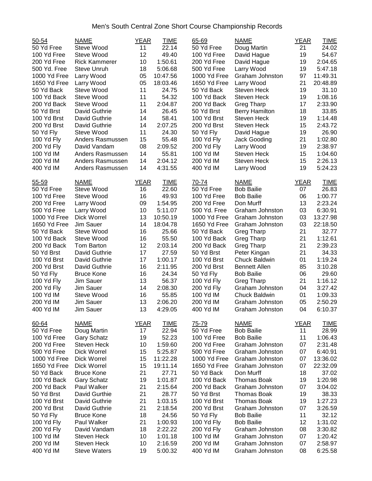## Men's South Central Zone Short Course Championship Records

| 50-54        | <b>NAME</b>          | <b>YEAR</b> | <b>TIME</b> | $65 - 69$    | <u>NAME</u>           | YEAR        | <b>TIME</b> |
|--------------|----------------------|-------------|-------------|--------------|-----------------------|-------------|-------------|
| 50 Yd Free   | Steve Wood           | 11          | 22.14       | 50 Yd Free   | Doug Martin           | 21          | 24.02       |
| 100 Yd Free  | Steve Wood           | 12          | 49.40       | 100 Yd Free  | David Hague           | 19          | 54.67       |
| 200 Yd Free  | <b>Rick Kammerer</b> | 10          | 1:50.61     | 200 Yd Free  | David Hague           | 19          | 2:04.65     |
| 500 Yd. Free | <b>Steve Unruh</b>   | 18          | 5:06.68     | 500 Yd Free  | Larry Wood            | 19          | 5:47.18     |
| 1000 Yd Free | Larry Wood           | 05          | 10:47.56    | 1000 Yd Free | Graham Johnston       | 97          | 11:49.31    |
| 1650 Yd Free | Larry Wood           | 05          | 18:03.46    | 1650 Yd Free | Larry Wood            | 21          | 20:48.89    |
| 50 Yd Back   | Steve Wood           | 11          | 24.75       | 50 Yd Back   | Steven Heck           | 19          | 31.10       |
| 100 Yd Back  | Steve Wood           | 11          | 54.32       | 100 Yd Back  | <b>Steven Heck</b>    | 19          | 1:08.16     |
| 200 Yd Back  | Steve Wood           | 11          | 2:04.87     | 200 Yd Back  | <b>Greg Tharp</b>     | 17          | 2:33.90     |
| 50 Yd Brst   | David Guthrie        | 14          | 26.45       | 50 Yd Brst   | <b>Berry Hamilton</b> | 18          | 33.85       |
| 100 Yd Brst  | David Guthrie        | 14          | 58.41       | 100 Yd Brst  | <b>Steven Heck</b>    | 19          | 1:14.48     |
|              |                      |             |             |              |                       |             |             |
| 200 Yd Brst  | David Guthrie        | 14          | 2:07.25     | 200 Yd Brst  | Steven Heck           | 15          | 2:43.72     |
| 50 Yd Fly    | Steve Wood           | 11          | 24.30       | 50 Yd Fly    | David Hague           | 19          | 26.90       |
| 100 Yd Fly   | Anders Rasmussen     | 15          | 55.48       | 100 Yd Fly   | Jack Gooding          | 21          | 1:02.80     |
| 200 Yd Fly   | David Vandam         | 08          | 2:09.52     | 200 Yd Fly   | Larry Wood            | 19          | 2:38.97     |
| 100 Yd IM    | Anders Rasmussen     | 14          | 55.81       | 100 Yd IM    | <b>Steven Heck</b>    | 15          | 1:04.60     |
| 200 Yd IM    | Anders Rasmussen     | 14          | 2:04.12     | 200 Yd IM    | <b>Steven Heck</b>    | 15          | 2:26.13     |
| 400 Yd IM    | Anders Rasmussen     | 14          | 4:31.55     | 400 Yd IM    | Larry Wood            | 19          | 5:24.23     |
|              |                      |             |             |              |                       |             |             |
| $55 - 59$    | <b>NAME</b>          | <b>YEAR</b> | <b>TIME</b> | 70-74        | <b>NAME</b>           | <b>YEAR</b> | <b>TIME</b> |
| 50 Yd Free   | Steve Wood           | 16          | 22.60       | 50 Yd Free   | <b>Bob Bailie</b>     | 07          | 26.83       |
| 100 Yd Free  | Steve Wood           | 16          | 49.93       | 100 Yd Free  | <b>Bob Bailie</b>     | 06          | 1:00.77     |
|              |                      |             |             |              |                       |             |             |
| 200 Yd Free  | Larry Wood           | 09          | 1:54.95     | 200 Yd Free  | Don Murff             | 13          | 2:23.24     |
| 500 Yd Free  | Larry Wood           | 10          | 5:11.07     | 500 Yd. Free | Graham Johnston       | 03          | 6:30.91     |
| 1000 Yd Free | Dick Worrel          | 13          | 10:50.19    | 1000 Yd Free | Graham Johnston       | 03          | 13:27.98    |
| 1650 Yd Free | Jim Sauer            | 14          | 18:04.78    | 1650 Yd Free | Graham Johnston       | 03          | 22:18.50    |
| 50 Yd Back   | Steve Wood           | 16          | 25.66       | 50 Yd Back   | <b>Greg Tharp</b>     | 21          | 32.77       |
| 100 Yd Back  | Steve Wood           | 16          | 55.50       | 100 Yd Back  | <b>Greg Tharp</b>     | 21          | 1:12.61     |
| 200 Yd Back  | Tom Barton           | 12          | 2:03.14     | 200 Yd Back  | Greg Tharp            | 21          | 2:39.23     |
| 50 Yd Brst   | David Guthrie        | 17          | 27.59       | 50 Yd Brst   | Peter Kingan          | 21          | 34.33       |
| 100 Yd Brst  | David Guthrie        | 17          | 1:00.17     | 100 Yd Brst  | <b>Chuck Baldwin</b>  | 01          | 1:19.24     |
| 200 Yd Brst  | David Guthrie        | 16          | 2:11.95     | 200 Yd Brst  | <b>Bennett Allen</b>  | 85          | 3:10.28     |
| 50 Yd Fly    | <b>Bruce Kone</b>    | 16          | 24.34       | 50 Yd Fly    | <b>Bob Bailie</b>     | 06          | 29.60       |
| 100 Yd Fly   | Jim Sauer            | 13          | 56.37       | 100 Yd Fly   | Greg Tharp            | 21          | 1:16.12     |
| 200 Yd Fly   | Jim Sauer            | 14          | 2:08.30     | 200 Yd Fly   | Graham Johnston       | 04          | 3:27.42     |
|              |                      |             | 55.85       |              |                       |             |             |
| 100 Yd IM    | Steve Wood           | 16          |             | 100 Yd IM    | <b>Chuck Baldwin</b>  | 01          | 1:09.33     |
| 200 Yd IM    | Jim Sauer            | 13          | 2:06.20     | 200 Yd IM    | Graham Johnston       | 05          | 2:50.29     |
| 400 Yd IM    | Jim Sauer            | 13          | 4:29.05     | 400 Yd IM    | Graham Johnston       | 04          | 6:10.37     |
|              |                      |             |             |              |                       |             |             |
| 60-64        | <b>NAME</b>          | <b>YEAR</b> | <b>TIME</b> | $75 - 79$    | <b>NAME</b>           | <b>YEAR</b> | <b>TIME</b> |
| 50 Yd Free   | Doug Martin          | 17          | 22.94       | 50 Yd Free   | <b>Bob Bailie</b>     | 11          | 28.99       |
| 100 Yd Free  | <b>Gary Schatz</b>   | 19          | 52.23       | 100 Yd Free  | <b>Bob Bailie</b>     | 11          | 1:06.43     |
| 200 Yd Free  | <b>Steven Heck</b>   | 10          | 1:59.60     | 200 Yd Free  | Graham Johnston       | 07          | 2:31.48     |
| 500 Yd Free  | Dick Worrel          | 15          | 5:25.87     | 500 Yd Free  | Graham Johnston       | 07          | 6:40.91     |
| 1000 Yd Free | Dick Worrel          | 15          | 11:22.28    | 1000 Yd Free | Graham Johnston       | 07          | 13:36.02    |
| 1650 Yd Free | Dick Worrel          | 15          | 19:11.14    | 1650 Yd Free | Graham Johnston       | 07          | 22:32.09    |
| 50 Yd Back   | <b>Bruce Kone</b>    | 21          | 27.71       | 50 Yd Back   | Don Murff             | 18          | 37.02       |
| 100 Yd Back  | <b>Gary Schatz</b>   | 19          | 1:01.87     | 100 Yd Back  | <b>Thomas Boak</b>    | 19          | 1:20.98     |
| 200 Yd Back  | Paul Walker          | 21          | 2:15.64     | 200 Yd Back  | Graham Johnston       | 07          | 3:04.02     |
| 50 Yd Brst   | David Gurthie        | 21          | 28.77       | 50 Yd Brst   | <b>Thomas Boak</b>    | 19          | 38.33       |
| 100 Yd Brst  | David Guthrie        | 21          | 1:03.15     | 100 Yd Brst  | <b>Thomas Boak</b>    | 19          | 1:27.23     |
|              |                      |             |             |              |                       |             |             |
| 200 Yd Brst  | David Guthrie        | 21          | 2:18.54     | 200 Yd Brst  | Graham Johnston       | 07          | 3:26.59     |
| 50 Yd Fly    | <b>Bruce Kone</b>    | 18          | 24.56       | 50 Yd Fly    | <b>Bob Bailie</b>     | 11          | 32.12       |
| 100 Yd Fly   | Paul Walker          | 21          | 1:00.93     | 100 Yd Fly   | <b>Bob Bailie</b>     | 12          | 1:31.02     |
| 200 Yd Fly   | David Vandam         | 18          | 2:22.22     | 200 Yd Fly   | Graham Johnston       | 08          | 3:30.82     |
| 100 Yd IM    | <b>Steven Heck</b>   | 10          | 1:01.18     | 100 Yd IM    | Graham Johnston       | 07          | 1:20.42     |
| 200 Yd IM    | Steven Heck          | 10          | 2:16.59     | 200 Yd IM    | Graham Johnston       | 07          | 2:58.97     |
| 400 Yd IM    | <b>Steve Waters</b>  | 19          | 5:00.32     | 400 Yd IM    | Graham Johnston       | 08          | 6:25.58     |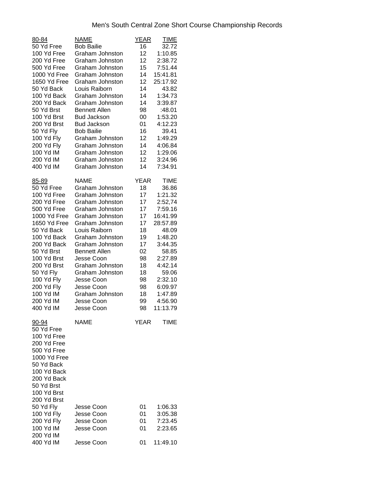| 80-84<br>50 Yd Free<br>100 Yd Free<br>200 Yd Free<br>500 Yd Free<br>1000 Yd Free<br>1650 Yd Free<br>50 Yd Back<br>100 Yd Back<br>200 Yd Back<br>50 Yd Brst<br>100 Yd Brst<br>200 Yd Brst<br>50 Yd Fly<br>100 Yd Fly<br>200 Yd Fly<br>100 Yd IM<br>200 Yd IM<br>400 Yd IM | <b>NAME</b><br><b>Bob Bailie</b><br>Graham Johnston<br>Graham Johnston<br>Graham Johnston<br>Graham Johnston<br>Graham Johnston<br>Louis Raiborn<br>Graham Johnston<br>Graham Johnston<br><b>Bennett Allen</b><br><b>Bud Jackson</b><br><b>Bud Jackson</b><br><b>Bob Bailie</b><br>Graham Johnston<br>Graham Johnston<br>Graham Johnston<br>Graham Johnston<br>Graham Johnston | YEAR<br><b>TIME</b><br>16<br>32.72<br>12<br>1:10.85<br>12<br>2:38.72<br>15<br>7:51.44<br>14<br>15:41.81<br>12<br>25:17.92<br>14<br>43.82<br>14<br>1:34.73<br>14<br>3:39.87<br>98<br>:48.01<br>00<br>1:53.20<br>01<br>4:12.23<br>16<br>39.41<br>12<br>1:49.29<br>14<br>4:06.84<br>12<br>1:29.06<br>12<br>3:24.96<br>7:34.91<br>14        |  |
|--------------------------------------------------------------------------------------------------------------------------------------------------------------------------------------------------------------------------------------------------------------------------|--------------------------------------------------------------------------------------------------------------------------------------------------------------------------------------------------------------------------------------------------------------------------------------------------------------------------------------------------------------------------------|-----------------------------------------------------------------------------------------------------------------------------------------------------------------------------------------------------------------------------------------------------------------------------------------------------------------------------------------|--|
| 85-89<br>50 Yd Free<br>100 Yd Free<br>200 Yd Free<br>500 Yd Free<br>1000 Yd Free<br>1650 Yd Free<br>50 Yd Back<br>100 Yd Back<br>200 Yd Back<br>50 Yd Brst<br>100 Yd Brst<br>200 Yd Brst<br>50 Yd Fly<br>100 Yd Fly<br>200 Yd Fly<br>100 Yd IM<br>200 Yd IM<br>400 Yd IM | <b>NAME</b><br>Graham Johnston<br>Graham Johnston<br>Graham Johnston<br>Graham Johnston<br>Graham Johnston<br>Graham Johnston<br>Louis Raiborn<br>Graham Johnston<br>Graham Johnston<br><b>Bennett Allen</b><br>Jesse Coon<br>Graham Johnston<br><b>Graham Johnston</b><br>Jesse Coon<br>Jesse Coon<br>Graham Johnston<br>Jesse Coon<br>Jesse Coon                             | <b>YEAR</b><br><b>TIME</b><br>18<br>36.86<br>1:21.32<br>17<br>17<br>2:52,74<br>17<br>7:59.16<br>17<br>16:41.99<br>17<br>28:57.89<br>18<br>48.09<br>19<br>1:48.20<br>17<br>3:44.35<br>02<br>58.85<br>98<br>2:27.89<br>18<br>4:42.14<br>18<br>59.06<br>98<br>2:32.10<br>98<br>6:09.97<br>18<br>1:47.89<br>4:56.90<br>99<br>11:13.79<br>98 |  |
| 90-94<br>50 Yd Free<br>100 Yd Free<br>200 Yd Free<br>500 Yd Free<br>1000 Yd Free<br>50 Yd Back<br>100 Yd Back<br>200 Yd Back<br>50 Yd Brst<br>100 Yd Brst<br>200 Yd Brst<br>50 Yd Fly<br>100 Yd Fly<br>200 Yd Fly<br>100 Yd IM<br>200 Yd IM                              | <b>NAME</b><br>Jesse Coon<br>Jesse Coon<br>Jesse Coon<br>Jesse Coon                                                                                                                                                                                                                                                                                                            | <b>YEAR</b><br>TIME<br>01<br>1:06.33<br>3:05.38<br>01<br>7:23.45<br>01<br>01<br>2:23.65                                                                                                                                                                                                                                                 |  |
| 400 Yd IM                                                                                                                                                                                                                                                                | Jesse Coon                                                                                                                                                                                                                                                                                                                                                                     | 11:49.10<br>01                                                                                                                                                                                                                                                                                                                          |  |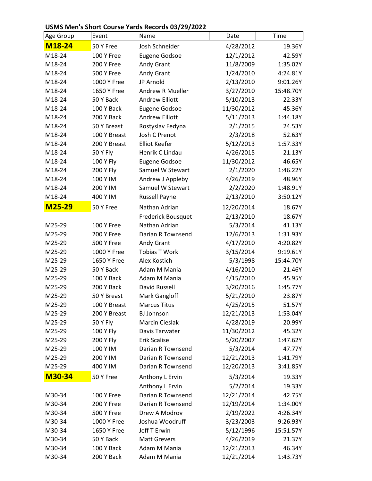**USMS Men's Short Course Yards Records 03/29/2022**

| Age Group     | Event             | Name                      | Date       | Time      |
|---------------|-------------------|---------------------------|------------|-----------|
| M18-24        | 50 Y Free         | Josh Schneider            | 4/28/2012  | 19.36Y    |
| M18-24        | <b>100 Y Free</b> | <b>Eugene Godsoe</b>      | 12/1/2012  | 42.59Y    |
| M18-24        | <b>200 Y Free</b> | Andy Grant                | 11/8/2009  | 1:35.02Y  |
| M18-24        | <b>500 Y Free</b> | Andy Grant                | 1/24/2010  | 4:24.81Y  |
| M18-24        | 1000 Y Free       | JP Arnold                 | 2/13/2010  | 9:01.26Y  |
| M18-24        | 1650 Y Free       | <b>Andrew R Mueller</b>   | 3/27/2010  | 15:48.70Y |
| M18-24        | 50 Y Back         | <b>Andrew Elliott</b>     | 5/10/2013  | 22.33Y    |
| M18-24        | 100 Y Back        | <b>Eugene Godsoe</b>      | 11/30/2012 | 45.36Y    |
| M18-24        | 200 Y Back        | <b>Andrew Elliott</b>     | 5/11/2013  | 1:44.18Y  |
| M18-24        | 50 Y Breast       | Rostyslav Fedyna          | 2/1/2015   | 24.53Y    |
| M18-24        | 100 Y Breast      | Josh C Prenot             | 2/3/2018   | 52.63Y    |
| M18-24        | 200 Y Breast      | <b>Elliot Keefer</b>      | 5/12/2013  | 1:57.33Y  |
| M18-24        | <b>50 Y Fly</b>   | Henrik C Lindau           | 4/26/2015  | 21.13Y    |
| M18-24        | 100 Y Fly         | <b>Eugene Godsoe</b>      | 11/30/2012 | 46.65Y    |
| M18-24        | <b>200 Y Fly</b>  | Samuel W Stewart          | 2/1/2020   | 1:46.22Y  |
| M18-24        | 100 Y IM          | Andrew J Appleby          | 4/26/2019  | 48.96Y    |
| M18-24        | 200 Y IM          | Samuel W Stewart          | 2/2/2020   | 1:48.91Y  |
| M18-24        | 400 Y IM          | <b>Russell Payne</b>      | 2/13/2010  | 3:50.12Y  |
| M25-29        | 50 Y Free         | Nathan Adrian             | 12/20/2014 | 18.67Y    |
|               |                   | <b>Frederick Bousquet</b> | 2/13/2010  | 18.67Y    |
| M25-29        | <b>100 Y Free</b> | Nathan Adrian             | 5/3/2014   | 41.13Y    |
| M25-29        | <b>200 Y Free</b> | Darian R Townsend         | 12/6/2013  | 1:31.93Y  |
| M25-29        | <b>500 Y Free</b> | Andy Grant                | 4/17/2010  | 4:20.82Y  |
| M25-29        | 1000 Y Free       | <b>Tobias T Work</b>      | 3/15/2014  | 9:19.61Y  |
| M25-29        | 1650 Y Free       | Alex Kostich              | 5/3/1998   | 15:44.70Y |
| M25-29        | 50 Y Back         | Adam M Mania              | 4/16/2010  | 21.46Y    |
| M25-29        | 100 Y Back        | Adam M Mania              | 4/15/2010  | 45.95Y    |
| M25-29        | 200 Y Back        | David Russell             | 3/20/2016  | 1:45.77Y  |
| M25-29        | 50 Y Breast       | Mark Gangloff             | 5/21/2010  | 23.87Y    |
| M25-29        | 100 Y Breast      | <b>Marcus Titus</b>       | 4/25/2015  | 51.57Y    |
| M25-29        | 200 Y Breast      | <b>BJ</b> Johnson         | 12/21/2013 | 1:53.04Y  |
| M25-29        | <b>50 Y Fly</b>   | <b>Marcin Cieslak</b>     | 4/28/2019  | 20.99Y    |
| M25-29        | 100 Y Fly         | Davis Tarwater            | 11/30/2012 | 45.32Y    |
| M25-29        | 200 Y Fly         | <b>Erik Scalise</b>       | 5/20/2007  | 1:47.62Y  |
| M25-29        | 100 Y IM          | Darian R Townsend         | 5/3/2014   | 47.77Y    |
| M25-29        | 200 Y IM          | Darian R Townsend         | 12/21/2013 | 1:41.79Y  |
| M25-29        | 400 Y IM          | Darian R Townsend         | 12/20/2013 | 3:41.85Y  |
| <b>M30-34</b> | 50 Y Free         | Anthony L Ervin           | 5/3/2014   | 19.33Y    |
|               |                   | Anthony L Ervin           | 5/2/2014   | 19.33Y    |
| M30-34        | <b>100 Y Free</b> | Darian R Townsend         | 12/21/2014 | 42.75Y    |
| M30-34        | 200 Y Free        | Darian R Townsend         | 12/19/2014 | 1:34.00Y  |
| M30-34        | <b>500 Y Free</b> | Drew A Modrov             | 2/19/2022  | 4:26.34Y  |
| M30-34        | 1000 Y Free       | Joshua Woodruff           | 3/23/2003  | 9:26.93Y  |
| M30-34        | 1650 Y Free       | Jeff T Erwin              | 5/12/1996  | 15:51.57Y |
| M30-34        | 50 Y Back         | <b>Matt Grevers</b>       | 4/26/2019  | 21.37Y    |
| M30-34        | 100 Y Back        | Adam M Mania              | 12/21/2013 | 46.34Y    |
| M30-34        | 200 Y Back        | Adam M Mania              | 12/21/2014 | 1:43.73Y  |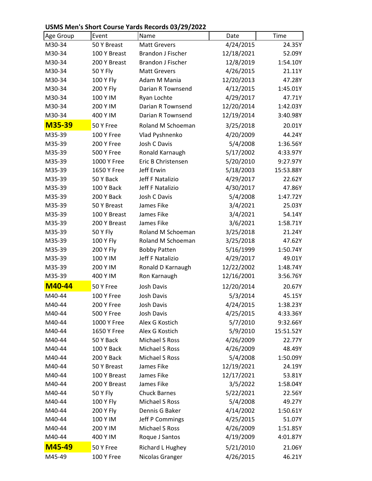**USMS Men's Short Course Yards Records 03/29/2022**

| Age Group     | Event             | Name                     | Date       | Time      |
|---------------|-------------------|--------------------------|------------|-----------|
| M30-34        | 50 Y Breast       | <b>Matt Grevers</b>      | 4/24/2015  | 24.35Y    |
| M30-34        | 100 Y Breast      | <b>Brandon J Fischer</b> | 12/18/2021 | 52.09Y    |
| M30-34        | 200 Y Breast      | <b>Brandon J Fischer</b> | 12/8/2019  | 1:54.10Y  |
| M30-34        | <b>50 Y Fly</b>   | <b>Matt Grevers</b>      | 4/26/2015  | 21.11Y    |
| M30-34        | 100 Y Fly         | Adam M Mania             | 12/20/2013 | 47.28Y    |
| M30-34        | 200 Y Fly         | Darian R Townsend        | 4/12/2015  | 1:45.01Y  |
| M30-34        | 100 Y IM          | Ryan Lochte              | 4/29/2017  | 47.71Y    |
| M30-34        | 200 Y IM          | Darian R Townsend        | 12/20/2014 | 1:42.03Y  |
| M30-34        | 400 Y IM          | Darian R Townsend        | 12/19/2014 | 3:40.98Y  |
| <b>M35-39</b> | 50 Y Free         | Roland M Schoeman        | 3/25/2018  | 20.01Y    |
| M35-39        | 100 Y Free        | Vlad Pyshnenko           | 4/20/2009  | 44.24Y    |
| M35-39        | 200 Y Free        | Josh C Davis             | 5/4/2008   | 1:36.56Y  |
| M35-39        | <b>500 Y Free</b> | Ronald Karnaugh          | 5/17/2002  | 4:33.97Y  |
| M35-39        | 1000 Y Free       | Eric B Christensen       | 5/20/2010  | 9:27.97Y  |
| M35-39        | 1650 Y Free       | Jeff Erwin               | 5/18/2003  | 15:53.88Y |
| M35-39        | 50 Y Back         | Jeff F Natalizio         | 4/29/2017  | 22.62Y    |
| M35-39        | 100 Y Back        | Jeff F Natalizio         | 4/30/2017  | 47.86Y    |
| M35-39        | 200 Y Back        | Josh C Davis             | 5/4/2008   | 1:47.72Y  |
| M35-39        | 50 Y Breast       | James Fike               | 3/4/2021   | 25.03Y    |
| M35-39        | 100 Y Breast      | James Fike               | 3/4/2021   | 54.14Y    |
| M35-39        | 200 Y Breast      | James Fike               | 3/6/2021   | 1:58.71Y  |
| M35-39        | <b>50 Y Fly</b>   | Roland M Schoeman        | 3/25/2018  | 21.24Y    |
| M35-39        | 100 Y Fly         | Roland M Schoeman        | 3/25/2018  | 47.62Y    |
| M35-39        | 200 Y Fly         | <b>Bobby Patten</b>      | 5/16/1999  | 1:50.74Y  |
| M35-39        | 100 Y IM          | Jeff F Natalizio         | 4/29/2017  | 49.01Y    |
| M35-39        | 200 Y IM          | Ronald D Karnaugh        | 12/22/2002 | 1:48.74Y  |
| M35-39        | 400 Y IM          | Ron Karnaugh             | 12/16/2001 | 3:56.76Y  |
| M40-44        | 50 Y Free         | <b>Josh Davis</b>        | 12/20/2014 | 20.67Y    |
| M40-44        | <b>100 Y Free</b> | <b>Josh Davis</b>        | 5/3/2014   | 45.15Y    |
| M40-44        | 200 Y Free        | Josh Davis               | 4/24/2015  | 1:38.23Y  |
| M40-44        | <b>500 Y Free</b> | <b>Josh Davis</b>        | 4/25/2015  | 4:33.36Y  |
| M40-44        | 1000 Y Free       | Alex G Kostich           | 5/7/2010   | 9:32.66Y  |
| M40-44        | 1650 Y Free       | Alex G Kostich           | 5/9/2010   | 15:51.52Y |
| M40-44        | 50 Y Back         | <b>Michael S Ross</b>    | 4/26/2009  | 22.77Y    |
| M40-44        | 100 Y Back        | <b>Michael S Ross</b>    | 4/26/2009  | 48.49Y    |
| M40-44        | 200 Y Back        | <b>Michael S Ross</b>    | 5/4/2008   | 1:50.09Y  |
| M40-44        | 50 Y Breast       | James Fike               | 12/19/2021 | 24.19Y    |
| M40-44        | 100 Y Breast      | James Fike               | 12/17/2021 | 53.81Y    |
| M40-44        | 200 Y Breast      | James Fike               | 3/5/2022   | 1:58.04Y  |
| M40-44        | <b>50 Y Fly</b>   | <b>Chuck Barnes</b>      | 5/22/2021  | 22.56Y    |
| M40-44        | 100 Y Fly         | <b>Michael S Ross</b>    | 5/4/2008   | 49.27Y    |
| M40-44        | 200 Y Fly         | Dennis G Baker           | 4/14/2002  | 1:50.61Y  |
| M40-44        | 100 Y IM          | Jeff P Commings          | 4/25/2015  | 51.07Y    |
| M40-44        | 200 Y IM          | <b>Michael S Ross</b>    | 4/26/2009  | 1:51.85Y  |
| M40-44        | 400 Y IM          | Roque J Santos           | 4/19/2009  | 4:01.87Y  |
| M45-49        | 50 Y Free         | Richard L Hughey         | 5/21/2010  | 21.06Y    |
| M45-49        | <b>100 Y Free</b> | Nicolas Granger          | 4/26/2015  | 46.21Y    |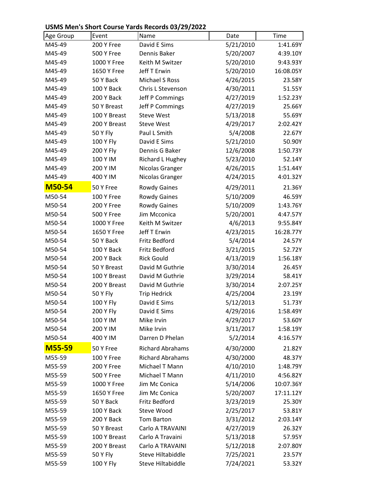**USMS Men's Short Course Yards Records 03/29/2022**

| Age Group     | Event             | Name                    | Date      | Time      |
|---------------|-------------------|-------------------------|-----------|-----------|
| M45-49        | <b>200 Y Free</b> | David E Sims            | 5/21/2010 | 1:41.69Y  |
| M45-49        | <b>500 Y Free</b> | Dennis Baker            | 5/20/2007 | 4:39.10Y  |
| M45-49        | 1000 Y Free       | Keith M Switzer         | 5/20/2010 | 9:43.93Y  |
| M45-49        | 1650 Y Free       | Jeff T Erwin            | 5/20/2010 | 16:08.05Y |
| M45-49        | 50 Y Back         | <b>Michael S Ross</b>   | 4/26/2015 | 23.58Y    |
| M45-49        | 100 Y Back        | Chris L Stevenson       | 4/30/2011 | 51.55Y    |
| M45-49        | 200 Y Back        | Jeff P Commings         | 4/27/2019 | 1:52.23Y  |
| M45-49        | 50 Y Breast       | Jeff P Commings         | 4/27/2019 | 25.66Y    |
| M45-49        | 100 Y Breast      | <b>Steve West</b>       | 5/13/2018 | 55.69Y    |
| M45-49        | 200 Y Breast      | <b>Steve West</b>       | 4/29/2017 | 2:02.42Y  |
| M45-49        | <b>50 Y Fly</b>   | Paul L Smith            | 5/4/2008  | 22.67Y    |
| M45-49        | 100 Y Fly         | David E Sims            | 5/21/2010 | 50.90Y    |
| M45-49        | <b>200 Y Fly</b>  | Dennis G Baker          | 12/6/2008 | 1:50.73Y  |
| M45-49        | 100 Y IM          | Richard L Hughey        | 5/23/2010 | 52.14Y    |
| M45-49        | 200 Y IM          | Nicolas Granger         | 4/26/2015 | 1:51.44Y  |
| M45-49        | 400 Y IM          | Nicolas Granger         | 4/24/2015 | 4:01.32Y  |
| <b>M50-54</b> | 50 Y Free         | <b>Rowdy Gaines</b>     | 4/29/2011 | 21.36Y    |
| M50-54        | 100 Y Free        | <b>Rowdy Gaines</b>     | 5/10/2009 | 46.59Y    |
| M50-54        | <b>200 Y Free</b> | <b>Rowdy Gaines</b>     | 5/10/2009 | 1:43.76Y  |
| M50-54        | <b>500 Y Free</b> | Jim Mcconica            | 5/20/2001 | 4:47.57Y  |
| M50-54        | 1000 Y Free       | Keith M Switzer         | 4/6/2013  | 9:55.84Y  |
| M50-54        | 1650 Y Free       | Jeff T Erwin            | 4/23/2015 | 16:28.77Y |
| M50-54        | 50 Y Back         | Fritz Bedford           | 5/4/2014  | 24.57Y    |
| M50-54        | 100 Y Back        | Fritz Bedford           | 3/21/2015 | 52.72Y    |
| M50-54        | 200 Y Back        | <b>Rick Gould</b>       | 4/13/2019 | 1:56.18Y  |
| M50-54        | 50 Y Breast       | David M Guthrie         | 3/30/2014 | 26.45Y    |
| M50-54        | 100 Y Breast      | David M Guthrie         | 3/29/2014 | 58.41Y    |
| M50-54        | 200 Y Breast      | David M Guthrie         | 3/30/2014 | 2:07.25Y  |
| M50-54        | <b>50 Y Fly</b>   | <b>Trip Hedrick</b>     | 4/25/2004 | 23.19Y    |
| M50-54        | 100 Y Fly         | David E Sims            | 5/12/2013 | 51.73Y    |
| M50-54        | 200 Y Fly         | David E Sims            | 4/29/2016 | 1:58.49Y  |
| M50-54        | 100 Y IM          | Mike Irvin              | 4/29/2017 | 53.60Y    |
| M50-54        | 200 Y IM          | Mike Irvin              | 3/11/2017 | 1:58.19Y  |
| M50-54        | 400 Y IM          | Darren D Phelan         | 5/2/2014  | 4:16.57Y  |
| <b>M55-59</b> | 50 Y Free         | <b>Richard Abrahams</b> | 4/30/2000 | 21.82Y    |
| M55-59        | 100 Y Free        | <b>Richard Abrahams</b> | 4/30/2000 | 48.37Y    |
| M55-59        | 200 Y Free        | Michael T Mann          | 4/10/2010 | 1:48.79Y  |
| M55-59        | <b>500 Y Free</b> | Michael T Mann          | 4/11/2010 | 4:56.82Y  |
| M55-59        | 1000 Y Free       | Jim Mc Conica           | 5/14/2006 | 10:07.36Y |
| M55-59        | 1650 Y Free       | Jim Mc Conica           | 5/20/2007 | 17:11.12Y |
| M55-59        | 50 Y Back         | Fritz Bedford           | 3/23/2019 | 25.30Y    |
| M55-59        | 100 Y Back        | Steve Wood              | 2/25/2017 | 53.81Y    |
| M55-59        | 200 Y Back        | <b>Tom Barton</b>       | 3/31/2012 | 2:03.14Y  |
| M55-59        | 50 Y Breast       | Carlo A TRAVAINI        | 4/27/2019 | 26.32Y    |
| M55-59        | 100 Y Breast      | Carlo A Travaini        | 5/13/2018 | 57.95Y    |
| M55-59        | 200 Y Breast      | Carlo A TRAVAINI        | 5/12/2018 | 2:07.80Y  |
| M55-59        | 50 Y Fly          | Steve Hiltabiddle       | 7/25/2021 | 23.57Y    |
| M55-59        | 100 Y Fly         | Steve Hiltabiddle       | 7/24/2021 | 53.32Y    |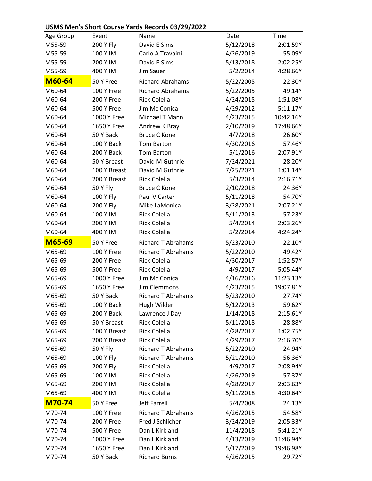## **USMS Men's Short Course Yards Records 03/29/2022**

| Age Group | Event             | Name                      | Date      | Time      |
|-----------|-------------------|---------------------------|-----------|-----------|
| M55-59    | 200 Y Fly         | David E Sims              | 5/12/2018 | 2:01.59Y  |
| M55-59    | 100 Y IM          | Carlo A Travaini          | 4/26/2019 | 55.09Y    |
| M55-59    | 200 Y IM          | David E Sims              | 5/13/2018 | 2:02.25Y  |
| M55-59    | 400 Y IM          | Jim Sauer                 | 5/2/2014  | 4:28.66Y  |
| M60-64    | 50 Y Free         | <b>Richard Abrahams</b>   | 5/22/2005 | 22.30Y    |
| M60-64    | <b>100 Y Free</b> | <b>Richard Abrahams</b>   | 5/22/2005 | 49.14Y    |
| M60-64    | 200 Y Free        | <b>Rick Colella</b>       | 4/24/2015 | 1:51.08Y  |
| M60-64    | <b>500 Y Free</b> | Jim Mc Conica             | 4/29/2012 | 5:11.17Y  |
| M60-64    | 1000 Y Free       | Michael T Mann            | 4/23/2015 | 10:42.16Y |
| M60-64    | 1650 Y Free       | Andrew K Bray             | 2/10/2019 | 17:48.66Y |
| M60-64    | 50 Y Back         | <b>Bruce C Kone</b>       | 4/7/2018  | 26.60Y    |
| M60-64    | 100 Y Back        | Tom Barton                | 4/30/2016 | 57.46Y    |
| M60-64    | 200 Y Back        | Tom Barton                | 5/1/2016  | 2:07.91Y  |
| M60-64    | 50 Y Breast       | David M Guthrie           | 7/24/2021 | 28.20Y    |
| M60-64    | 100 Y Breast      | David M Guthrie           | 7/25/2021 | 1:01.14Y  |
| M60-64    | 200 Y Breast      | <b>Rick Colella</b>       | 5/3/2014  | 2:16.71Y  |
| M60-64    | <b>50 Y Fly</b>   | <b>Bruce C Kone</b>       | 2/10/2018 | 24.36Y    |
| M60-64    | 100 Y Fly         | Paul V Carter             | 5/11/2018 | 54.70Y    |
| M60-64    | <b>200 Y Fly</b>  | Mike LaMonica             | 3/28/2021 | 2:07.21Y  |
| M60-64    | 100 Y IM          | <b>Rick Colella</b>       | 5/11/2013 | 57.23Y    |
| M60-64    | 200 Y IM          | <b>Rick Colella</b>       | 5/4/2014  | 2:03.26Y  |
| M60-64    | 400 Y IM          | <b>Rick Colella</b>       | 5/2/2014  | 4:24.24Y  |
| M65-69    | 50 Y Free         | <b>Richard T Abrahams</b> | 5/23/2010 | 22.10Y    |
| M65-69    | <b>100 Y Free</b> | <b>Richard T Abrahams</b> | 5/22/2010 | 49.42Y    |
| M65-69    | 200 Y Free        | <b>Rick Colella</b>       | 4/30/2017 | 1:52.57Y  |
| M65-69    | <b>500 Y Free</b> | <b>Rick Colella</b>       | 4/9/2017  | 5:05.44Y  |
| M65-69    | 1000 Y Free       | Jim Mc Conica             | 4/16/2016 | 11:23.13Y |
| M65-69    | 1650 Y Free       | Jim Clemmons              | 4/23/2015 | 19:07.81Y |
| M65-69    | 50 Y Back         | <b>Richard T Abrahams</b> | 5/23/2010 | 27.74Y    |
| M65-69    | 100 Y Back        | Hugh Wilder               | 5/12/2013 | 59.62Y    |
| M65-69    | 200 Y Back        | Lawrence J Day            | 1/14/2018 | 2:15.61Y  |
| M65-69    | 50 Y Breast       | <b>Rick Colella</b>       | 5/11/2018 | 28.88Y    |
| M65-69    | 100 Y Breast      | <b>Rick Colella</b>       | 4/28/2017 | 1:02.75Y  |
| M65-69    | 200 Y Breast      | <b>Rick Colella</b>       | 4/29/2017 | 2:16.70Y  |
| M65-69    | <b>50 Y Fly</b>   | <b>Richard T Abrahams</b> | 5/22/2010 | 24.94Y    |
| M65-69    | 100 Y Fly         | <b>Richard T Abrahams</b> | 5/21/2010 | 56.36Y    |
| M65-69    | <b>200 Y Fly</b>  | <b>Rick Colella</b>       | 4/9/2017  | 2:08.94Y  |
| M65-69    | 100 Y IM          | Rick Colella              | 4/26/2019 | 57.37Y    |
| M65-69    | 200 Y IM          | Rick Colella              | 4/28/2017 | 2:03.63Y  |
| M65-69    | 400 Y IM          | <b>Rick Colella</b>       | 5/11/2018 | 4:30.64Y  |
| M70-74    | 50 Y Free         | <b>Jeff Farrell</b>       | 5/4/2008  | 24.13Y    |
| M70-74    | 100 Y Free        | <b>Richard T Abrahams</b> | 4/26/2015 | 54.58Y    |
| M70-74    | 200 Y Free        | Fred J Schlicher          | 3/24/2019 | 2:05.33Y  |
| M70-74    | <b>500 Y Free</b> | Dan L Kirkland            | 11/4/2018 | 5:41.21Y  |
| M70-74    | 1000 Y Free       | Dan L Kirkland            | 4/13/2019 | 11:46.94Y |
| M70-74    | 1650 Y Free       | Dan L Kirkland            | 5/17/2019 | 19:46.98Y |
| M70-74    | 50 Y Back         | <b>Richard Burns</b>      | 4/26/2015 | 29.72Y    |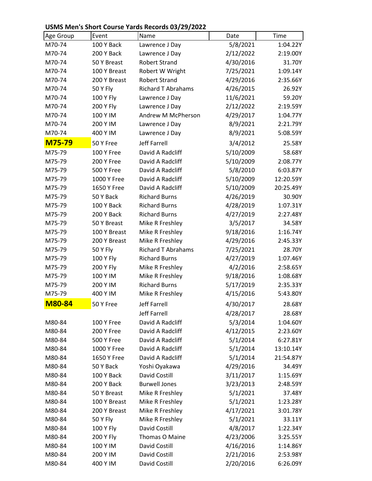**USMS Men's Short Course Yards Records 03/29/2022**

| 100 Y Back<br>5/8/2021<br>M70-74<br>Lawrence J Day<br>1:04.22Y<br>2/12/2022<br>M70-74<br>200 Y Back<br>2:19.00Y<br>Lawrence J Day<br>M70-74<br>50 Y Breast<br>4/30/2016<br>31.70Y<br><b>Robert Strand</b><br>7/25/2021<br>M70-74<br>100 Y Breast<br>Robert W Wright<br>1:09.14Y<br>4/29/2016<br>200 Y Breast<br><b>Robert Strand</b><br>2:35.66Y<br>M70-74<br>M70-74<br><b>50 Y Fly</b><br><b>Richard T Abrahams</b><br>4/26/2015<br>26.92Y<br>M70-74<br><b>100 Y Fly</b><br>11/6/2021<br>59.20Y<br>Lawrence J Day<br>M70-74<br>200 Y Fly<br>2/12/2022<br>Lawrence J Day<br>2:19.59Y<br>100 Y IM<br>Andrew M McPherson<br>4/29/2017<br>M70-74<br>1:04.77Y<br>8/9/2021<br>M70-74<br>200 Y IM<br>2:21.79Y<br>Lawrence J Day<br>8/9/2021<br>M70-74<br>400 Y IM<br>5:08.59Y<br>Lawrence J Day<br>M75-79<br>50 Y Free<br><b>Jeff Farrell</b><br>3/4/2012<br>25.58Y<br>5/10/2009<br>David A Radcliff<br>58.68Y<br>M75-79<br><b>100 Y Free</b><br>5/10/2009<br>M75-79<br>200 Y Free<br>David A Radcliff<br>2:08.77Y<br>M75-79<br><b>500 Y Free</b><br>David A Radcliff<br>5/8/2010<br>6:03.87Y<br>M75-79<br>1000 Y Free<br>David A Radcliff<br>5/10/2009<br>12:20.59Y<br>David A Radcliff<br>5/10/2009<br>M75-79<br>1650 Y Free<br>20:25.49Y<br>50 Y Back<br><b>Richard Burns</b><br>4/26/2019<br>30.90Y<br>M75-79<br><b>Richard Burns</b><br>4/28/2019<br>M75-79<br>100 Y Back<br>1:07.31Y<br>200 Y Back<br><b>Richard Burns</b><br>4/27/2019<br>2:27.48Y<br>M75-79<br>50 Y Breast<br>3/5/2017<br>M75-79<br>Mike R Freshley<br>34.58Y<br>Mike R Freshley<br>9/18/2016<br>M75-79<br>100 Y Breast<br>1:16.74Y<br>M75-79<br>200 Y Breast<br>Mike R Freshley<br>4/29/2016<br>2:45.33Y<br><b>50 Y Fly</b><br><b>Richard T Abrahams</b><br>7/25/2021<br>M75-79<br>28.70Y<br><b>100 Y Fly</b><br><b>Richard Burns</b><br>4/27/2019<br>M75-79<br>1:07.46Y<br>200 Y Fly<br>4/2/2016<br>M75-79<br>Mike R Freshley<br>2:58.65Y<br>9/18/2016<br>100 Y IM<br>Mike R Freshley<br>M75-79<br>1:08.68Y<br><b>Richard Burns</b><br>5/17/2019<br>M75-79<br>200 Y IM<br>2:35.33Y |
|--------------------------------------------------------------------------------------------------------------------------------------------------------------------------------------------------------------------------------------------------------------------------------------------------------------------------------------------------------------------------------------------------------------------------------------------------------------------------------------------------------------------------------------------------------------------------------------------------------------------------------------------------------------------------------------------------------------------------------------------------------------------------------------------------------------------------------------------------------------------------------------------------------------------------------------------------------------------------------------------------------------------------------------------------------------------------------------------------------------------------------------------------------------------------------------------------------------------------------------------------------------------------------------------------------------------------------------------------------------------------------------------------------------------------------------------------------------------------------------------------------------------------------------------------------------------------------------------------------------------------------------------------------------------------------------------------------------------------------------------------------------------------------------------------------------------------------------------------------------------------------------------------------------------------------------------------------------------------------------------------------------------------------------------------------|
|                                                                                                                                                                                                                                                                                                                                                                                                                                                                                                                                                                                                                                                                                                                                                                                                                                                                                                                                                                                                                                                                                                                                                                                                                                                                                                                                                                                                                                                                                                                                                                                                                                                                                                                                                                                                                                                                                                                                                                                                                                                        |
|                                                                                                                                                                                                                                                                                                                                                                                                                                                                                                                                                                                                                                                                                                                                                                                                                                                                                                                                                                                                                                                                                                                                                                                                                                                                                                                                                                                                                                                                                                                                                                                                                                                                                                                                                                                                                                                                                                                                                                                                                                                        |
|                                                                                                                                                                                                                                                                                                                                                                                                                                                                                                                                                                                                                                                                                                                                                                                                                                                                                                                                                                                                                                                                                                                                                                                                                                                                                                                                                                                                                                                                                                                                                                                                                                                                                                                                                                                                                                                                                                                                                                                                                                                        |
|                                                                                                                                                                                                                                                                                                                                                                                                                                                                                                                                                                                                                                                                                                                                                                                                                                                                                                                                                                                                                                                                                                                                                                                                                                                                                                                                                                                                                                                                                                                                                                                                                                                                                                                                                                                                                                                                                                                                                                                                                                                        |
|                                                                                                                                                                                                                                                                                                                                                                                                                                                                                                                                                                                                                                                                                                                                                                                                                                                                                                                                                                                                                                                                                                                                                                                                                                                                                                                                                                                                                                                                                                                                                                                                                                                                                                                                                                                                                                                                                                                                                                                                                                                        |
|                                                                                                                                                                                                                                                                                                                                                                                                                                                                                                                                                                                                                                                                                                                                                                                                                                                                                                                                                                                                                                                                                                                                                                                                                                                                                                                                                                                                                                                                                                                                                                                                                                                                                                                                                                                                                                                                                                                                                                                                                                                        |
|                                                                                                                                                                                                                                                                                                                                                                                                                                                                                                                                                                                                                                                                                                                                                                                                                                                                                                                                                                                                                                                                                                                                                                                                                                                                                                                                                                                                                                                                                                                                                                                                                                                                                                                                                                                                                                                                                                                                                                                                                                                        |
|                                                                                                                                                                                                                                                                                                                                                                                                                                                                                                                                                                                                                                                                                                                                                                                                                                                                                                                                                                                                                                                                                                                                                                                                                                                                                                                                                                                                                                                                                                                                                                                                                                                                                                                                                                                                                                                                                                                                                                                                                                                        |
|                                                                                                                                                                                                                                                                                                                                                                                                                                                                                                                                                                                                                                                                                                                                                                                                                                                                                                                                                                                                                                                                                                                                                                                                                                                                                                                                                                                                                                                                                                                                                                                                                                                                                                                                                                                                                                                                                                                                                                                                                                                        |
|                                                                                                                                                                                                                                                                                                                                                                                                                                                                                                                                                                                                                                                                                                                                                                                                                                                                                                                                                                                                                                                                                                                                                                                                                                                                                                                                                                                                                                                                                                                                                                                                                                                                                                                                                                                                                                                                                                                                                                                                                                                        |
|                                                                                                                                                                                                                                                                                                                                                                                                                                                                                                                                                                                                                                                                                                                                                                                                                                                                                                                                                                                                                                                                                                                                                                                                                                                                                                                                                                                                                                                                                                                                                                                                                                                                                                                                                                                                                                                                                                                                                                                                                                                        |
|                                                                                                                                                                                                                                                                                                                                                                                                                                                                                                                                                                                                                                                                                                                                                                                                                                                                                                                                                                                                                                                                                                                                                                                                                                                                                                                                                                                                                                                                                                                                                                                                                                                                                                                                                                                                                                                                                                                                                                                                                                                        |
|                                                                                                                                                                                                                                                                                                                                                                                                                                                                                                                                                                                                                                                                                                                                                                                                                                                                                                                                                                                                                                                                                                                                                                                                                                                                                                                                                                                                                                                                                                                                                                                                                                                                                                                                                                                                                                                                                                                                                                                                                                                        |
|                                                                                                                                                                                                                                                                                                                                                                                                                                                                                                                                                                                                                                                                                                                                                                                                                                                                                                                                                                                                                                                                                                                                                                                                                                                                                                                                                                                                                                                                                                                                                                                                                                                                                                                                                                                                                                                                                                                                                                                                                                                        |
|                                                                                                                                                                                                                                                                                                                                                                                                                                                                                                                                                                                                                                                                                                                                                                                                                                                                                                                                                                                                                                                                                                                                                                                                                                                                                                                                                                                                                                                                                                                                                                                                                                                                                                                                                                                                                                                                                                                                                                                                                                                        |
|                                                                                                                                                                                                                                                                                                                                                                                                                                                                                                                                                                                                                                                                                                                                                                                                                                                                                                                                                                                                                                                                                                                                                                                                                                                                                                                                                                                                                                                                                                                                                                                                                                                                                                                                                                                                                                                                                                                                                                                                                                                        |
|                                                                                                                                                                                                                                                                                                                                                                                                                                                                                                                                                                                                                                                                                                                                                                                                                                                                                                                                                                                                                                                                                                                                                                                                                                                                                                                                                                                                                                                                                                                                                                                                                                                                                                                                                                                                                                                                                                                                                                                                                                                        |
|                                                                                                                                                                                                                                                                                                                                                                                                                                                                                                                                                                                                                                                                                                                                                                                                                                                                                                                                                                                                                                                                                                                                                                                                                                                                                                                                                                                                                                                                                                                                                                                                                                                                                                                                                                                                                                                                                                                                                                                                                                                        |
|                                                                                                                                                                                                                                                                                                                                                                                                                                                                                                                                                                                                                                                                                                                                                                                                                                                                                                                                                                                                                                                                                                                                                                                                                                                                                                                                                                                                                                                                                                                                                                                                                                                                                                                                                                                                                                                                                                                                                                                                                                                        |
|                                                                                                                                                                                                                                                                                                                                                                                                                                                                                                                                                                                                                                                                                                                                                                                                                                                                                                                                                                                                                                                                                                                                                                                                                                                                                                                                                                                                                                                                                                                                                                                                                                                                                                                                                                                                                                                                                                                                                                                                                                                        |
|                                                                                                                                                                                                                                                                                                                                                                                                                                                                                                                                                                                                                                                                                                                                                                                                                                                                                                                                                                                                                                                                                                                                                                                                                                                                                                                                                                                                                                                                                                                                                                                                                                                                                                                                                                                                                                                                                                                                                                                                                                                        |
|                                                                                                                                                                                                                                                                                                                                                                                                                                                                                                                                                                                                                                                                                                                                                                                                                                                                                                                                                                                                                                                                                                                                                                                                                                                                                                                                                                                                                                                                                                                                                                                                                                                                                                                                                                                                                                                                                                                                                                                                                                                        |
|                                                                                                                                                                                                                                                                                                                                                                                                                                                                                                                                                                                                                                                                                                                                                                                                                                                                                                                                                                                                                                                                                                                                                                                                                                                                                                                                                                                                                                                                                                                                                                                                                                                                                                                                                                                                                                                                                                                                                                                                                                                        |
|                                                                                                                                                                                                                                                                                                                                                                                                                                                                                                                                                                                                                                                                                                                                                                                                                                                                                                                                                                                                                                                                                                                                                                                                                                                                                                                                                                                                                                                                                                                                                                                                                                                                                                                                                                                                                                                                                                                                                                                                                                                        |
|                                                                                                                                                                                                                                                                                                                                                                                                                                                                                                                                                                                                                                                                                                                                                                                                                                                                                                                                                                                                                                                                                                                                                                                                                                                                                                                                                                                                                                                                                                                                                                                                                                                                                                                                                                                                                                                                                                                                                                                                                                                        |
|                                                                                                                                                                                                                                                                                                                                                                                                                                                                                                                                                                                                                                                                                                                                                                                                                                                                                                                                                                                                                                                                                                                                                                                                                                                                                                                                                                                                                                                                                                                                                                                                                                                                                                                                                                                                                                                                                                                                                                                                                                                        |
|                                                                                                                                                                                                                                                                                                                                                                                                                                                                                                                                                                                                                                                                                                                                                                                                                                                                                                                                                                                                                                                                                                                                                                                                                                                                                                                                                                                                                                                                                                                                                                                                                                                                                                                                                                                                                                                                                                                                                                                                                                                        |
|                                                                                                                                                                                                                                                                                                                                                                                                                                                                                                                                                                                                                                                                                                                                                                                                                                                                                                                                                                                                                                                                                                                                                                                                                                                                                                                                                                                                                                                                                                                                                                                                                                                                                                                                                                                                                                                                                                                                                                                                                                                        |
| M75-79<br>400 Y IM<br>Mike R Freshley<br>4/15/2016<br>5:43.80Y                                                                                                                                                                                                                                                                                                                                                                                                                                                                                                                                                                                                                                                                                                                                                                                                                                                                                                                                                                                                                                                                                                                                                                                                                                                                                                                                                                                                                                                                                                                                                                                                                                                                                                                                                                                                                                                                                                                                                                                         |
| <b>M80-84</b><br>Jeff Farrell<br>4/30/2017<br>28.68Y<br>50 Y Free                                                                                                                                                                                                                                                                                                                                                                                                                                                                                                                                                                                                                                                                                                                                                                                                                                                                                                                                                                                                                                                                                                                                                                                                                                                                                                                                                                                                                                                                                                                                                                                                                                                                                                                                                                                                                                                                                                                                                                                      |
| <b>Jeff Farrell</b><br>4/28/2017<br>28.68Y                                                                                                                                                                                                                                                                                                                                                                                                                                                                                                                                                                                                                                                                                                                                                                                                                                                                                                                                                                                                                                                                                                                                                                                                                                                                                                                                                                                                                                                                                                                                                                                                                                                                                                                                                                                                                                                                                                                                                                                                             |
| David A Radcliff<br>5/3/2014<br>M80-84<br><b>100 Y Free</b><br>1:04.60Y                                                                                                                                                                                                                                                                                                                                                                                                                                                                                                                                                                                                                                                                                                                                                                                                                                                                                                                                                                                                                                                                                                                                                                                                                                                                                                                                                                                                                                                                                                                                                                                                                                                                                                                                                                                                                                                                                                                                                                                |
| 4/12/2015<br>David A Radcliff<br>M80-84<br><b>200 Y Free</b><br>2:23.60Y                                                                                                                                                                                                                                                                                                                                                                                                                                                                                                                                                                                                                                                                                                                                                                                                                                                                                                                                                                                                                                                                                                                                                                                                                                                                                                                                                                                                                                                                                                                                                                                                                                                                                                                                                                                                                                                                                                                                                                               |
| David A Radcliff<br>5/1/2014<br>M80-84<br><b>500 Y Free</b><br>6:27.81Y                                                                                                                                                                                                                                                                                                                                                                                                                                                                                                                                                                                                                                                                                                                                                                                                                                                                                                                                                                                                                                                                                                                                                                                                                                                                                                                                                                                                                                                                                                                                                                                                                                                                                                                                                                                                                                                                                                                                                                                |
| David A Radcliff<br>5/1/2014<br>M80-84<br>1000 Y Free<br>13:10.14Y                                                                                                                                                                                                                                                                                                                                                                                                                                                                                                                                                                                                                                                                                                                                                                                                                                                                                                                                                                                                                                                                                                                                                                                                                                                                                                                                                                                                                                                                                                                                                                                                                                                                                                                                                                                                                                                                                                                                                                                     |
| David A Radcliff<br>5/1/2014<br>M80-84<br>1650 Y Free<br>21:54.87Y                                                                                                                                                                                                                                                                                                                                                                                                                                                                                                                                                                                                                                                                                                                                                                                                                                                                                                                                                                                                                                                                                                                                                                                                                                                                                                                                                                                                                                                                                                                                                                                                                                                                                                                                                                                                                                                                                                                                                                                     |
| 4/29/2016<br>50 Y Back<br>Yoshi Oyakawa<br>M80-84<br>34.49Y                                                                                                                                                                                                                                                                                                                                                                                                                                                                                                                                                                                                                                                                                                                                                                                                                                                                                                                                                                                                                                                                                                                                                                                                                                                                                                                                                                                                                                                                                                                                                                                                                                                                                                                                                                                                                                                                                                                                                                                            |
| <b>David Costill</b><br>3/11/2017<br>M80-84<br>100 Y Back<br>1:15.69Y                                                                                                                                                                                                                                                                                                                                                                                                                                                                                                                                                                                                                                                                                                                                                                                                                                                                                                                                                                                                                                                                                                                                                                                                                                                                                                                                                                                                                                                                                                                                                                                                                                                                                                                                                                                                                                                                                                                                                                                  |
| <b>Burwell Jones</b><br>200 Y Back<br>3/23/2013<br>M80-84<br>2:48.59Y                                                                                                                                                                                                                                                                                                                                                                                                                                                                                                                                                                                                                                                                                                                                                                                                                                                                                                                                                                                                                                                                                                                                                                                                                                                                                                                                                                                                                                                                                                                                                                                                                                                                                                                                                                                                                                                                                                                                                                                  |
| 50 Y Breast<br>Mike R Freshley<br>5/1/2021<br>M80-84<br>37.48Y                                                                                                                                                                                                                                                                                                                                                                                                                                                                                                                                                                                                                                                                                                                                                                                                                                                                                                                                                                                                                                                                                                                                                                                                                                                                                                                                                                                                                                                                                                                                                                                                                                                                                                                                                                                                                                                                                                                                                                                         |
| 5/1/2021<br>M80-84<br>100 Y Breast<br>Mike R Freshley<br>1:23.28Y                                                                                                                                                                                                                                                                                                                                                                                                                                                                                                                                                                                                                                                                                                                                                                                                                                                                                                                                                                                                                                                                                                                                                                                                                                                                                                                                                                                                                                                                                                                                                                                                                                                                                                                                                                                                                                                                                                                                                                                      |
| 4/17/2021<br>200 Y Breast<br>Mike R Freshley<br>M80-84<br>3:01.78Y                                                                                                                                                                                                                                                                                                                                                                                                                                                                                                                                                                                                                                                                                                                                                                                                                                                                                                                                                                                                                                                                                                                                                                                                                                                                                                                                                                                                                                                                                                                                                                                                                                                                                                                                                                                                                                                                                                                                                                                     |
| 5/1/2021<br>M80-84<br><b>50 Y Fly</b><br>Mike R Freshley<br>33.11Y                                                                                                                                                                                                                                                                                                                                                                                                                                                                                                                                                                                                                                                                                                                                                                                                                                                                                                                                                                                                                                                                                                                                                                                                                                                                                                                                                                                                                                                                                                                                                                                                                                                                                                                                                                                                                                                                                                                                                                                     |
| 100 Y Fly<br>4/8/2017<br>M80-84<br>David Costill<br>1:22.34Y                                                                                                                                                                                                                                                                                                                                                                                                                                                                                                                                                                                                                                                                                                                                                                                                                                                                                                                                                                                                                                                                                                                                                                                                                                                                                                                                                                                                                                                                                                                                                                                                                                                                                                                                                                                                                                                                                                                                                                                           |
| 200 Y Fly<br>Thomas O Maine<br>4/23/2006<br>M80-84<br>3:25.55Y                                                                                                                                                                                                                                                                                                                                                                                                                                                                                                                                                                                                                                                                                                                                                                                                                                                                                                                                                                                                                                                                                                                                                                                                                                                                                                                                                                                                                                                                                                                                                                                                                                                                                                                                                                                                                                                                                                                                                                                         |
| David Costill<br>100 Y IM<br>4/16/2016<br>M80-84<br>1:14.86Y                                                                                                                                                                                                                                                                                                                                                                                                                                                                                                                                                                                                                                                                                                                                                                                                                                                                                                                                                                                                                                                                                                                                                                                                                                                                                                                                                                                                                                                                                                                                                                                                                                                                                                                                                                                                                                                                                                                                                                                           |
| David Costill<br>2/21/2016<br>M80-84<br>200 Y IM<br>2:53.98Y                                                                                                                                                                                                                                                                                                                                                                                                                                                                                                                                                                                                                                                                                                                                                                                                                                                                                                                                                                                                                                                                                                                                                                                                                                                                                                                                                                                                                                                                                                                                                                                                                                                                                                                                                                                                                                                                                                                                                                                           |
| David Costill<br>2/20/2016<br>M80-84<br>400 Y IM<br>6:26.09Y                                                                                                                                                                                                                                                                                                                                                                                                                                                                                                                                                                                                                                                                                                                                                                                                                                                                                                                                                                                                                                                                                                                                                                                                                                                                                                                                                                                                                                                                                                                                                                                                                                                                                                                                                                                                                                                                                                                                                                                           |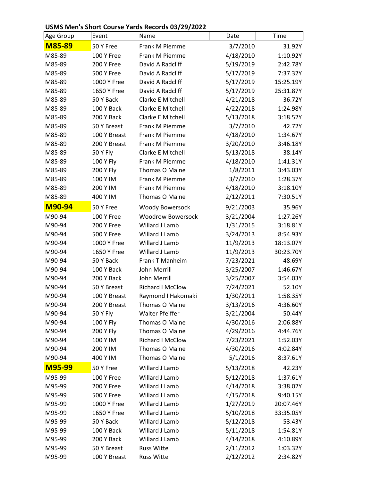**USMS Men's Short Course Yards Records 03/29/2022**

| Age Group     | Event             | Name                     | Date      | Time      |
|---------------|-------------------|--------------------------|-----------|-----------|
| <b>M85-89</b> | 50 Y Free         | Frank M Piemme           | 3/7/2010  | 31.92Y    |
| M85-89        | 100 Y Free        | Frank M Piemme           | 4/18/2010 | 1:10.92Y  |
| M85-89        | 200 Y Free        | David A Radcliff         | 5/19/2019 | 2:42.78Y  |
| M85-89        | <b>500 Y Free</b> | David A Radcliff         | 5/17/2019 | 7:37.32Y  |
| M85-89        | 1000 Y Free       | David A Radcliff         | 5/17/2019 | 15:25.19Y |
| M85-89        | 1650 Y Free       | David A Radcliff         | 5/17/2019 | 25:31.87Y |
| M85-89        | 50 Y Back         | Clarke E Mitchell        | 4/21/2018 | 36.72Y    |
| M85-89        | 100 Y Back        | Clarke E Mitchell        | 4/22/2018 | 1:24.98Y  |
| M85-89        | 200 Y Back        | Clarke E Mitchell        | 5/13/2018 | 3:18.52Y  |
| M85-89        | 50 Y Breast       | Frank M Piemme           | 3/7/2010  | 42.72Y    |
| M85-89        | 100 Y Breast      | Frank M Piemme           | 4/18/2010 | 1:34.67Y  |
| M85-89        | 200 Y Breast      | Frank M Piemme           | 3/20/2010 | 3:46.18Y  |
| M85-89        | <b>50 Y Fly</b>   | Clarke E Mitchell        | 5/13/2018 | 38.14Y    |
| M85-89        | <b>100 Y Fly</b>  | Frank M Piemme           | 4/18/2010 | 1:41.31Y  |
| M85-89        | <b>200 Y Fly</b>  | Thomas O Maine           | 1/8/2011  | 3:43.03Y  |
| M85-89        | 100 Y IM          | Frank M Piemme           | 3/7/2010  | 1:28.37Y  |
| M85-89        | 200 Y IM          | Frank M Piemme           | 4/18/2010 | 3:18.10Y  |
| M85-89        | 400 Y IM          | Thomas O Maine           | 2/12/2011 | 7:30.51Y  |
| M90-94        | 50 Y Free         | <b>Woody Bowersock</b>   | 9/21/2003 | 35.96Y    |
| M90-94        | 100 Y Free        | <b>Woodrow Bowersock</b> | 3/21/2004 | 1:27.26Y  |
| M90-94        | 200 Y Free        | Willard J Lamb           | 1/31/2015 | 3:18.81Y  |
| M90-94        | <b>500 Y Free</b> | Willard J Lamb           | 3/24/2013 | 8:54.93Y  |
| M90-94        | 1000 Y Free       | Willard J Lamb           | 11/9/2013 | 18:13.07Y |
| M90-94        | 1650 Y Free       | Willard J Lamb           | 11/9/2013 | 30:23.70Y |
| M90-94        | 50 Y Back         | Frank T Manheim          | 7/23/2021 | 48.69Y    |
| M90-94        | 100 Y Back        | <b>John Merrill</b>      | 3/25/2007 | 1:46.67Y  |
| M90-94        | 200 Y Back        | <b>John Merrill</b>      | 3/25/2007 | 3:54.03Y  |
| M90-94        | 50 Y Breast       | Richard I McClow         | 7/24/2021 | 52.10Y    |
| M90-94        | 100 Y Breast      | Raymond I Hakomaki       | 1/30/2011 | 1:58.35Y  |
| M90-94        | 200 Y Breast      | Thomas O Maine           | 3/13/2016 | 4:36.60Y  |
| M90-94        | <b>50 Y Fly</b>   | <b>Walter Pfeiffer</b>   | 3/21/2004 | 50.44Y    |
| M90-94        | <b>100 Y Fly</b>  | Thomas O Maine           | 4/30/2016 | 2:06.88Y  |
| M90-94        | <b>200 Y Fly</b>  | Thomas O Maine           | 4/29/2016 | 4:44.76Y  |
| M90-94        | 100 Y IM          | Richard I McClow         | 7/23/2021 | 1:52.03Y  |
| M90-94        | 200 Y IM          | Thomas O Maine           | 4/30/2016 | 4:02.84Y  |
| M90-94        | 400 Y IM          | Thomas O Maine           | 5/1/2016  | 8:37.61Y  |
| <b>M95-99</b> | 50 Y Free         | Willard J Lamb           | 5/13/2018 | 42.23Y    |
| M95-99        | 100 Y Free        | Willard J Lamb           | 5/12/2018 | 1:37.61Y  |
| M95-99        | 200 Y Free        | Willard J Lamb           | 4/14/2018 | 3:38.02Y  |
| M95-99        | <b>500 Y Free</b> | Willard J Lamb           | 4/15/2018 | 9:40.15Y  |
| M95-99        | 1000 Y Free       | Willard J Lamb           | 1/27/2019 | 20:07.46Y |
| M95-99        | 1650 Y Free       | Willard J Lamb           | 5/10/2018 | 33:35.05Y |
| M95-99        | 50 Y Back         | Willard J Lamb           | 5/12/2018 | 53.43Y    |
| M95-99        | 100 Y Back        | Willard J Lamb           | 5/11/2018 | 1:54.81Y  |
| M95-99        | 200 Y Back        | Willard J Lamb           | 4/14/2018 | 4:10.89Y  |
| M95-99        | 50 Y Breast       | <b>Russ Witte</b>        | 2/11/2012 | 1:03.32Y  |
| M95-99        | 100 Y Breast      | <b>Russ Witte</b>        | 2/12/2012 | 2:34.82Y  |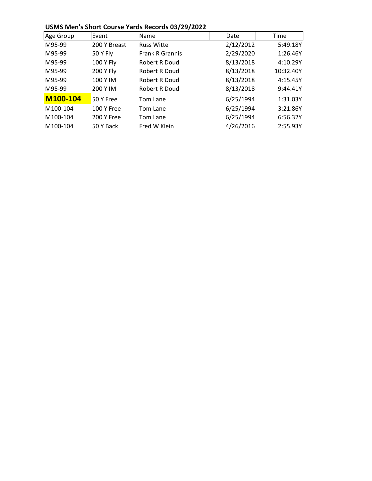**USMS Men's Short Course Yards Records 03/29/2022**

| Age Group | Event             | Name                   | Date      | Time      |
|-----------|-------------------|------------------------|-----------|-----------|
| M95-99    | 200 Y Breast      | <b>Russ Witte</b>      | 2/12/2012 | 5:49.18Y  |
| M95-99    | <b>50 Y Fly</b>   | <b>Frank R Grannis</b> | 2/29/2020 | 1:26.46Y  |
| M95-99    | 100 Y Fly         | Robert R Doud          | 8/13/2018 | 4:10.29Y  |
| M95-99    | <b>200 Y Fly</b>  | Robert R Doud          | 8/13/2018 | 10:32.40Y |
| M95-99    | 100 Y IM          | Robert R Doud          | 8/13/2018 | 4:15.45Y  |
| M95-99    | 200 Y IM          | Robert R Doud          | 8/13/2018 | 9:44.41Y  |
| M100-104  | 50 Y Free         | Tom Lane               | 6/25/1994 | 1:31.03Y  |
| M100-104  | <b>100 Y Free</b> | Tom Lane               | 6/25/1994 | 3:21.86Y  |
| M100-104  | 200 Y Free        | Tom Lane               | 6/25/1994 | 6:56.32Y  |
| M100-104  | 50 Y Back         | Fred W Klein           | 4/26/2016 | 2:55.93Y  |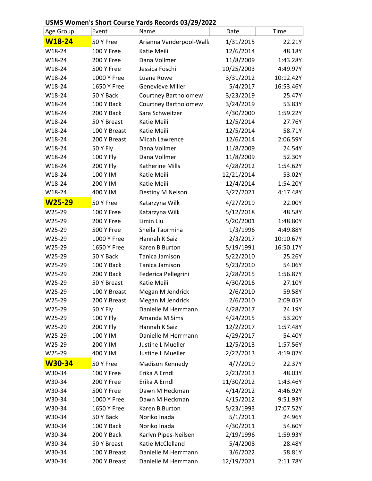## **USMS Women's Short Course Yards Records 03/29/2022**

| Age Group     | Event             | Name                     | Date       | Time      |
|---------------|-------------------|--------------------------|------------|-----------|
| <b>W18-24</b> | 50 Y Free         | Arianna Vanderpool-Walla | 1/31/2015  | 22.21Y    |
| W18-24        | 100 Y Free        | Katie Meili              | 12/6/2014  | 48.18Y    |
| W18-24        | 200 Y Free        | Dana Vollmer             | 11/8/2009  | 1:43.28Y  |
| W18-24        | <b>500 Y Free</b> | Jessica Foschi           | 10/25/2003 | 4:49.97Y  |
| W18-24        | 1000 Y Free       | Luane Rowe               | 3/31/2012  | 10:12.42Y |
| W18-24        | 1650 Y Free       | Genevieve Miller         | 5/4/2017   | 16:53.46Y |
| W18-24        | 50 Y Back         | Courtney Bartholomew     | 3/23/2019  | 25.47Y    |
| W18-24        | 100 Y Back        | Courtney Bartholomew     | 3/24/2019  | 53.83Y    |
| W18-24        | 200 Y Back        | Sara Schweitzer          | 4/30/2000  | 1:59.22Y  |
| W18-24        | 50 Y Breast       | Katie Meili              | 12/5/2014  | 27.76Y    |
| W18-24        | 100 Y Breast      | Katie Meili              | 12/5/2014  | 58.71Y    |
| W18-24        | 200 Y Breast      | Micah Lawrence           | 12/6/2014  | 2:06.59Y  |
| W18-24        | <b>50 Y Fly</b>   | Dana Vollmer             | 11/8/2009  | 24.54Y    |
| W18-24        | 100 Y Fly         | Dana Vollmer             | 11/8/2009  | 52.30Y    |
| W18-24        | <b>200 Y Fly</b>  | <b>Katherine Mills</b>   | 4/28/2012  | 1:54.62Y  |
| W18-24        | 100 Y IM          | Katie Meili              | 12/21/2014 | 53.02Y    |
| W18-24        | 200 Y IM          | Katie Meili              | 12/4/2014  | 1:54.20Y  |
| W18-24        | 400 Y IM          | Destiny M Nelson         | 3/27/2021  | 4:17.48Y  |
| <b>W25-29</b> | 50 Y Free         | Katarzyna Wilk           | 4/27/2019  | 22.00Y    |
| W25-29        | <b>100 Y Free</b> | Katarzyna Wilk           | 5/12/2018  | 48.58Y    |
| W25-29        | 200 Y Free        | Limin Liu                | 5/20/2001  | 1:48.80Y  |
| W25-29        | <b>500 Y Free</b> | Sheila Taormina          | 1/3/1996   | 4:49.88Y  |
| W25-29        | 1000 Y Free       | Hannah K Saiz            | 2/3/2017   | 10:10.67Y |
| W25-29        | 1650 Y Free       | Karen B Burton           | 5/19/1991  | 16:50.17Y |
| W25-29        | 50 Y Back         | Tanica Jamison           | 5/22/2010  | 25.26Y    |
| W25-29        | 100 Y Back        | Tanica Jamison           | 5/23/2010  | 54.06Y    |
| W25-29        | 200 Y Back        | Federica Pellegrini      | 2/28/2015  | 1:56.87Y  |
| W25-29        | 50 Y Breast       | Katie Meili              | 4/30/2016  | 27.10Y    |
| W25-29        | 100 Y Breast      | Megan M Jendrick         | 2/6/2010   | 59.58Y    |
| W25-29        | 200 Y Breast      | Megan M Jendrick         | 2/6/2010   | 2:09.05Y  |
| W25-29        | <b>50 Y Fly</b>   | Danielle M Herrmann      | 4/28/2017  | 24.19Y    |
| W25-29        | <b>100 Y Fly</b>  | Amanda M Sims            | 4/24/2015  | 53.20Y    |
| W25-29        | <b>200 Y Fly</b>  | Hannah K Saiz            | 12/2/2017  | 1:57.48Y  |
| W25-29        | 100 Y IM          | Danielle M Herrmann      | 4/29/2017  | 54.40Y    |
| W25-29        | 200 Y IM          | Justine L Mueller        | 12/5/2013  | 1:57.56Y  |
| W25-29        | 400 Y IM          | Justine L Mueller        | 2/22/2013  | 4:19.02Y  |
| <b>W30-34</b> | 50 Y Free         | Madison Kennedy          | 4/7/2019   | 22.37Y    |
| W30-34        | 100 Y Free        | Erika A Erndl            | 2/23/2013  | 48.03Y    |
| W30-34        | 200 Y Free        | Erika A Erndl            | 11/30/2012 | 1:43.46Y  |
| W30-34        | <b>500 Y Free</b> | Dawn M Heckman           | 4/14/2012  | 4:46.92Y  |
| W30-34        | 1000 Y Free       | Dawn M Heckman           | 4/15/2012  | 9:51.93Y  |
| W30-34        | 1650 Y Free       | Karen B Burton           | 5/23/1993  | 17:07.52Y |
| W30-34        | 50 Y Back         | Noriko Inada             | 5/1/2011   | 24.96Y    |
| W30-34        | 100 Y Back        | Noriko Inada             | 4/30/2011  | 54.60Y    |
| W30-34        | 200 Y Back        | Karlyn Pipes-Neilsen     | 2/19/1996  | 1:59.93Y  |
| W30-34        | 50 Y Breast       | Katie McClelland         | 5/4/2008   | 28.48Y    |
| W30-34        | 100 Y Breast      | Danielle M Herrmann      | 3/6/2022   | 58.81Y    |
| W30-34        | 200 Y Breast      | Danielle M Herrmann      | 12/19/2021 | 2:11.78Y  |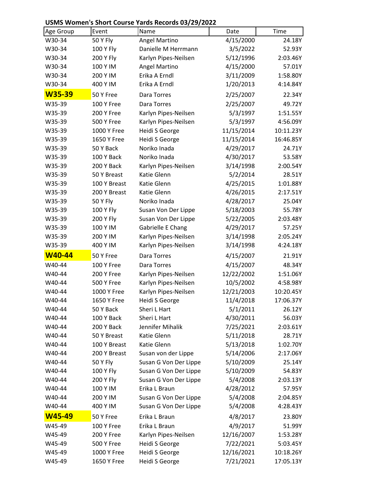**USMS Women's Short Course Yards Records 03/29/2022**

| Age Group     | Event             | Name                  | Date       | Time      |  |
|---------------|-------------------|-----------------------|------------|-----------|--|
| W30-34        | <b>50 Y Fly</b>   | Angel Martino         | 4/15/2000  | 24.18Y    |  |
| W30-34        | <b>100 Y Fly</b>  | Danielle M Herrmann   | 3/5/2022   | 52.93Y    |  |
| W30-34        | 200 Y Fly         | Karlyn Pipes-Neilsen  | 5/12/1996  | 2:03.46Y  |  |
| W30-34        | 100 Y IM          | Angel Martino         | 4/15/2000  | 57.01Y    |  |
| W30-34        | 200 Y IM          | Erika A Erndl         | 3/11/2009  | 1:58.80Y  |  |
| W30-34        | 400 Y IM          | Erika A Erndl         | 1/20/2013  | 4:14.84Y  |  |
| <b>W35-39</b> | 50 Y Free         | Dara Torres           | 2/25/2007  | 22.34Y    |  |
| W35-39        | 100 Y Free        | Dara Torres           | 2/25/2007  | 49.72Y    |  |
| W35-39        | 200 Y Free        | Karlyn Pipes-Neilsen  | 5/3/1997   | 1:51.55Y  |  |
| W35-39        | <b>500 Y Free</b> | Karlyn Pipes-Neilsen  | 5/3/1997   | 4:56.09Y  |  |
| W35-39        | 1000 Y Free       | Heidi S George        | 11/15/2014 | 10:11.23Y |  |
| W35-39        | 1650 Y Free       | Heidi S George        | 11/15/2014 | 16:46.85Y |  |
| W35-39        | 50 Y Back         | Noriko Inada          | 4/29/2017  | 24.71Y    |  |
| W35-39        | 100 Y Back        | Noriko Inada          | 4/30/2017  | 53.58Y    |  |
| W35-39        | 200 Y Back        | Karlyn Pipes-Neilsen  | 3/14/1998  | 2:00.54Y  |  |
| W35-39        | 50 Y Breast       | Katie Glenn           | 5/2/2014   | 28.51Y    |  |
| W35-39        | 100 Y Breast      | Katie Glenn           | 4/25/2015  | 1:01.88Y  |  |
| W35-39        | 200 Y Breast      | Katie Glenn           | 4/26/2015  | 2:17.51Y  |  |
| W35-39        | <b>50 Y Fly</b>   | Noriko Inada          | 4/28/2017  | 25.04Y    |  |
| W35-39        | 100 Y Fly         | Susan Von Der Lippe   | 5/18/2003  | 55.78Y    |  |
| W35-39        | 200 Y Fly         | Susan Von Der Lippe   | 5/22/2005  | 2:03.48Y  |  |
| W35-39        | 100 Y IM          | Gabrielle E Chang     | 4/29/2017  | 57.25Y    |  |
| W35-39        | 200 Y IM          | Karlyn Pipes-Neilsen  | 3/14/1998  | 2:05.24Y  |  |
| W35-39        | 400 Y IM          | Karlyn Pipes-Neilsen  | 3/14/1998  | 4:24.18Y  |  |
| <b>W40-44</b> | 50 Y Free         | Dara Torres           | 4/15/2007  | 21.91Y    |  |
| W40-44        | 100 Y Free        | Dara Torres           | 4/15/2007  | 48.34Y    |  |
| W40-44        | 200 Y Free        | Karlyn Pipes-Neilsen  | 12/22/2002 | 1:51.06Y  |  |
| W40-44        | <b>500 Y Free</b> | Karlyn Pipes-Neilsen  | 10/5/2002  | 4:58.98Y  |  |
| W40-44        | 1000 Y Free       | Karlyn Pipes-Neilsen  | 12/21/2003 | 10:20.45Y |  |
| W40-44        | 1650 Y Free       | Heidi S George        | 11/4/2018  | 17:06.37Y |  |
| W40-44        | 50 Y Back         | Sheri L Hart          | 5/1/2011   | 26.12Y    |  |
| W40-44        | 100 Y Back        | Sheri L Hart          | 4/30/2011  | 56.03Y    |  |
| W40-44        | 200 Y Back        | Jennifer Mihalik      | 7/25/2021  | 2:03.61Y  |  |
| W40-44        | 50 Y Breast       | Katie Glenn           | 5/11/2018  | 28.71Y    |  |
| W40-44        | 100 Y Breast      | Katie Glenn           | 5/13/2018  | 1:02.70Y  |  |
| W40-44        | 200 Y Breast      | Susan von der Lippe   | 5/14/2006  | 2:17.06Y  |  |
| W40-44        | 50 Y Fly          | Susan G Von Der Lippe | 5/10/2009  | 25.14Y    |  |
| W40-44        | 100 Y Fly         | Susan G Von Der Lippe | 5/10/2009  | 54.83Y    |  |
| W40-44        | 200 Y Fly         | Susan G Von Der Lippe | 5/4/2008   | 2:03.13Y  |  |
| W40-44        | 100 Y IM          | Erika L Braun         | 4/28/2012  | 57.95Y    |  |
| W40-44        | 200 Y IM          | Susan G Von Der Lippe | 5/4/2008   | 2:04.85Y  |  |
| W40-44        | 400 Y IM          | Susan G Von Der Lippe | 5/4/2008   | 4:28.43Y  |  |
| <b>W45-49</b> | 50 Y Free         | Erika L Braun         | 4/8/2017   | 23.80Y    |  |
| W45-49        | <b>100 Y Free</b> | Erika L Braun         | 4/9/2017   | 51.99Y    |  |
| W45-49        | 200 Y Free        | Karlyn Pipes-Neilsen  | 12/16/2007 | 1:53.28Y  |  |
| W45-49        | <b>500 Y Free</b> | Heidi S George        | 7/22/2021  | 5:03.45Y  |  |
| W45-49        | 1000 Y Free       | Heidi S George        | 12/16/2021 | 10:18.26Y |  |
| W45-49        | 1650 Y Free       | Heidi S George        | 7/21/2021  | 17:05.13Y |  |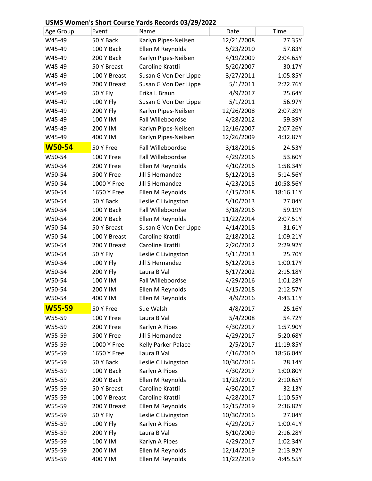**USMS Women's Short Course Yards Records 03/29/2022**

| Age Group     | Event             | Name                  | Date       | Time      |
|---------------|-------------------|-----------------------|------------|-----------|
| W45-49        | 50 Y Back         | Karlyn Pipes-Neilsen  | 12/21/2008 | 27.35Y    |
| W45-49        | 100 Y Back        | Ellen M Reynolds      | 5/23/2010  | 57.83Y    |
| W45-49        | 200 Y Back        | Karlyn Pipes-Neilsen  | 4/19/2009  | 2:04.65Y  |
| W45-49        | 50 Y Breast       | Caroline Krattli      | 5/20/2007  | 30.17Y    |
| W45-49        | 100 Y Breast      | Susan G Von Der Lippe | 3/27/2011  | 1:05.85Y  |
| W45-49        | 200 Y Breast      | Susan G Von Der Lippe | 5/1/2011   | 2:22.76Y  |
| W45-49        | <b>50 Y Fly</b>   | Erika L Braun         | 4/9/2017   | 25.64Y    |
| W45-49        | 100 Y Fly         | Susan G Von Der Lippe | 5/1/2011   | 56.97Y    |
| W45-49        | 200 Y Fly         | Karlyn Pipes-Neilsen  | 12/26/2008 | 2:07.39Y  |
| W45-49        | 100 Y IM          | Fall Willeboordse     | 4/28/2012  | 59.39Y    |
| W45-49        | 200 Y IM          | Karlyn Pipes-Neilsen  | 12/16/2007 | 2:07.26Y  |
| W45-49        | 400 Y IM          | Karlyn Pipes-Neilsen  | 12/26/2009 | 4:32.87Y  |
| <b>W50-54</b> | 50 Y Free         | Fall Willeboordse     | 3/18/2016  | 24.53Y    |
| W50-54        | 100 Y Free        | Fall Willeboordse     | 4/29/2016  | 53.60Y    |
| W50-54        | 200 Y Free        | Ellen M Reynolds      | 4/10/2016  | 1:58.34Y  |
| W50-54        | <b>500 Y Free</b> | Jill S Hernandez      | 5/12/2013  | 5:14.56Y  |
| W50-54        | 1000 Y Free       | Jill S Hernandez      | 4/23/2015  | 10:58.56Y |
| W50-54        | 1650 Y Free       | Ellen M Reynolds      | 4/15/2018  | 18:16.11Y |
| W50-54        | 50 Y Back         | Leslie C Livingston   | 5/10/2013  | 27.04Y    |
| W50-54        | 100 Y Back        | Fall Willeboordse     | 3/18/2016  | 59.19Y    |
| W50-54        | 200 Y Back        | Ellen M Reynolds      | 11/22/2014 | 2:07.51Y  |
| W50-54        | 50 Y Breast       | Susan G Von Der Lippe | 4/14/2018  | 31.61Y    |
| W50-54        | 100 Y Breast      | Caroline Krattli      | 2/18/2012  | 1:09.21Y  |
| W50-54        | 200 Y Breast      | Caroline Krattli      | 2/20/2012  | 2:29.92Y  |
| W50-54        | <b>50 Y Fly</b>   | Leslie C Livingston   | 5/11/2013  | 25.70Y    |
| W50-54        | 100 Y Fly         | Jill S Hernandez      | 5/12/2013  | 1:00.17Y  |
| W50-54        | <b>200 Y Fly</b>  | Laura B Val           | 5/17/2002  | 2:15.18Y  |
| W50-54        | 100 Y IM          | Fall Willeboordse     | 4/29/2016  | 1:01.28Y  |
| W50-54        | 200 Y IM          | Ellen M Reynolds      | 4/15/2018  | 2:12.57Y  |
| W50-54        | 400 Y IM          | Ellen M Reynolds      | 4/9/2016   | 4:43.11Y  |
| <b>W55-59</b> | 50 Y Free         | Sue Walsh             | 4/8/2017   | 25.16Y    |
| W55-59        | 100 Y Free        | Laura B Val           | 5/4/2008   | 54.72Y    |
| W55-59        | 200 Y Free        | Karlyn A Pipes        | 4/30/2017  | 1:57.90Y  |
| W55-59        | <b>500 Y Free</b> | Jill S Hernandez      | 4/29/2017  | 5:20.68Y  |
| W55-59        | 1000 Y Free       | Kelly Parker Palace   | 2/5/2017   | 11:19.85Y |
| W55-59        | 1650 Y Free       | Laura B Val           | 4/16/2010  | 18:56.04Y |
| W55-59        | 50 Y Back         | Leslie C Livingston   | 10/30/2016 | 28.14Y    |
| W55-59        | 100 Y Back        | Karlyn A Pipes        | 4/30/2017  | 1:00.80Y  |
| W55-59        | 200 Y Back        | Ellen M Reynolds      | 11/23/2019 | 2:10.65Y  |
| W55-59        | 50 Y Breast       | Caroline Krattli      | 4/30/2017  | 32.13Y    |
| W55-59        | 100 Y Breast      | Caroline Krattli      | 4/28/2017  | 1:10.55Y  |
| W55-59        | 200 Y Breast      | Ellen M Reynolds      | 12/15/2019 | 2:36.82Y  |
| W55-59        | <b>50 Y Fly</b>   | Leslie C Livingston   | 10/30/2016 | 27.04Y    |
| W55-59        | 100 Y Fly         | Karlyn A Pipes        | 4/29/2017  | 1:00.41Y  |
| W55-59        | 200 Y Fly         | Laura B Val           | 5/10/2009  | 2:16.28Y  |
| W55-59        | 100 Y IM          | Karlyn A Pipes        | 4/29/2017  | 1:02.34Y  |
| W55-59        | 200 Y IM          | Ellen M Reynolds      | 12/14/2019 | 2:13.92Y  |
| W55-59        | 400 Y IM          | Ellen M Reynolds      | 11/22/2019 | 4:45.55Y  |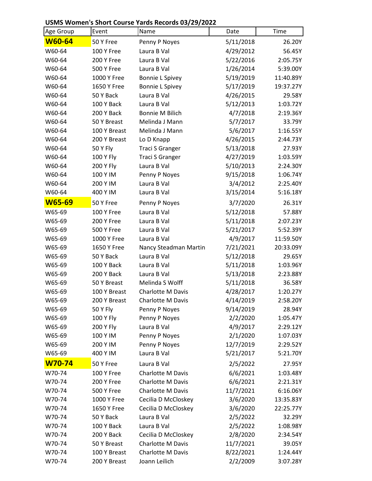## **USMS Women's Short Course Yards Records 03/29/2022**

| Age Group     | Event             | Name                     | Date      | Time      |
|---------------|-------------------|--------------------------|-----------|-----------|
| <b>W60-64</b> | 50 Y Free         | Penny P Noyes            | 5/11/2018 | 26.20Y    |
| W60-64        | <b>100 Y Free</b> | Laura B Val              | 4/29/2012 | 56.45Y    |
| W60-64        | 200 Y Free        | Laura B Val              | 5/22/2016 | 2:05.75Y  |
| W60-64        | <b>500 Y Free</b> | Laura B Val              | 1/26/2014 | 5:39.00Y  |
| W60-64        | 1000 Y Free       | <b>Bonnie L Spivey</b>   | 5/19/2019 | 11:40.89Y |
| W60-64        | 1650 Y Free       | <b>Bonnie L Spivey</b>   | 5/17/2019 | 19:37.27Y |
| W60-64        | 50 Y Back         | Laura B Val              | 4/26/2015 | 29.58Y    |
| W60-64        | 100 Y Back        | Laura B Val              | 5/12/2013 | 1:03.72Y  |
| W60-64        | 200 Y Back        | Bonnie M Bilich          | 4/7/2018  | 2:19.36Y  |
| W60-64        | 50 Y Breast       | Melinda J Mann           | 5/7/2017  | 33.79Y    |
| W60-64        | 100 Y Breast      | Melinda J Mann           | 5/6/2017  | 1:16.55Y  |
| W60-64        | 200 Y Breast      | Lo D Knapp               | 4/26/2015 | 2:44.73Y  |
| W60-64        | <b>50 Y Fly</b>   | <b>Traci S Granger</b>   | 5/13/2018 | 27.93Y    |
| W60-64        | <b>100 Y Fly</b>  | <b>Traci S Granger</b>   | 4/27/2019 | 1:03.59Y  |
| W60-64        | 200 Y Fly         | Laura B Val              | 5/10/2013 | 2:24.30Y  |
| W60-64        | 100 Y IM          | Penny P Noyes            | 9/15/2018 | 1:06.74Y  |
| W60-64        | 200 Y IM          | Laura B Val              | 3/4/2012  | 2:25.40Y  |
| W60-64        | 400 Y IM          | Laura B Val              | 3/15/2014 | 5:16.18Y  |
| <b>W65-69</b> | 50 Y Free         | Penny P Noyes            | 3/7/2020  | 26.31Y    |
| W65-69        | <b>100 Y Free</b> | Laura B Val              | 5/12/2018 | 57.88Y    |
| W65-69        | 200 Y Free        | Laura B Val              | 5/11/2018 | 2:07.23Y  |
| W65-69        | <b>500 Y Free</b> | Laura B Val              | 5/21/2017 | 5:52.39Y  |
| W65-69        | 1000 Y Free       | Laura B Val              | 4/9/2017  | 11:59.50Y |
| W65-69        | 1650 Y Free       | Nancy Steadman Martin    | 7/21/2021 | 20:33.09Y |
| W65-69        | 50 Y Back         | Laura B Val              | 5/12/2018 | 29.65Y    |
| W65-69        | 100 Y Back        | Laura B Val              | 5/11/2018 | 1:03.96Y  |
| W65-69        | 200 Y Back        | Laura B Val              | 5/13/2018 | 2:23.88Y  |
| W65-69        | 50 Y Breast       | Melinda S Wolff          | 5/11/2018 | 36.58Y    |
| W65-69        | 100 Y Breast      | <b>Charlotte M Davis</b> | 4/28/2017 | 1:20.27Y  |
| W65-69        | 200 Y Breast      | <b>Charlotte M Davis</b> | 4/14/2019 | 2:58.20Y  |
| W65-69        | <b>50 Y Fly</b>   | Penny P Noyes            | 9/14/2019 | 28.94Y    |
| W65-69        | 100 Y Fly         | Penny P Noyes            | 2/2/2020  | 1:05.47Y  |
| W65-69        | 200 Y Fly         | Laura B Val              | 4/9/2017  | 2:29.12Y  |
| W65-69        | 100 Y IM          | Penny P Noyes            | 2/1/2020  | 1:07.03Y  |
| W65-69        | 200 Y IM          | Penny P Noyes            | 12/7/2019 | 2:29.52Y  |
| W65-69        | 400 Y IM          | Laura B Val              | 5/21/2017 | 5:21.70Y  |
| <b>W70-74</b> | 50 Y Free         | Laura B Val              | 2/5/2022  | 27.95Y    |
| W70-74        | <b>100 Y Free</b> | <b>Charlotte M Davis</b> | 6/6/2021  | 1:03.48Y  |
| W70-74        | 200 Y Free        | Charlotte M Davis        | 6/6/2021  | 2:21.31Y  |
| W70-74        | <b>500 Y Free</b> | Charlotte M Davis        | 11/7/2021 | 6:16.06Y  |
| W70-74        | 1000 Y Free       | Cecilia D McCloskey      | 3/6/2020  | 13:35.83Y |
| W70-74        | 1650 Y Free       | Cecilia D McCloskey      | 3/6/2020  | 22:25.77Y |
| W70-74        | 50 Y Back         | Laura B Val              | 2/5/2022  | 32.29Y    |
| W70-74        | 100 Y Back        | Laura B Val              | 2/5/2022  | 1:08.98Y  |
| W70-74        | 200 Y Back        | Cecilia D McCloskey      | 2/8/2020  | 2:34.54Y  |
| W70-74        | 50 Y Breast       | Charlotte M Davis        | 11/7/2021 | 39.05Y    |
| W70-74        | 100 Y Breast      | Charlotte M Davis        | 8/22/2021 | 1:24.44Y  |
| W70-74        | 200 Y Breast      | Joann Leilich            | 2/2/2009  | 3:07.28Y  |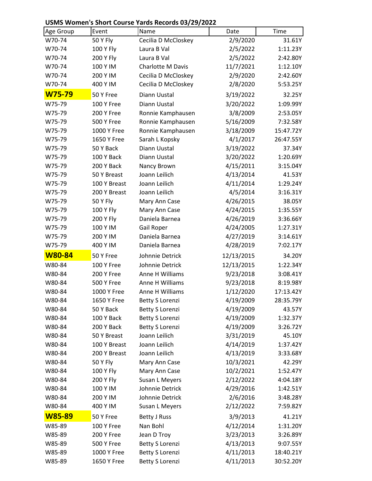**USMS Women's Short Course Yards Records 03/29/2022**

| Age Group     | Event             | Name                     | Date       | Time      |
|---------------|-------------------|--------------------------|------------|-----------|
| W70-74        | <b>50 Y Fly</b>   | Cecilia D McCloskey      | 2/9/2020   | 31.61Y    |
| W70-74        | <b>100 Y Fly</b>  | Laura B Val              | 2/5/2022   | 1:11.23Y  |
| W70-74        | <b>200 Y Fly</b>  | Laura B Val              | 2/5/2022   | 2:42.80Y  |
| W70-74        | 100 Y IM          | <b>Charlotte M Davis</b> | 11/7/2021  | 1:12.10Y  |
| W70-74        | 200 Y IM          | Cecilia D McCloskey      | 2/9/2020   | 2:42.60Y  |
| W70-74        | 400 Y IM          | Cecilia D McCloskey      | 2/8/2020   | 5:53.25Y  |
| W75-79        | 50 Y Free         | Diann Uustal             | 3/19/2022  | 32.25Y    |
| W75-79        | <b>100 Y Free</b> | Diann Uustal             | 3/20/2022  | 1:09.99Y  |
| W75-79        | <b>200 Y Free</b> | Ronnie Kamphausen        | 3/8/2009   | 2:53.05Y  |
| W75-79        | <b>500 Y Free</b> | Ronnie Kamphausen        | 5/16/2009  | 7:32.58Y  |
| W75-79        | 1000 Y Free       | Ronnie Kamphausen        | 3/18/2009  | 15:47.72Y |
| W75-79        | 1650 Y Free       | Sarah L Kopsky           | 4/1/2017   | 26:47.55Y |
| W75-79        | 50 Y Back         | Diann Uustal             | 3/19/2022  | 37.34Y    |
| W75-79        | 100 Y Back        | Diann Uustal             | 3/20/2022  | 1:20.69Y  |
| W75-79        | 200 Y Back        | Nancy Brown              | 4/15/2011  | 3:15.04Y  |
| W75-79        | 50 Y Breast       | Joann Leilich            | 4/13/2014  | 41.53Y    |
| W75-79        | 100 Y Breast      | Joann Leilich            | 4/11/2014  | 1:29.24Y  |
| W75-79        | 200 Y Breast      | Joann Leilich            | 4/5/2014   | 3:16.31Y  |
| W75-79        | <b>50 Y Fly</b>   | Mary Ann Case            | 4/26/2015  | 38.05Y    |
| W75-79        | <b>100 Y Fly</b>  | Mary Ann Case            | 4/24/2015  | 1:35.55Y  |
| W75-79        | <b>200 Y Fly</b>  | Daniela Barnea           | 4/26/2019  | 3:36.66Y  |
| W75-79        | 100 Y IM          | Gail Roper               | 4/24/2005  | 1:27.31Y  |
| W75-79        | 200 Y IM          | Daniela Barnea           | 4/27/2019  | 3:14.61Y  |
| W75-79        | 400 Y IM          | Daniela Barnea           | 4/28/2019  | 7:02.17Y  |
| <b>W80-84</b> | 50 Y Free         | Johnnie Detrick          | 12/13/2015 | 34.20Y    |
| W80-84        | 100 Y Free        | Johnnie Detrick          | 12/13/2015 | 1:22.34Y  |
| W80-84        | <b>200 Y Free</b> | Anne H Williams          | 9/23/2018  | 3:08.41Y  |
| W80-84        | <b>500 Y Free</b> | Anne H Williams          | 9/23/2018  | 8:19.98Y  |
| W80-84        | 1000 Y Free       | Anne H Williams          | 1/12/2020  | 17:13.42Y |
| W80-84        | 1650 Y Free       | <b>Betty S Lorenzi</b>   | 4/19/2009  | 28:35.79Y |
| W80-84        | 50 Y Back         | <b>Betty S Lorenzi</b>   | 4/19/2009  | 43.57Y    |
| W80-84        | 100 Y Back        | <b>Betty S Lorenzi</b>   | 4/19/2009  | 1:32.37Y  |
| W80-84        | 200 Y Back        | <b>Betty S Lorenzi</b>   | 4/19/2009  | 3:26.72Y  |
| W80-84        | 50 Y Breast       | Joann Leilich            | 3/31/2019  | 45.10Y    |
| W80-84        | 100 Y Breast      | Joann Leilich            | 4/14/2019  | 1:37.42Y  |
| W80-84        | 200 Y Breast      | Joann Leilich            | 4/13/2019  | 3:33.68Y  |
| W80-84        | <b>50 Y Fly</b>   | Mary Ann Case            | 10/3/2021  | 42.29Y    |
| W80-84        | 100 Y Fly         | Mary Ann Case            | 10/2/2021  | 1:52.47Y  |
| W80-84        | <b>200 Y Fly</b>  | Susan L Meyers           | 2/12/2022  | 4:04.18Y  |
| W80-84        | 100 Y IM          | Johnnie Detrick          | 4/29/2016  | 1:42.51Y  |
| W80-84        | 200 Y IM          | Johnnie Detrick          | 2/6/2016   | 3:48.28Y  |
| W80-84        | 400 Y IM          | Susan L Meyers           | 2/12/2022  | 7:59.82Y  |
| <b>W85-89</b> | 50 Y Free         | Betty J Russ             | 3/9/2013   | 41.21Y    |
| W85-89        | 100 Y Free        | Nan Bohl                 | 4/12/2014  | 1:31.20Y  |
| W85-89        | 200 Y Free        | Jean D Troy              | 3/23/2013  | 3:26.89Y  |
| W85-89        | <b>500 Y Free</b> | <b>Betty S Lorenzi</b>   | 4/13/2013  | 9:07.55Y  |
| W85-89        | 1000 Y Free       | <b>Betty S Lorenzi</b>   | 4/11/2013  | 18:40.21Y |
| W85-89        | 1650 Y Free       | <b>Betty S Lorenzi</b>   | 4/11/2013  | 30:52.20Y |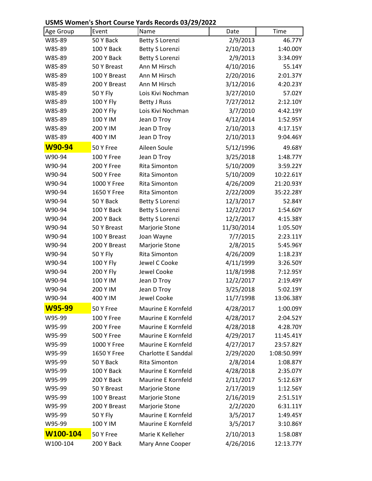**USMS Women's Short Course Yards Records 03/29/2022**

| Age Group | Event             | Name                       | Date       | Time        |  |
|-----------|-------------------|----------------------------|------------|-------------|--|
| W85-89    | 50 Y Back         | <b>Betty S Lorenzi</b>     | 2/9/2013   | 46.77Y      |  |
| W85-89    | 100 Y Back        | <b>Betty S Lorenzi</b>     | 2/10/2013  | 1:40.00Y    |  |
| W85-89    | 200 Y Back        | <b>Betty S Lorenzi</b>     | 2/9/2013   | 3:34.09Y    |  |
| W85-89    | 50 Y Breast       | Ann M Hirsch               | 4/10/2016  | 55.14Y      |  |
| W85-89    | 100 Y Breast      | Ann M Hirsch               | 2/20/2016  | 2:01.37Y    |  |
| W85-89    | 200 Y Breast      | Ann M Hirsch               | 3/12/2016  | 4:20.23Y    |  |
| W85-89    | <b>50 Y Fly</b>   | Lois Kivi Nochman          | 3/27/2010  | 57.02Y      |  |
| W85-89    | 100 Y Fly         | Betty J Russ               | 7/27/2012  | 2:12.10Y    |  |
| W85-89    | <b>200 Y Fly</b>  | Lois Kivi Nochman          | 3/7/2010   | 4:42.19Y    |  |
| W85-89    | 100 Y IM          | Jean D Troy                | 4/12/2014  | 1:52.95Y    |  |
| W85-89    | 200 Y IM          | Jean D Troy                | 2/10/2013  | 4:17.15Y    |  |
| W85-89    | 400 Y IM          | Jean D Troy                | 2/10/2013  | 9:04.46Y    |  |
| W90-94    | 50 Y Free         | Aileen Soule               | 5/12/1996  | 49.68Y      |  |
| W90-94    | 100 Y Free        | Jean D Troy                | 3/25/2018  | 1:48.77Y    |  |
| W90-94    | 200 Y Free        | Rita Simonton              | 5/10/2009  | 3:59.22Y    |  |
| W90-94    | <b>500 Y Free</b> | Rita Simonton              | 5/10/2009  | 10:22.61Y   |  |
| W90-94    | 1000 Y Free       | Rita Simonton              | 4/26/2009  | 21:20.93Y   |  |
| W90-94    | 1650 Y Free       | Rita Simonton              | 2/22/2009  | 35:22.28Y   |  |
| W90-94    | 50 Y Back         | <b>Betty S Lorenzi</b>     | 12/3/2017  | 52.84Y      |  |
| W90-94    | 100 Y Back        | <b>Betty S Lorenzi</b>     | 12/2/2017  | 1:54.60Y    |  |
| W90-94    | 200 Y Back        | <b>Betty S Lorenzi</b>     | 12/2/2017  | 4:15.38Y    |  |
| W90-94    | 50 Y Breast       | Marjorie Stone             | 11/30/2014 | 1:05.50Y    |  |
| W90-94    | 100 Y Breast      | Joan Wayne                 | 7/7/2015   | 2:23.11Y    |  |
| W90-94    | 200 Y Breast      | Marjorie Stone             | 2/8/2015   | 5:45.96Y    |  |
| W90-94    | <b>50 Y Fly</b>   | Rita Simonton              | 4/26/2009  | 1:18.23Y    |  |
| W90-94    | 100 Y Fly         | Jewel C Cooke              | 4/11/1999  | 3:26.50Y    |  |
| W90-94    | <b>200 Y Fly</b>  | Jewel Cooke                | 11/8/1998  | 7:12.95Y    |  |
| W90-94    | 100 Y IM          | Jean D Troy                | 12/2/2017  | 2:19.49Y    |  |
| W90-94    | 200 Y IM          | Jean D Troy                | 3/25/2018  | 5:02.19Y    |  |
| W90-94    | 400 Y IM          | Jewel Cooke                | 11/7/1998  | 13:06.38Y   |  |
| W95-99    | 50 Y Free         | Maurine E Kornfeld         | 4/28/2017  | 1:00.09Y    |  |
| W95-99    | 100 Y Free        | Maurine E Kornfeld         | 4/28/2017  | 2:04.52Y    |  |
| W95-99    | 200 Y Free        | Maurine E Kornfeld         | 4/28/2018  | 4:28.70Y    |  |
| W95-99    | <b>500 Y Free</b> | Maurine E Kornfeld         | 4/29/2017  | 11:45.41Y   |  |
| W95-99    | 1000 Y Free       | Maurine E Kornfeld         | 4/27/2017  | 23:57.82Y   |  |
| W95-99    | 1650 Y Free       | <b>Charlotte E Sanddal</b> | 2/29/2020  | 1:08:50.99Y |  |
| W95-99    | 50 Y Back         | Rita Simonton              | 2/8/2014   | 1:08.87Y    |  |
| W95-99    | 100 Y Back        | Maurine E Kornfeld         | 4/28/2018  | 2:35.07Y    |  |
| W95-99    | 200 Y Back        | Maurine E Kornfeld         | 2/11/2017  | 5:12.63Y    |  |
| W95-99    | 50 Y Breast       | Marjorie Stone             | 2/17/2019  | 1:12.56Y    |  |
| W95-99    | 100 Y Breast      | Marjorie Stone             | 2/16/2019  | 2:51.51Y    |  |
| W95-99    | 200 Y Breast      | Marjorie Stone             | 2/2/2020   | 6:31.11Y    |  |
| W95-99    | <b>50 Y Fly</b>   | Maurine E Kornfeld         | 3/5/2017   | 1:49.45Y    |  |
| W95-99    | 100 Y IM          | Maurine E Kornfeld         | 3/5/2017   | 3:10.86Y    |  |
| W100-104  | 50 Y Free         | Marie K Kelleher           | 2/10/2013  | 1:58.08Y    |  |
| W100-104  | 200 Y Back        | Mary Anne Cooper           | 4/26/2016  | 12:13.77Y   |  |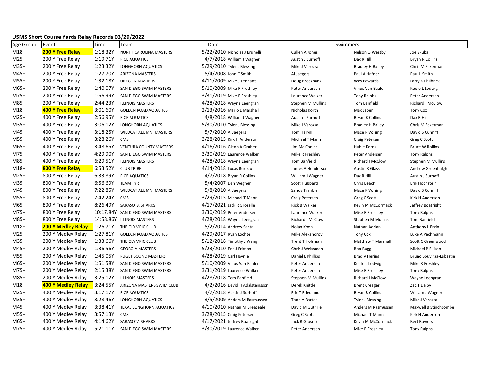#### **USMS Short Course Yards Relay Records 03/29/2022**

| Age Group | Event                              | Time     | Team                             | Date                  |                                | Swimmers                 |                           |                         |
|-----------|------------------------------------|----------|----------------------------------|-----------------------|--------------------------------|--------------------------|---------------------------|-------------------------|
| $M18+$    | <b>200 Y Free Relay</b>            | 1:18.32Y | NORTH CAROLINA MASTERS           |                       | 5/22/2010 Nicholas J Brunelli  | Cullen A Jones           | Nelson O Westby           | Joe Skuba               |
| $M25+$    | 200 Y Free Relay                   | 1:19.71Y | <b>RICE AQUATICS</b>             |                       | 4/7/2018 William J Wagner      | Austin J Surhoff         | Dax R Hill                | <b>Bryan R Collins</b>  |
| $M35+$    | 200 Y Free Relay                   | 1:23.32Y | LONGHORN AQUATICS                |                       | 5/29/2010 Tyler J Blessing     | Mike J Varozza           | <b>Bradley H Bailey</b>   | Chris M Eckerman        |
| $M45+$    | 200 Y Free Relay                   | 1:27.70Y | <b>ARIZONA MASTERS</b>           |                       | 5/4/2008 John C Smith          | Al Jaegers               | Paul A Hafner             | Paul L Smith            |
| $M55+$    | 200 Y Free Relay                   | 1:32.18Y | <b>OREGON MASTERS</b>            |                       | 4/11/2009 Mike J Tennant       | Doug Brockbank           | Wes Edwards               | Larry K Philbrick       |
| $M65+$    | 200 Y Free Relay                   | 1:40.07Y | SAN DIEGO SWIM MASTERS           |                       | 5/10/2009 Mike R Freshley      | Peter Andersen           | Vinus Van Baalen          | Keefe L Lodwig          |
| $M75+$    | 200 Y Free Relay                   | 1:56.99Y | SAN DIEGO SWIM MASTERS           |                       | 3/31/2019 Mike R Freshley      | Laurence Walker          | <b>Tony Ralphs</b>        | Peter Andersen          |
| $M85+$    | 200 Y Free Relay                   | 2:44.23Y | <b>ILLINOIS MASTERS</b>          |                       | 4/28/2018 Wayne Leengran       | Stephen M Mullins        | Tom Banfield              | <b>Richard I McClow</b> |
| $M18+$    | <b>400 Y Free Relay</b>            | 3:01.60Y | <b>GOLDEN ROAD AQUATICS</b>      |                       | 2/13/2016 Mario L Marshall     | Nicholas Korth           | Max Jaben                 | <b>Tony Cox</b>         |
| $M25+$    | 400 Y Free Relay                   | 2:56.95Y | <b>RICE AQUATICS</b>             |                       | 4/8/2018 William J Wagner      | Austin J Surhoff         | <b>Bryan R Collins</b>    | Dax R Hill              |
| $M35+$    | 400 Y Free Relay                   | 3:06.12Y | LONGHORN AQUATICS                |                       | 5/30/2010 Tyler J Blessing     | Mike J Varozza           | <b>Bradley H Bailey</b>   | Chris M Eckerman        |
| $M45+$    | 400 Y Free Relay                   | 3:18.25Y | WILDCAT ALUMNI MASTERS           | 5/7/2010 Al Jaegers   |                                | Tom Harvill              | Mace P Volzing            | David S Cunniff         |
| $M55+$    | 400 Y Free Relay                   | 3:28.26Y | <b>CMS</b>                       |                       | 3/28/2015 Kirk H Anderson      | Michael T Mann           | Craig Petersen            | Greg C Scott            |
| $M65+$    | 400 Y Free Relay                   | 3:48.65Y | <b>VENTURA COUNTY MASTERS</b>    |                       | 4/16/2016 Glenn A Gruber       | Jim Mc Conica            | Hubie Kerns               | <b>Bruce W Rollins</b>  |
| $M75+$    | 400 Y Free Relay                   | 4:29.90Y | SAN DIEGO SWIM MASTERS           |                       | 3/30/2019 Laurence Walker      | Mike R Freshley          | Peter Andersen            | <b>Tony Ralphs</b>      |
| $M85+$    | 400 Y Free Relay                   | 6:29.51Y | <b>ILLINOIS MASTERS</b>          |                       | 4/28/2018 Wayne Leengran       | Tom Banfield             | <b>Richard I McClow</b>   | Stephen M Mullins       |
| $M18+$    | 800 Y Free Relay                   | 6:53.52Y | <b>CLUB TRIBE</b>                |                       | 4/14/2018 Lucas Bureau         | James A Henderson        | <b>Austin R Glass</b>     | Andrew Greenhalgh       |
| $M25+$    | 800 Y Free Relay                   | 6:33.89Y | <b>RICE AQUATICS</b>             |                       | 4/7/2018 Bryan R Collins       | William J Wagner         | Dax R Hill                | Austin J Surhoff        |
| $M35+$    | 800 Y Free Relay                   | 6:56.69Y | <b>TEAM TYR</b>                  |                       | 5/4/2007 Dan Wegner            | Scott Hubbard            | Chris Beach               | Erik Hochstein          |
| $M45+$    | 800 Y Free Relay                   | 7:22.85Y | WILDCAT ALUMNI MASTERS           | 5/8/2010 Al Jaegers   |                                | Sandy Trimble            | Mace P Volzing            | David S Cunniff         |
| $M55+$    | 800 Y Free Relay                   | 7:42.24Y | CMS                              |                       | 3/29/2015 Michael T Mann       | Craig Petersen           | Greg C Scott              | Kirk H Anderson         |
| M65+      | 800 Y Free Relay                   | 8:26.49Y | <b>SARASOTA SHARKS</b>           |                       | 4/17/2021 Jack R Groselle      | <b>Rick B Walker</b>     | Kevin M McCormack         | Jeffrey Boatright       |
| $M75+$    | 800 Y Free Relay                   |          | 10:17.84Y SAN DIEGO SWIM MASTERS |                       | 3/30/2019 Peter Andersen       | Laurence Walker          | Mike R Freshley           | <b>Tony Ralphs</b>      |
| M85+      | 800 Y Free Relay                   |          | 14:58.86Y ILLINOIS MASTERS       |                       | 4/28/2018 Wayne Leengran       | Richard I McClow         | <b>Stephen M Mullins</b>  | Tom Banfield            |
| $M18+$    | <b>200 Y Medley Relay</b> 1:26.71Y |          | THE OLYMPIC CLUB                 |                       | $5/2/2014$ Andrew Saeta        | Nolan Koon               | Nathan Adrian             | Anthony L Ervin         |
| $M25+$    | 200 Y Medley Relay                 | 1:27.81Y | <b>GOLDEN ROAD AQUATICS</b>      | 4/29/2017 Ryan Lochte |                                | Mike Alexandrov          | <b>Tony Cox</b>           | Luke A Pechmann         |
| $M35+$    | 200 Y Medley Relay                 | 1:33.66Y | THE OLYMPIC CLUB                 |                       | $5/12/2018$ Timothy J Wang     | Trent T Holsman          | <b>Matthew T Marshall</b> | Scott C Greenwood       |
| $M45+$    | 200 Y Medley Relay                 | 1:36.56Y | <b>GEORGIA MASTERS</b>           |                       | 5/23/2010 Eric J Ericson       | Chris J Weissman         | <b>Bob Bugg</b>           | Michael P Ellison       |
| $M55+$    | 200 Y Medley Relay                 | 1:45.05Y | PUGET SOUND MASTERS              | 4/28/2019 Carl Haynie |                                | Daniel L Phillips        | <b>Brad V Hering</b>      | Bruno Souviraa-Labastie |
| $M65+$    | 200 Y Medley Relay                 | 1:51.58Y | SAN DIEGO SWIM MASTERS           |                       | 5/10/2009 Vinus Van Baalen     | Peter Andersen           | Keefe L Lodwig            | Mike R Freshley         |
| $M75+$    | 200 Y Medley Relay                 | 2:15.38Y | SAN DIEGO SWIM MASTERS           |                       | 3/31/2019 Laurence Walker      | Peter Andersen           | Mike R Freshley           | <b>Tony Ralphs</b>      |
| $M85+$    | 200 Y Medley Relay                 | 3:25.12Y | <b>ILLINOIS MASTERS</b>          |                       | 4/28/2018 Tom Banfield         | <b>Stephen M Mullins</b> | Richard I McClow          | Wayne Leengran          |
| $M18+$    | <b>400 Y Medley Relay</b>          | 3:24.55Y | ARIZONA MASTERS SWIM CLUB        |                       | 4/2/2016 David H Adalsteinsson | Derek Knittle            | <b>Brent Creager</b>      | Zac T Dalby             |
| $M25+$    | 400 Y Medley Relay                 | 3:17.17Y | <b>RICE AQUATICS</b>             |                       | 4/7/2018 Austin J Surhoff      | <b>Eric T Friedland</b>  | <b>Bryan R Collins</b>    | William J Wagner        |
| $M35+$    | 400 Y Medley Relay                 | 3:28.46Y | LONGHORN AQUATICS                |                       | 3/5/2009 Anders M Rasmussen    | <b>Todd A Bartee</b>     | <b>Tyler J Blessing</b>   | Mike J Varozza          |
| $M45+$    | 400 Y Medley Relay                 | 3:38.41Y | <b>TEXAS LONGHORN AQUATICS</b>   |                       | 4/10/2010 Nathan M Breazeale   | David M Guthrie          | Anders M Rasmussen        | Maxwell B Stinchcombe   |
| $M55+$    | 400 Y Medley Relay                 | 3:57.13Y | CMS                              |                       | 3/28/2015 Craig Petersen       | Greg C Scott             | Michael T Mann            | Kirk H Anderson         |
| $M65+$    | 400 Y Medley Relay                 | 4:14.62Y | <b>SARASOTA SHARKS</b>           |                       | 4/17/2021 Jeffrey Boatright    | Jack R Groselle          | Kevin M McCormack         | <b>Bert Bowers</b>      |
| $M75+$    | 400 Y Medley Relay                 | 5:21.11Y | SAN DIEGO SWIM MASTERS           |                       | 3/30/2019 Laurence Walker      | Peter Andersen           | Mike R Freshley           | <b>Tony Ralphs</b>      |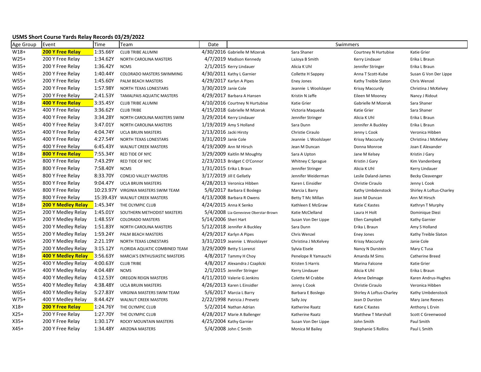#### **USMS Short Course Yards Relay Records 03/29/2022**

| Age Group | Event                     | Time     | Team                                 | Date                   |                                       | Swimmers                 |                            |                          |
|-----------|---------------------------|----------|--------------------------------------|------------------------|---------------------------------------|--------------------------|----------------------------|--------------------------|
| $W18+$    | <b>200 Y Free Relay</b>   | 1:35.66Y | <b>CLUB TRIBE ALUMNI</b>             |                        | 4/30/2016 Gabrielle M Mizerak         | Sara Shaner              | Courtney N Hurtubise       | Katie Grier              |
| $W25+$    | 200 Y Free Relay          | 1:34.62Y | NORTH CAROLINA MASTERS               |                        | 4/7/2019 Madison Kennedy              | LaJoya B Smith           | Kerry Lindauer             | Erika L Braun            |
| $W35+$    | 200 Y Free Relay          | 1:36.42Y | <b>NCMS</b>                          |                        | 2/1/2015 Kerry Lindauer               | Alicia K Uhl             | Jennifer Stringer          | Erika L Braun            |
| $W45+$    | 200 Y Free Relay          | 1:40.44Y | COLORADO MASTERS SWIMMING            |                        | 4/30/2011 Kathy L Garnier             | Collette H Sappey        | Anna T Scott-Kube          | Susan G Von Der Lippe    |
| $W55+$    | 200 Y Free Relay          | 1:45.60Y | PALM BEACH MASTERS                   |                        | $4/29/2017$ Karlyn A Pipes            | <b>Eney Jones</b>        | Kathy Treible Slaton       | Chris Wenzel             |
| W65+      | 200 Y Free Relay          | 1:57.98Y | NORTH TEXAS LONESTARS                | 3/30/2019 Janie Cole   |                                       | Jeannie L Woolslayer     | <b>Krissy Maccurdy</b>     | Christina J McKelvey     |
| $W75+$    | 200 Y Free Relay          | 2:41.53Y | <b>TAMALPAIS AQUATIC MASTERS</b>     |                        | 4/29/2017 Barbara A Hansen            | Kristin N Jaffe          | Eileen M Mooney            | Nancy J Ridout           |
| $W18+$    | <b>400 Y Free Relay</b>   | 3:35.45Y | <b>CLUB TRIBE ALUMNI</b>             |                        | 4/10/2016 Courtney N Hurtubise        | Katie Grier              | Gabrielle M Mizerak        | Sara Shaner              |
| $W25+$    | 400 Y Free Relay          | 3:36.62Y | <b>CLUB TRIBE</b>                    |                        | 4/15/2018 Gabrielle M Mizerak         | Victoria Magueda         | Katie Grier                | Sara Shaner              |
| $W35+$    | 400 Y Free Relay          | 3:34.28Y | NORTH CAROLINA MASTERS SWIM          |                        | 3/29/2014 Kerry Lindauer              | Jennifer Stringer        | Alicia K Uhl               | Erika L Braun            |
| $W45+$    | 400 Y Free Relay          | 3:47.01Y | NORTH CAROLINA MASTERS               |                        | 1/19/2019 Amy S Holland               | Sara Dunn                | Jennifer A Buckley         | Erika L Braun            |
| $W55+$    | 400 Y Free Relay          | 4:04.74Y | <b>UCLA BRUIN MASTERS</b>            | 2/13/2016 Jacki Hirsty |                                       | Christie Ciraulo         | Jenny L Cook               | Veronica Hibben          |
| W65+      | 400 Y Free Relay          | 4:27.54Y | NORTH TEXAS LONESTARS                | 3/31/2019 Janie Cole   |                                       | Jeannie L Woolslayer     | <b>Krissy Maccurdy</b>     | Christina J McKelvey     |
| W75+      | 400 Y Free Relay          | 6:45.43Y | <b>WALNUT CREEK MASTERS</b>          |                        | 4/19/2009 Ann M Hirsch                | Jean M Duncan            | Donna Monroe               | Joan E Alexander         |
| $W18+$    | <b>800 Y Free Relay</b>   | 7:55.34Y | RED TIDE OF NYC                      |                        | 3/29/2009 Kaitlin M Moughty           | Sara A Upton             | Jane M Kelsey              | Kristin J Gary           |
| $W25+$    | 800 Y Free Relay          | 7:43.29Y | RED TIDE OF NYC                      |                        | 2/23/2013 Bridget C O'Connor          | Whitney C Sprague        | Kristin J Gary             | Kim Vandenberg           |
| $W35+$    | 800 Y Free Relay          | 7:58.40Y | <b>NCMS</b>                          |                        | 1/31/2015 Erika L Braun               | Jennifer Stringer        | Alicia K Uhl               | Kerry Lindauer           |
| $W45+$    | 800 Y Free Relay          | 8:33.70Y | <b>CONEJO VALLEY MASTERS</b>         |                        | 3/17/2019 Jill E Gellatly             | Jennifer Weiderman       | Leslie Daland-James        | <b>Becky Cleavenger</b>  |
| $W55+$    | 800 Y Free Relay          | 9:04.47Y | <b>UCLA BRUIN MASTERS</b>            |                        | 4/28/2013 Veronica Hibben             | Karen L Einsidler        | Christie Ciraulo           | Jenny L Cook             |
| $W65+$    | 800 Y Free Relay          |          | 10:23.97Y VIRGINIA MASTERS SWIM TEAM |                        | 5/6/2017 Barbara E Boslego            | Marcia L Barry           | Kathy Umbdenstock          | Shirley A Loftus-Charley |
| $W75+$    | 800 Y Free Relay          |          | 15:39.43Y WALNUT CREEK MASTERS       |                        | $4/13/2008$ Barbara R Owens           | <b>Betty T Mc Millan</b> | Jean M Duncan              | Ann M Hirsch             |
| $W18+$    | <b>200 Y Medley Relay</b> | 1:45.34Y | THE OLYMPIC CLUB                     |                        | 4/24/2015 Anna K Senko                | Kathleen E McGraw        | Katie C Kastes             | Kathryn T Murphy         |
| $W25+$    | 200 Y Medley Relay        | 1:45.01Y | SOUTHERN METHODIST MASTERS           |                        | 5/4/2008 Lia-Genevieve Oberstar-Brown | Katie McClelland         | Laura H Holt               | Dominique Diezi          |
| $W35+$    | 200 Y Medley Relay        | 1:48.55Y | <b>COLORADO MASTERS</b>              | 5/14/2006 Sheri Hart   |                                       | Susan Von Der Lippe      | Ellen Campbell             | Kathy Garnier            |
| $W45+$    | 200 Y Medley Relay        | 1:51.83Y | NORTH CAROLINA MASTERS               |                        | 5/12/2018 Jennifer A Buckley          | Sara Dunn                | Erika L Braun              | Amy S Holland            |
| $W55+$    | 200 Y Medley Relay        | 1:59.24Y | PALM BEACH MASTERS                   |                        | $4/29/2017$ Karlyn A Pipes            | Chris Wenzel             | <b>Eney Jones</b>          | Kathy Treible Slaton     |
| W65+      | 200 Y Medley Relay        | 2:21.19Y | NORTH TEXAS LONESTARS                |                        | 3/31/2019 Jeannie L Woolslayer        | Christina J McKelvey     | Krissy Maccurdy            | Janie Cole               |
| $W75+$    | 200 Y Medley Relay        | 3:15.12Y | FLORIDA AQUATIC COMBINED TEAM        |                        | 3/29/2009 Betty S Lorenzi             | Sylvia Eisele            | Nancy N Durstein           | Mary C Tusa              |
| $W18+$    | <b>400 Y Medley Relay</b> | 3:56.63Y | MARCIA'S ENTHUSIASTIC MASTERS        |                        | 4/8/2017 Tammy H Choy                 | Penelope R Yamauchi      | Amanda M Sims              | Catherine Breed          |
| $W25+$    | 400 Y Medley Relay        | 4:00.63Y | <b>CLUB TRIBE</b>                    |                        | 4/8/2017 Alexandra J Czaplicki        | Kristen S Harris         | Marina Falcone             | Katie Grier              |
| $W35+$    | 400 Y Medley Relay        | 4:04.48Y | <b>NCMS</b>                          |                        | 2/1/2015 Jennifer Stringer            | Kerry Lindauer           | Alicia K Uhl               | Erika L Braun            |
| $W45+$    | 400 Y Medley Relay        | 4:12.53Y | <b>OREGON REIGN MASTERS</b>          |                        | 4/11/2010 Valerie G Jenkins           | Colette M Crabbe         | Arlene Delmage             | Karen Andrus-Hughes      |
| $W55+$    | 400 Y Medley Relay        | 4:38.48Y | <b>UCLA BRUIN MASTERS</b>            |                        | 4/26/2013 Karen L Einsidler           | Jenny L Cook             | Christie Ciraulo           | Veronica Hibben          |
| W65+      | 400 Y Medley Relay        | 5:27.83Y | VIRGINIA MASTERS SWIM TEAM           |                        | 5/6/2017 Marcia L Barry               | Barbara E Boslego        | Shirley A Loftus-Charley   | Kathy Umbdenstock        |
| $W75+$    | 400 Y Medley Relay        | 8:44.42Y | <b>WALNUT CREEK MASTERS</b>          |                        | 2/22/1998 Patricia J Prevetz          | Sally Joy                | Jean D Durston             | Mary Jane Reeves         |
| $X18+$    | <b>200 Y Free Relay</b>   | 1:24.76Y | THE OLYMPIC CLUB                     |                        | 5/2/2014 Nathan Adrian                | Katherine Raatz          | Katie C Kastes             | Anthony L Ervin          |
| $X25+$    | 200 Y Free Relay          | 1:27.70Y | THE OLYMPIC CLUB                     |                        | 4/28/2017 Marie A Ballenger           | Katherine Raatz          | <b>Matthew T Marshall</b>  | Scott C Greenwood        |
| $X35+$    | 200 Y Free Relay          | 1:30.17Y | ROCKY MOUNTAIN MASTERS               |                        | 4/25/2004 Kathy Garnier               | Susan Von Der Lippe      | John Smith                 | Paul Smith               |
| $X45+$    | 200 Y Free Relay          | 1:34.48Y | <b>ARIZONA MASTERS</b>               |                        | 5/4/2008 John C Smith                 | Monica M Bailey          | <b>Stephanie S Rollins</b> | Paul L Smith             |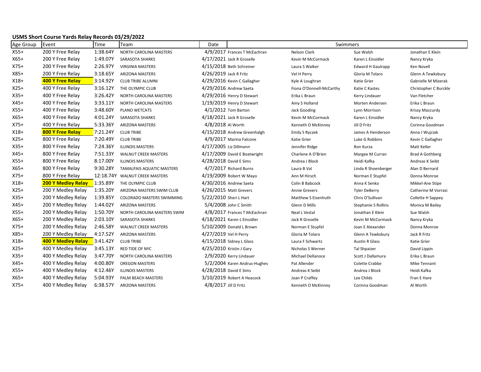#### **USMS Short Course Yards Relay Records 03/29/2022**

| Age Group | Event                       | Time     | Team                             | Date                     |                              | Swimmers                 |                          |                        |
|-----------|-----------------------------|----------|----------------------------------|--------------------------|------------------------------|--------------------------|--------------------------|------------------------|
| $X55+$    | 200 Y Free Relay            | 1:38.64Y | NORTH CAROLINA MASTERS           |                          | 4/9/2017 Frances T McEachran | Nelson Clark             | Sue Walsh                | Jonathan E Klein       |
| $X65+$    | 200 Y Free Relay            | 1:49.07Y | <b>SARASOTA SHARKS</b>           |                          | 4/17/2021 Jack R Groselle    | Kevin M McCormack        | Karen L Einsidler        | Nancy Kryka            |
| $X75+$    | 200 Y Free Relay            | 2:26.97Y | <b>VIRGINIA MASTERS</b>          |                          | 4/15/2018 Beth Schreiner     | Laura S Walker           | <b>Edward H Gaulrapp</b> | Ken Novell             |
| $X85+$    | 200 Y Free Relay            | 3:18.65Y | ARIZONA MASTERS                  | 4/26/2019 Jack R Fritz   |                              | Vel H Perry              | Gloria M Tolaro          | Glenn A Tewksbury      |
| $X18+$    | <b>400 Y Free Relay</b>     | 3:14.92Y | <b>CLUB TRIBE ALUMNI</b>         |                          | 4/29/2016 Kevin C Gallagher  | Kyle A Loughran          | Katie Grier              | Gabrielle M Mizerak    |
| $X25+$    | 400 Y Free Relay            | 3:16.12Y | THE OLYMPIC CLUB                 |                          | 4/29/2016 Andrew Saeta       | Fiona O'Donnell-McCarthy | Katie C Kastes           | Christopher C Burckle  |
| $X35+$    | 400 Y Free Relay            | 3:26.42Y | NORTH CAROLINA MASTERS           |                          | 4/29/2016 Henry D Stewart    | Erika L Braun            | Kerry Lindauer           | Van Fletcher           |
| $X45+$    | 400 Y Free Relay            | 3:33.11Y | NORTH CAROLINA MASTERS           |                          | 1/19/2019 Henry D Stewart    | Amy S Holland            | Morten Andersen          | Erika L Braun          |
| $X55+$    | 400 Y Free Relay            | 3:48.60Y | PLANO WETCATS                    |                          | $4/1/2012$ Tom Barton        | Jack Gooding             | Lynn Morrison            | Krissy Maccurdy        |
| $X65+$    | 400 Y Free Relay            | 4:01.24Y | SARASOTA SHARKS                  |                          | 4/18/2021 Jack R Groselle    | Kevin M McCormack        | Karen L Einsidler        | Nancy Kryka            |
| $X75+$    | 400 Y Free Relay            | 5:33.36Y | <b>ARIZONA MASTERS</b>           | 4/8/2018 Al Worth        |                              | Kenneth O McKinney       | Jill D Fritz             | Corinna Goodman        |
| $X18+$    | 800 Y Free Relay            | 7:21.24Y | <b>CLUB TRIBE</b>                |                          | 4/15/2018 Andrew Greenhalgh  | <b>Emily S Ryczek</b>    | James A Henderson        | Anna J Wujciak         |
| $X25+$    | 800 Y Free Relay            | 7:20.49Y | <b>CLUB TRIBE</b>                |                          | 4/9/2017 Marina Falcone      | Katie Grier              | Luke G Robbins           | Kevin C Gallagher      |
| $X35+$    | 800 Y Free Relay            | 7:24.36Y | <b>ILLINOIS MASTERS</b>          | 4/17/2005 Liz Dillmann   |                              | Jennifer Ridge           | Ron Kurza                | Matt Keller            |
| $X45+$    | 800 Y Free Relay            | 7:51.33Y | <b>WALNUT CREEK MASTERS</b>      |                          | 4/17/2009 David E Boatwright | Charlene A O'Brien       | Margee M Curran          | <b>Brad A Gothberg</b> |
| $X55+$    | 800 Y Free Relay            | 8:17.00Y | <b>ILLINOIS MASTERS</b>          | 4/28/2018 David E Sims   |                              | Andrea J Block           | Heidi Kafka              | Andreas K Seibt        |
| $X65+$    | 800 Y Free Relay            | 9:30.28Y | <b>TAMALPAIS AQUATIC MASTERS</b> |                          | 4/7/2017 Richard Burns       | Laura B Val              | Linda R Shoenberger      | Alan D Bernard         |
| $X75+$    | 800 Y Free Relay            |          | 12:18.74Y WALNUT CREEK MASTERS   |                          | 4/19/2009 Robert W Mayo      | Ann M Hirsch             | Norman E Stupfel         | Donna Monroe           |
| $X18+$    | 200 Y Medley Relay 1:35.89Y |          | THE OLYMPIC CLUB                 |                          | 4/30/2016 Andrew Saeta       | Colin B Babcock          | Anna K Senko             | Mikkel-Ane Stipe       |
| $X25+$    | 200 Y Medley Relay          | 1:35.20Y | ARIZONA MASTERS SWIM CLUB        |                          | 4/26/2015 Matt Grevers       | <b>Annie Grevers</b>     | <b>Tyler DeBerry</b>     | Catherine M Vorrasi    |
| $X35+$    | 200 Y Medley Relay          | 1:39.85Y | COLORADO MASTERS SWIMMING        | 5/22/2010 Sheri L Hart   |                              | Matthew S Eisenhuth      | Chris O'Sullivan         | Collette H Sappey      |
| $X45+$    | 200 Y Medley Relay          | 1:44.02Y | <b>ARIZONA MASTERS</b>           |                          | 5/4/2008 John C Smith        | Glenn D Mills            | Stephanie S Rollins      | Monica M Bailey        |
| $X55+$    | 200 Y Medley Relay          | 1:50.70Y | NORTH CAROLINA MASTERS SWIM      |                          | 4/8/2017 Frances T McEachran | Neal L Vestal            | Jonathan E Klein         | Sue Walsh              |
| $X65+$    | 200 Y Medley Relay          | 2:03.10Y | SARASOTA SHARKS                  |                          | 4/18/2021 Karen L Einsidler  | Jack R Groselle          | Kevin M McCormack        | Nancy Kryka            |
| $X75+$    | 200 Y Medley Relay          | 2:46.58Y | <b>WALNUT CREEK MASTERS</b>      |                          | 5/10/2009 Donald L Brown     | Norman E Stupfel         | Joan E Alexander         | Donna Monroe           |
| $X85+$    | 200 Y Medley Relay          | 4:17.52Y | <b>ARIZONA MASTERS</b>           | 4/27/2019 Vel H Perry    |                              | Gloria M Tolaro          | Glenn A Tewksbury        | Jack R Fritz           |
| $X18+$    | 400 Y Medley Relay          | 3:41.42Y | <b>CLUB TRIBE</b>                |                          | 4/15/2018 Sidney L Glass     | Laura F Schwartz         | <b>Austin R Glass</b>    | Katie Grier            |
| $X25+$    | 400 Y Medley Relay          | 3:45.13Y | RED TIDE OF NYC                  | 4/25/2010 Kristin J Gary |                              | Nicholas S Werner        | <b>Tal Shpaizer</b>      | David Lippin           |
| $X35+$    | 400 Y Medley Relay          | 3:47.70Y | NORTH CAROLINA MASTERS           |                          | 2/9/2020 Kerry Lindauer      | Michael Dellanoce        | Scott J Dallamura        | Erika L Braun          |
| $X45+$    | 400 Y Medley Relay          | 4:00.80Y | <b>OREGON MASTERS</b>            |                          | 5/2/2004 Karen Andrus-Hughes | Pat Allender             | Colette Crabbe           | Mike Tennant           |
| $X55+$    | 400 Y Medley Relay          | 4:12.46Y | <b>ILLINOIS MASTERS</b>          | 4/28/2018 David E Sims   |                              | Andreas K Seibt          | Andrea J Block           | Heidi Kafka            |
| $X65+$    | 400 Y Medley Relay          | 5:04.93Y | PALM BEACH MASTERS               |                          | 3/10/2019 Robert A Heacock   | Joan P Craffey           | Lee Childs               | Fran E Hare            |
| $X75+$    | 400 Y Medley Relay          | 6:38.57Y | <b>ARIZONA MASTERS</b>           | 4/8/2017 Jill D Fritz    |                              | Kenneth O McKinney       | Corinna Goodman          | Al Worth               |